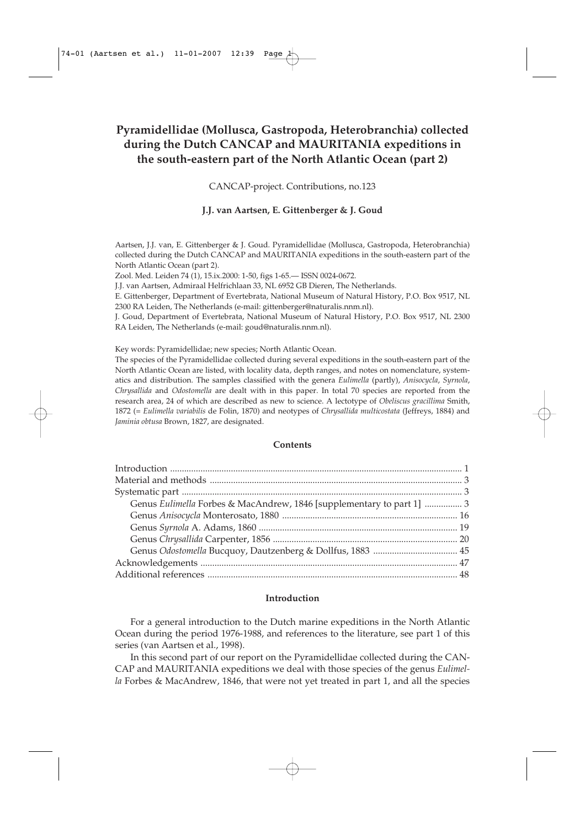# **Pyramidellidae (Mollusca, Gastropoda, Heterobranchia) collected during the Dutch CANCAP and MAURITANIA expeditions in the south-eastern part of the North Atlantic Ocean (part 2)**

CANCAP-project. Contributions, no.123

# **J.J. van Aartsen, E. Gittenberger & J. Goud**

Aartsen, J.J. van, E. Gittenberger & J. Goud. Pyramidellidae (Mollusca, Gastropoda, Heterobranchia) collected during the Dutch CANCAP and MAURITANIA expeditions in the south-eastern part of the North Atlantic Ocean (part 2).

Zool. Med. Leiden 74 (1), 15.ix.2000: 1-50, figs 1-65.— ISSN 0024-0672.

J.J. van Aartsen, Admiraal Helfrichlaan 33, NL 6952 GB Dieren, The Netherlands.

E. Gittenberger, Department of Evertebrata, National Museum of Natural History, P.O. Box 9517, NL 2300 RA Leiden, The Netherlands (e-mail: gittenberger@naturalis.nnm.nl).

J. Goud, Department of Evertebrata, National Museum of Natural History, P.O. Box 9517, NL 2300 RA Leiden, The Netherlands (e-mail: goud@naturalis.nnm.nl).

Key words: Pyramidellidae; new species; North Atlantic Ocean.

The species of the Pyramidellidae collected during several expeditions in the south-eastern part of the North Atlantic Ocean are listed, with locality data, depth ranges, and notes on nomenclature, systematics and distribution. The samples classified with the genera *Eulimella* (partly), *Anisocycla*, *Syrnola*, *Chrysallida* and *Odostomella* are dealt with in this paper. In total 70 species are reported from the research area, 24 of which are described as new to science. A lectotype of *Obeliscus gracillima* Smith, 1872 (= *Eulimella variabilis* de Folin, 1870) and neotypes of *Chrysallida multicostata* (Jeffreys, 1884) and *Jaminia obtusa* Brown, 1827, are designated.

### **Contents**

| Genus Eulimella Forbes & MacAndrew, 1846 [supplementary to part 1]  3 |  |
|-----------------------------------------------------------------------|--|
|                                                                       |  |
|                                                                       |  |
|                                                                       |  |
|                                                                       |  |
|                                                                       |  |
|                                                                       |  |
|                                                                       |  |

#### **Introduction**

For a general introduction to the Dutch marine expeditions in the North Atlantic Ocean during the period 1976-1988, and references to the literature, see part 1 of this series (van Aartsen et al., 1998).

In this second part of our report on the Pyramidellidae collected during the CAN-CAP and MAURITANIA expeditions we deal with those species of the genus *Eulimella* Forbes & MacAndrew, 1846, that were not yet treated in part 1, and all the species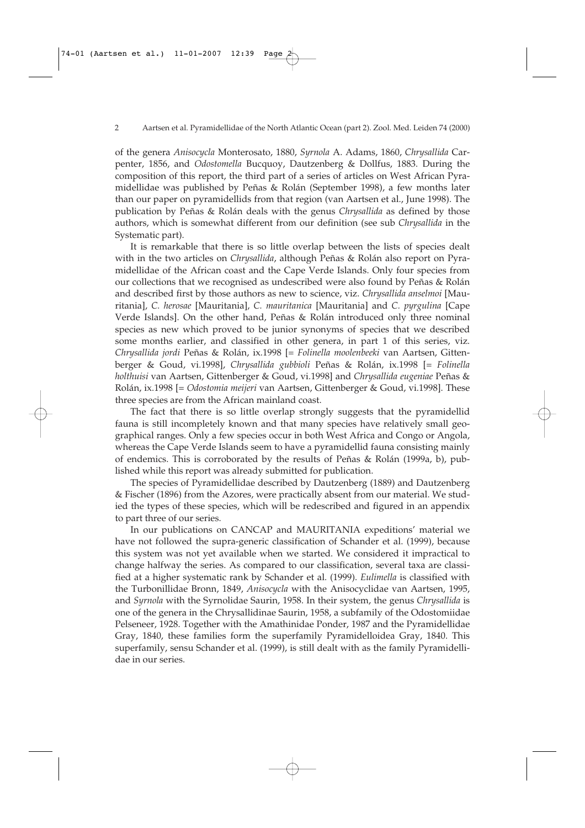of the genera *Anisocycla* Monterosato, 1880, *Syrnola* A. Adams, 1860, *Chrysallida* Carpenter, 1856, and *Odostomella* Bucquoy, Dautzenberg & Dollfus, 1883. During the composition of this report, the third part of a series of articles on West African Pyramidellidae was published by Peñas & Rolán (September 1998), a few months later than our paper on pyramidellids from that region (van Aartsen et al., June 1998). The publication by Peñas & Rolán deals with the genus *Chrysallida* as defined by those authors, which is somewhat different from our definition (see sub *Chrysallida* in the Systematic part).

It is remarkable that there is so little overlap between the lists of species dealt with in the two articles on *Chrysallida*, although Peñas & Rolán also report on Pyramidellidae of the African coast and the Cape Verde Islands. Only four species from our collections that we recognised as undescribed were also found by Peñas & Rolán and described first by those authors as new to science, viz. *Chrysallida anselmoi* [Mauritania], *C. herosae* [Mauritania], *C. mauritanica* [Mauritania] and *C. pyrgulina* [Cape Verde Islands]. On the other hand, Peñas & Rolán introduced only three nominal species as new which proved to be junior synonyms of species that we described some months earlier, and classified in other genera, in part 1 of this series, viz. *Chrysallida jordi* Peñas & Rolán, ix.1998 [= *Folinella moolenbeeki* van Aartsen, Gittenberger & Goud, vi.1998], *Chrysallida gubbioli* Peñas & Rolán, ix.1998 [= *Folinella holthuisi* van Aartsen, Gittenberger & Goud, vi.1998] and *Chrysallida eugeniae* Peñas & Rolán, ix.1998 [= *Odostomia meijeri* van Aartsen, Gittenberger & Goud, vi.1998]. These three species are from the African mainland coast.

The fact that there is so little overlap strongly suggests that the pyramidellid fauna is still incompletely known and that many species have relatively small geographical ranges. Only a few species occur in both West Africa and Congo or Angola, whereas the Cape Verde Islands seem to have a pyramidellid fauna consisting mainly of endemics. This is corroborated by the results of Peñas & Rolán (1999a, b), published while this report was already submitted for publication.

The species of Pyramidellidae described by Dautzenberg (1889) and Dautzenberg & Fischer (1896) from the Azores, were practically absent from our material. We studied the types of these species, which will be redescribed and figured in an appendix to part three of our series.

In our publications on CANCAP and MAURITANIA expeditions' material we have not followed the supra-generic classification of Schander et al. (1999), because this system was not yet available when we started. We considered it impractical to change halfway the series. As compared to our classification, several taxa are classified at a higher systematic rank by Schander et al. (1999). *Eulimella* is classified with the Turbonillidae Bronn, 1849, *Anisocycla* with the Anisocyclidae van Aartsen, 1995, and *Syrnola* with the Syrnolidae Saurin, 1958. In their system, the genus *Chrysallida* is one of the genera in the Chrysallidinae Saurin, 1958, a subfamily of the Odostomiidae Pelseneer, 1928. Together with the Amathinidae Ponder, 1987 and the Pyramidellidae Gray, 1840, these families form the superfamily Pyramidelloidea Gray, 1840. This superfamily, sensu Schander et al. (1999), is still dealt with as the family Pyramidellidae in our series.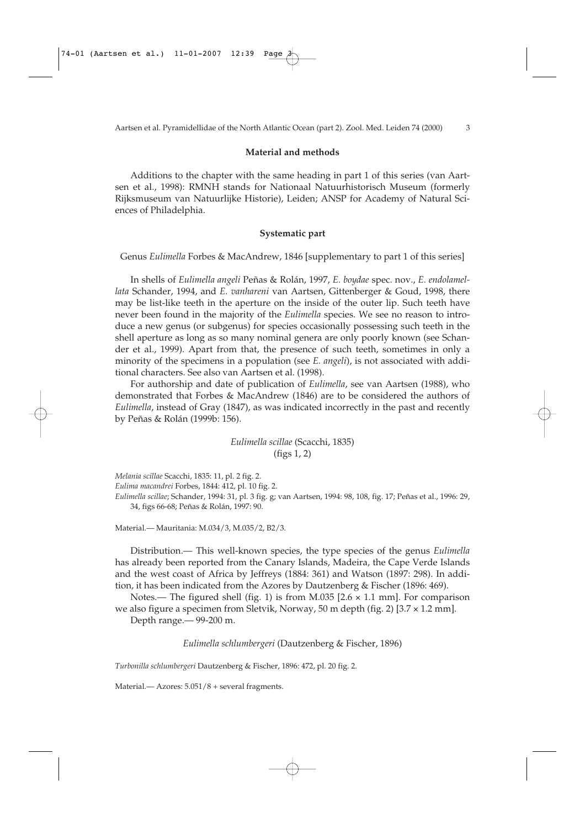### **Material and methods**

Additions to the chapter with the same heading in part 1 of this series (van Aartsen et al., 1998): RMNH stands for Nationaal Natuurhistorisch Museum (formerly Rijksmuseum van Natuurlijke Historie), Leiden; ANSP for Academy of Natural Sciences of Philadelphia.

### **Systematic part**

Genus *Eulimella* Forbes & MacAndrew, 1846 [supplementary to part 1 of this series]

In shells of *Eulimella angeli* Peñas & Rolán, 1997, *E. boydae* spec. nov., *E. endolamellata* Schander, 1994, and *E. vanhareni* van Aartsen, Gittenberger & Goud, 1998, there may be list-like teeth in the aperture on the inside of the outer lip. Such teeth have never been found in the majority of the *Eulimella* species. We see no reason to introduce a new genus (or subgenus) for species occasionally possessing such teeth in the shell aperture as long as so many nominal genera are only poorly known (see Schander et al., 1999). Apart from that, the presence of such teeth, sometimes in only a minority of the specimens in a population (see *E. angeli*), is not associated with additional characters. See also van Aartsen et al. (1998).

For authorship and date of publication of *Eulimella*, see van Aartsen (1988), who demonstrated that Forbes & MacAndrew (1846) are to be considered the authors of *Eulimella*, instead of Gray (1847), as was indicated incorrectly in the past and recently by Peñas & Rolán (1999b: 156).

> *Eulimella scillae* (Scacchi, 1835) (figs 1, 2)

*Melania scillae* Scacchi, 1835: 11, pl. 2 fig. 2.

*Eulima macandrei* Forbes, 1844: 412, pl. 10 fig. 2.

*Eulimella scillae*; Schander, 1994: 31, pl. 3 fig. g; van Aartsen, 1994: 98, 108, fig. 17; Peñas et al., 1996: 29, 34, figs 66-68; Peñas & Rolán, 1997: 90.

Material.— Mauritania: M.034/3, M.035/2, B2/3.

Distribution.— This well-known species, the type species of the genus *Eulimella* has already been reported from the Canary Islands, Madeira, the Cape Verde Islands and the west coast of Africa by Jeffreys (1884: 361) and Watson (1897: 298). In addition, it has been indicated from the Azores by Dautzenberg & Fischer (1896: 469).

Notes.— The figured shell (fig. 1) is from M.035  $[2.6 \times 1.1 \text{ mm}]$ . For comparison we also figure a specimen from Sletvik, Norway, 50 m depth (fig. 2) [3.7 × 1.2 mm].

Depth range.— 99-200 m.

*Eulimella schlumbergeri* (Dautzenberg & Fischer, 1896)

*Turbonilla schlumbergeri* Dautzenberg & Fischer, 1896: 472, pl. 20 fig. 2.

Material.— Azores: 5.051/8 + several fragments.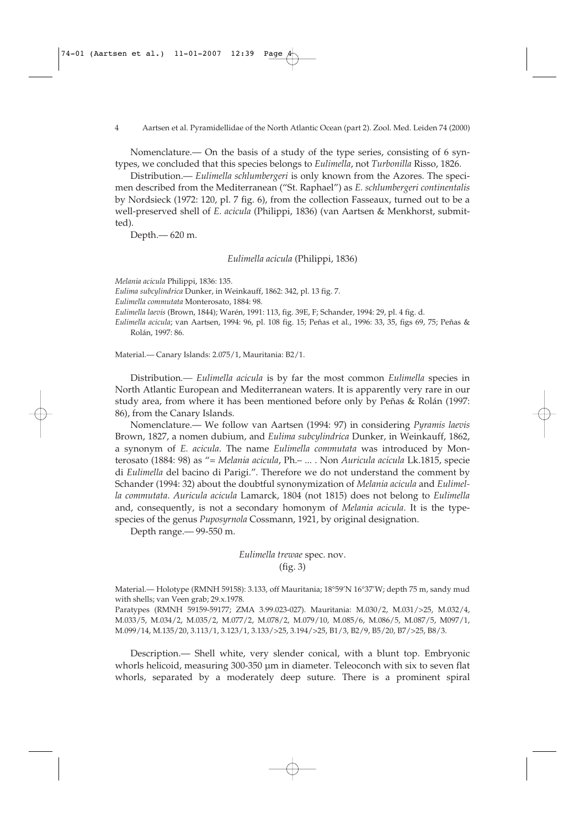4 Aartsen et al. Pyramidellidae of the North Atlantic Ocean (part 2). Zool. Med. Leiden 74 (2000)

Nomenclature.— On the basis of a study of the type series, consisting of 6 syntypes, we concluded that this species belongs to *Eulimella*, not *Turbonilla* Risso, 1826.

Distribution.— *Eulimella schlumbergeri* is only known from the Azores. The specimen described from the Mediterranean ("St. Raphael") as *E. schlumbergeri continentalis* by Nordsieck (1972: 120, pl. 7 fig. 6), from the collection Fasseaux, turned out to be a well-preserved shell of *E. acicula* (Philippi, 1836) (van Aartsen & Menkhorst, submitted).

Depth.— 620 m.

*Eulimella acicula* (Philippi, 1836)

*Melania acicula* Philippi, 1836: 135.

*Eulima subcylindrica* Dunker, in Weinkauff, 1862: 342, pl. 13 fig. 7.

*Eulimella commutata* Monterosato, 1884: 98.

*Eulimella laevis* (Brown, 1844); Warén, 1991: 113, fig. 39E, F; Schander, 1994: 29, pl. 4 fig. d.

*Eulimella acicula*; van Aartsen, 1994: 96, pl. 108 fig. 15; Peñas et al., 1996: 33, 35, figs 69, 75; Peñas & Rolán, 1997: 86.

Material.— Canary Islands: 2.075/1, Mauritania: B2/1.

Distribution*.— Eulimella acicula* is by far the most common *Eulimella* species in North Atlantic European and Mediterranean waters. It is apparently very rare in our study area, from where it has been mentioned before only by Peñas & Rolán (1997: 86), from the Canary Islands.

Nomenclature.— We follow van Aartsen (1994: 97) in considering *Pyramis laevis* Brown, 1827, a nomen dubium, and *Eulima subcylindrica* Dunker, in Weinkauff, 1862, a synonym of *E. acicula*. The name *Eulimella commutata* was introduced by Monterosato (1884: 98) as "= *Melania acicula*, Ph.– ... . Non *Auricula acicula* Lk.1815, specie di *Eulimella* del bacino di Parigi.". Therefore we do not understand the comment by Schander (1994: 32) about the doubtful synonymization of *Melania acicula* and *Eulimella commutata*. *Auricula acicula* Lamarck, 1804 (not 1815) does not belong to *Eulimella* and, consequently, is not a secondary homonym of *Melania acicula*. It is the typespecies of the genus *Puposyrnola* Cossmann, 1921, by original designation.

Depth range.— 99-550 m.

*Eulimella trewae* spec. nov. (fig. 3)

Material.— Holotype (RMNH 59158): 3.133, off Mauritania; 18°59'N 16°37'W; depth 75 m, sandy mud with shells; van Veen grab; 29.x.1978.

Paratypes (RMNH 59159-59177; ZMA 3.99.023-027). Mauritania: M.030/2, M.031/>25, M.032/4, M.033/5, M.034/2, M.035/2, M.077/2, M.078/2, M.079/10, M.085/6, M.086/5, M.087/5, M097/1, M.099/14, M.135/20, 3.113/1, 3.123/1, 3.133/>25, 3.194/>25, B1/3, B2/9, B5/20, B7/>25, B8/3.

Description.— Shell white, very slender conical, with a blunt top. Embryonic whorls helicoid, measuring 300-350 µm in diameter. Teleoconch with six to seven flat whorls, separated by a moderately deep suture. There is a prominent spiral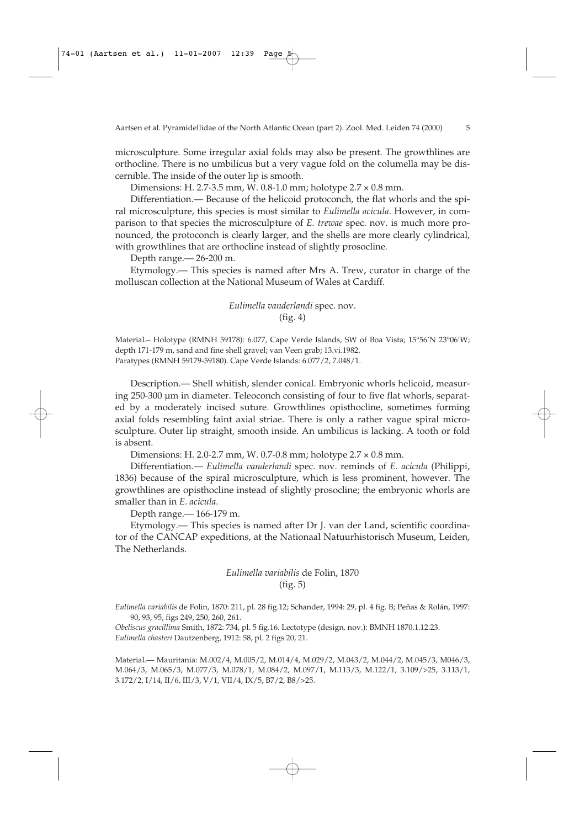microsculpture. Some irregular axial folds may also be present. The growthlines are orthocline. There is no umbilicus but a very vague fold on the columella may be discernible. The inside of the outer lip is smooth.

Dimensions: H. 2.7-3.5 mm, W. 0.8-1.0 mm; holotype 2.7 × 0.8 mm.

Differentiation.— Because of the helicoid protoconch, the flat whorls and the spiral microsculpture, this species is most similar to *Eulimella acicula*. However, in comparison to that species the microsculpture of *E. trewae* spec. nov. is much more pronounced, the protoconch is clearly larger, and the shells are more clearly cylindrical, with growthlines that are orthocline instead of slightly prosocline*.*

Depth range.— 26-200 m.

Etymology.— This species is named after Mrs A. Trew, curator in charge of the molluscan collection at the National Museum of Wales at Cardiff.

> *Eulimella vanderlandi* spec. nov. (fig. 4)

Material.– Holotype (RMNH 59178): 6.077, Cape Verde Islands, SW of Boa Vista; 15°56'N 23°06'W; depth 171-179 m, sand and fine shell gravel; van Veen grab; 13.vi.1982. Paratypes (RMNH 59179-59180). Cape Verde Islands: 6.077/2, 7.048/1.

Description.— Shell whitish, slender conical. Embryonic whorls helicoid, measuring 250-300 µm in diameter. Teleoconch consisting of four to five flat whorls, separated by a moderately incised suture. Growthlines opisthocline, sometimes forming axial folds resembling faint axial striae. There is only a rather vague spiral microsculpture. Outer lip straight, smooth inside. An umbilicus is lacking. A tooth or fold is absent.

Dimensions: H. 2.0-2.7 mm, W. 0.7-0.8 mm; holotype 2.7 × 0.8 mm.

Differentiation*.— Eulimella vanderlandi* spec. nov. reminds of *E. acicula* (Philippi, 1836) because of the spiral microsculpture, which is less prominent, however. The growthlines are opisthocline instead of slightly prosocline; the embryonic whorls are smaller than in *E. acicula*.

Depth range.— 166-179 m.

Etymology.— This species is named after Dr J. van der Land, scientific coordinator of the CANCAP expeditions, at the Nationaal Natuurhistorisch Museum, Leiden, The Netherlands.

# *Eulimella variabilis* de Folin, 1870 (fig. 5)

*Eulimella variabilis* de Folin, 1870: 211, pl. 28 fig.12; Schander, 1994: 29, pl. 4 fig. B; Peñas & Rolán, 1997: 90, 93, 95, figs 249, 250, 260, 261.

*Obeliscus gracillima* Smith, 1872: 734, pl. 5 fig.16. Lectotype (design. nov.): BMNH 1870.1.12.23. *Eulimella chasteri* Dautzenberg, 1912: 58, pl. 2 figs 20, 21.

Material.— Mauritania: M.002/4, M.005/2, M.014/4, M.029/2, M.043/2, M.044/2, M.045/3, M046/3, M.064/3, M.065/3, M.077/3, M.078/1, M.084/2, M.097/1, M.113/3, M.122/1, 3.109/>25, 3.113/1, 3.172/2, I/14, II/6, III/3, V/1, VII/4, IX/5, B7/2, B8/>25.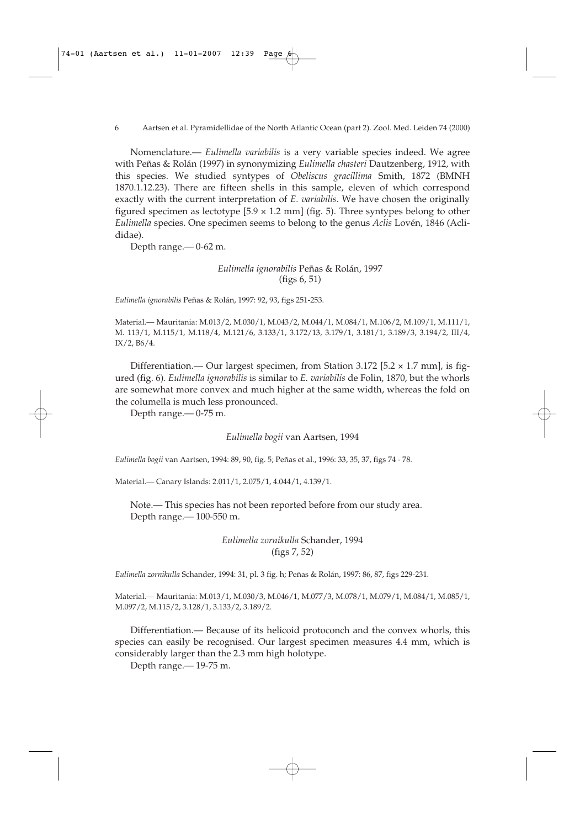#### 6 Aartsen et al. Pyramidellidae of the North Atlantic Ocean (part 2). Zool. Med. Leiden 74 (2000)

Nomenclature.— *Eulimella variabilis* is a very variable species indeed. We agree with Peñas & Rolán (1997) in synonymizing *Eulimella chasteri* Dautzenberg, 1912, with this species. We studied syntypes of *Obeliscus gracillima* Smith, 1872 (BMNH 1870.1.12.23). There are fifteen shells in this sample, eleven of which correspond exactly with the current interpretation of *E. variabilis*. We have chosen the originally figured specimen as lectotype  $[5.9 \times 1.2 \text{ mm}]$  (fig. 5). Three syntypes belong to other *Eulimella* species. One specimen seems to belong to the genus *Aclis* Lovén, 1846 (Aclididae).

Depth range.— 0-62 m.

### *Eulimella ignorabilis* Peñas & Rolán, 1997 (figs 6, 51)

*Eulimella ignorabilis* Peñas & Rolán, 1997: 92, 93, figs 251-253.

Material.— Mauritania: M.013/2, M.030/1, M.043/2, M.044/1, M.084/1, M.106/2, M.109/1, M.111/1, M. 113/1, M.115/1, M.118/4, M.121/6, 3.133/1, 3.172/13, 3.179/1, 3.181/1, 3.189/3, 3.194/2, III/4, IX/2, B6/4.

Differentiation.— Our largest specimen, from Station  $3.172$  [5.2  $\times$  1.7 mm], is figured (fig. 6). *Eulimella ignorabilis* is similar to *E. variabilis* de Folin, 1870, but the whorls are somewhat more convex and much higher at the same width, whereas the fold on the columella is much less pronounced.

Depth range.— 0-75 m.

### *Eulimella bogii* van Aartsen, 1994

*Eulimella bogii* van Aartsen, 1994: 89, 90, fig. 5; Peñas et al., 1996: 33, 35, 37, figs 74 - 78.

Material.— Canary Islands: 2.011/1, 2.075/1, 4.044/1, 4.139/1.

Note.— This species has not been reported before from our study area. Depth range.— 100-550 m.

> *Eulimella zornikulla* Schander, 1994 (figs 7, 52)

*Eulimella zornikulla* Schander, 1994: 31, pl. 3 fig. h; Peñas & Rolán, 1997: 86, 87, figs 229-231.

Material.— Mauritania: M.013/1, M.030/3, M.046/1, M.077/3, M.078/1, M.079/1, M.084/1, M.085/1, M.097/2, M.115/2, 3.128/1, 3.133/2, 3.189/2.

Differentiation.— Because of its helicoid protoconch and the convex whorls, this species can easily be recognised. Our largest specimen measures 4.4 mm, which is considerably larger than the 2.3 mm high holotype.

Depth range.— 19-75 m.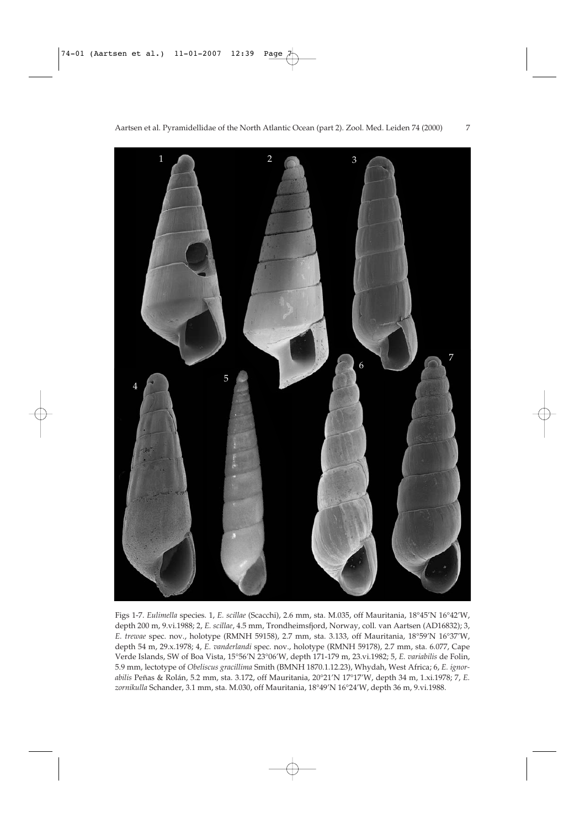

Figs 1-7. *Eulimella* species. 1, *E. scillae* (Scacchi), 2.6 mm, sta. M.035, off Mauritania, 18°45'N 16°42'W, depth 200 m, 9.vi.1988; 2, *E. scillae*, 4.5 mm, Trondheimsfjord, Norway, coll. van Aartsen (AD16832); 3, *E. trewae* spec. nov., holotype (RMNH 59158), 2.7 mm, sta. 3.133, off Mauritania, 18°59'N 16°37'W, depth 54 m, 29.x.1978; 4, *E. vanderlandi* spec. nov., holotype (RMNH 59178), 2.7 mm, sta. 6.077, Cape Verde Islands, SW of Boa Vista, 15°56'N 23°06'W, depth 171-179 m, 23.vi.1982; 5, *E. variabilis* de Folin, 5.9 mm, lectotype of *Obeliscus gracillima* Smith (BMNH 1870.1.12.23), Whydah, West Africa; 6, *E. ignorabilis* Peñas & Rolán, 5.2 mm, sta. 3.172, off Mauritania, 20°21'N 17°17'W, depth 34 m, 1.xi.1978; 7, *E. zornikulla* Schander, 3.1 mm, sta. M.030, off Mauritania, 18°49'N 16°24'W, depth 36 m, 9.vi.1988.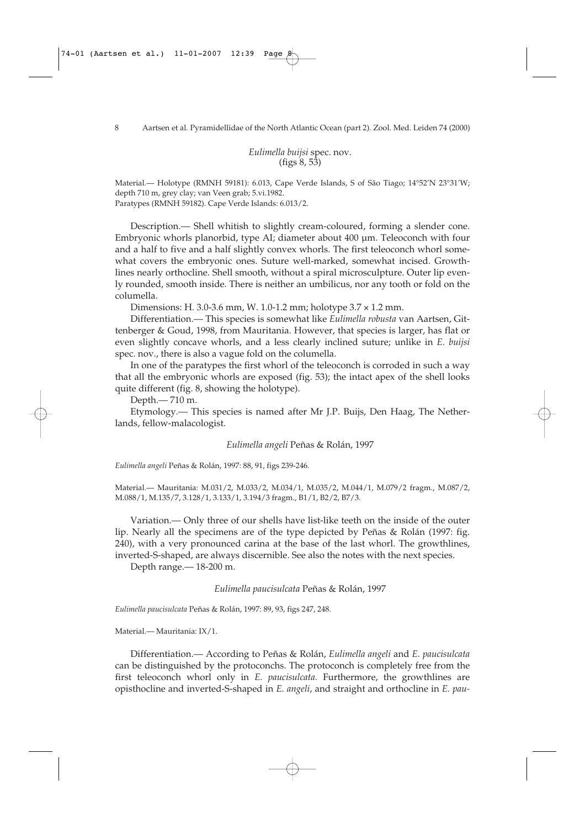*Eulimella buijsi* spec. nov. (figs 8, 53)

Material.— Holotype (RMNH 59181): 6.013, Cape Verde Islands, S of São Tiago; 14°52'N 23°31'W; depth 710 m, grey clay; van Veen grab; 5.vi.1982. Paratypes (RMNH 59182). Cape Verde Islands: 6.013/2.

Description.— Shell whitish to slightly cream-coloured, forming a slender cone. Embryonic whorls planorbid, type AI; diameter about 400 µm. Teleoconch with four and a half to five and a half slightly convex whorls. The first teleoconch whorl somewhat covers the embryonic ones. Suture well-marked, somewhat incised. Growthlines nearly orthocline. Shell smooth, without a spiral microsculpture. Outer lip evenly rounded, smooth inside. There is neither an umbilicus, nor any tooth or fold on the columella.

Dimensions: H. 3.0-3.6 mm, W. 1.0-1.2 mm; holotype 3.7 × 1.2 mm.

Differentiation.— This species is somewhat like *Eulimella robusta* van Aartsen, Gittenberger & Goud, 1998, from Mauritania. However, that species is larger, has flat or even slightly concave whorls, and a less clearly inclined suture; unlike in *E. buijsi* spec. nov., there is also a vague fold on the columella.

In one of the paratypes the first whorl of the teleoconch is corroded in such a way that all the embryonic whorls are exposed (fig. 53); the intact apex of the shell looks quite different (fig. 8, showing the holotype).

Depth.— 710 m.

Etymology.— This species is named after Mr J.P. Buijs, Den Haag, The Netherlands, fellow-malacologist.

*Eulimella angeli* Peñas & Rolán, 1997

*Eulimella angeli* Peñas & Rolán, 1997: 88, 91, figs 239-246.

Material.— Mauritania: M.031/2, M.033/2, M.034/1, M.035/2, M.044/1, M.079/2 fragm., M.087/2, M.088/1, M.135/7, 3.128/1, 3.133/1, 3.194/3 fragm., B1/1, B2/2, B7/3.

Variation.— Only three of our shells have list-like teeth on the inside of the outer lip. Nearly all the specimens are of the type depicted by Peñas & Rolán (1997: fig. 240), with a very pronounced carina at the base of the last whorl. The growthlines, inverted-S-shaped, are always discernible. See also the notes with the next species.

Depth range.— 18-200 m.

*Eulimella paucisulcata* Peñas & Rolán, 1997

*Eulimella paucisulcata* Peñas & Rolán, 1997: 89, 93, figs 247, 248.

Material.— Mauritania: IX/1.

Differentiation.— According to Peñas & Rolán, *Eulimella angeli* and *E. paucisulcata* can be distinguished by the protoconchs. The protoconch is completely free from the first teleoconch whorl only in *E. paucisulcata.* Furthermore, the growthlines are opisthocline and inverted-S-shaped in *E. angeli*, and straight and orthocline in *E. pau-*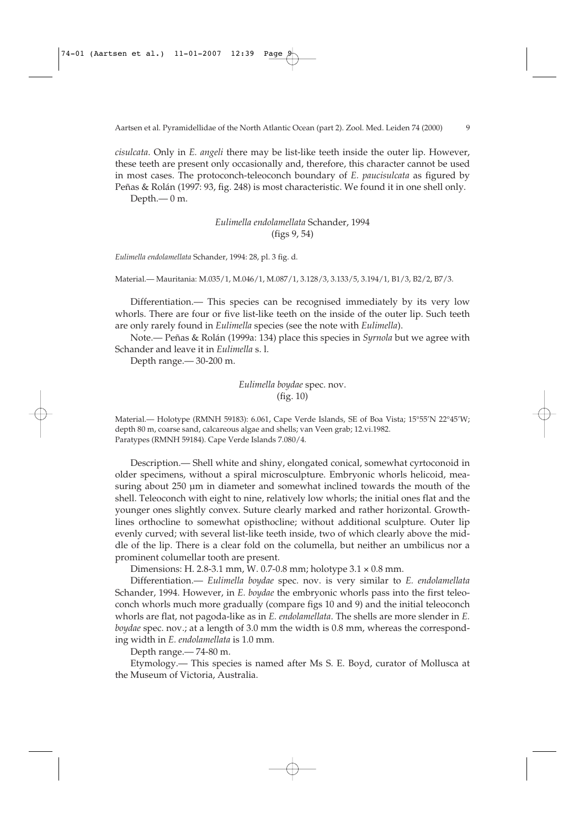*cisulcata*. Only in *E. angeli* there may be list-like teeth inside the outer lip. However, these teeth are present only occasionally and, therefore, this character cannot be used in most cases. The protoconch-teleoconch boundary of *E. paucisulcata* as figured by Peñas & Rolán (1997: 93, fig. 248) is most characteristic. We found it in one shell only. Depth.— 0 m.

> *Eulimella endolamellata* Schander, 1994 (figs 9, 54)

*Eulimella endolamellata* Schander, 1994: 28, pl. 3 fig. d.

Material.— Mauritania: M.035/1, M.046/1, M.087/1, 3.128/3, 3.133/5, 3.194/1, B1/3, B2/2, B7/3.

Differentiation.— This species can be recognised immediately by its very low whorls. There are four or five list-like teeth on the inside of the outer lip. Such teeth are only rarely found in *Eulimella* species (see the note with *Eulimella*).

Note.— Peñas & Rolán (1999a: 134) place this species in *Syrnola* but we agree with Schander and leave it in *Eulimella* s. l.

Depth range.— 30-200 m.

*Eulimella boydae* spec. nov. (fig. 10)

Material.— Holotype (RMNH 59183): 6.061, Cape Verde Islands, SE of Boa Vista; 15°55'N 22°45'W; depth 80 m, coarse sand, calcareous algae and shells; van Veen grab; 12.vi.1982. Paratypes (RMNH 59184). Cape Verde Islands 7.080/4.

Description.— Shell white and shiny, elongated conical, somewhat cyrtoconoid in older specimens, without a spiral microsculpture. Embryonic whorls helicoid, measuring about 250 µm in diameter and somewhat inclined towards the mouth of the shell. Teleoconch with eight to nine, relatively low whorls; the initial ones flat and the younger ones slightly convex. Suture clearly marked and rather horizontal. Growthlines orthocline to somewhat opisthocline; without additional sculpture. Outer lip evenly curved; with several list-like teeth inside, two of which clearly above the middle of the lip. There is a clear fold on the columella, but neither an umbilicus nor a prominent columellar tooth are present.

Dimensions: H. 2.8-3.1 mm, W. 0.7-0.8 mm; holotype 3.1 × 0.8 mm.

Differentiation.— *Eulimella boydae* spec. nov. is very similar to *E. endolamellata* Schander, 1994. However, in *E. boydae* the embryonic whorls pass into the first teleoconch whorls much more gradually (compare figs 10 and 9) and the initial teleoconch whorls are flat, not pagoda-like as in *E. endolamellata*. The shells are more slender in *E. boydae* spec. nov.; at a length of 3.0 mm the width is 0.8 mm, whereas the corresponding width in *E. endolamellata* is 1.0 mm*.*

Depth range.— 74-80 m.

Etymology.— This species is named after Ms S. E. Boyd, curator of Mollusca at the Museum of Victoria, Australia.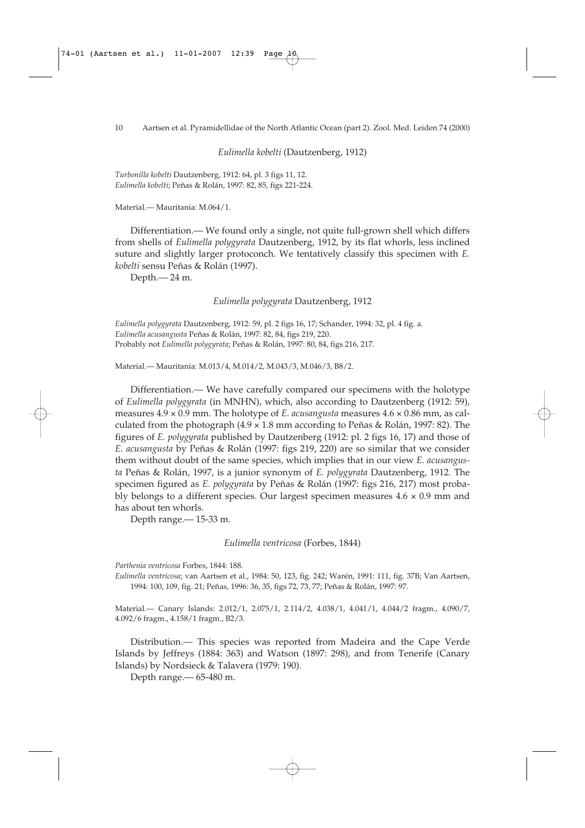*Eulimella kobelti* (Dautzenberg, 1912)

*Turbonilla kobelti* Dautzenberg, 1912: 64, pl. 3 figs 11, 12. *Eulimella kobelti*; Peñas & Rolán, 1997: 82, 85, figs 221-224.

Material.— Mauritania: M.064/1.

Differentiation.— We found only a single, not quite full-grown shell which differs from shells of *Eulimella polygyrata* Dautzenberg, 1912, by its flat whorls, less inclined suture and slightly larger protoconch. We tentatively classify this specimen with *E. kobelti* sensu Peñas & Rolán (1997).

Depth.— 24 m.

*Eulimella polygyrata* Dautzenberg, 1912

*Eulimella polygyrata* Dautzenberg, 1912: 59, pl. 2 figs 16, 17; Schander, 1994: 32, pl. 4 fig. a. *Eulimella acusangusta* Peñas & Rolán, 1997: 82, 84, figs 219, 220. Probably not *Eulimella polygyrata*; Peñas & Rolán, 1997: 80, 84, figs 216, 217.

Material.— Mauritania: M.013/4, M.014/2, M.043/3, M.046/3, B8/2.

Differentiation.— We have carefully compared our specimens with the holotype of *Eulimella polygyrata* (in MNHN), which, also according to Dautzenberg (1912: 59), measures 4.9 × 0.9 mm. The holotype of *E. acusangusta* measures 4.6 × 0.86 mm, as calculated from the photograph (4.9 × 1.8 mm according to Peñas & Rolán, 1997: 82). The figures of *E. polygyrata* published by Dautzenberg (1912: pl. 2 figs 16, 17) and those of *E. acusangusta* by Peñas & Rolán (1997: figs 219, 220) are so similar that we consider them without doubt of the same species, which implies that in our view *E. acusangusta* Peñas & Rolán, 1997, is a junior synonym of *E. polygyrata* Dautzenberg, 1912. The specimen figured as *E. polygyrata* by Peñas & Rolán (1997: figs 216, 217) most probably belongs to a different species. Our largest specimen measures  $4.6 \times 0.9$  mm and has about ten whorls.

Depth range.— 15-33 m.

*Eulimella ventricosa* (Forbes, 1844)

*Parthenia ventricosa* Forbes, 1844: 188.

*Eulimella ventricosa*; van Aartsen et al., 1984: 50, 123, fig. 242; Warén, 1991: 111, fig. 37B; Van Aartsen, 1994: 100, 109, fig. 21; Peñas, 1996: 36, 35, figs 72, 73, 77; Peñas & Rolán, 1997: 97.

Material.— Canary Islands: 2.012/1, 2.075/1, 2.114/2, 4.038/1, 4.041/1, 4.044/2 fragm., 4.090/7, 4.092/6 fragm., 4.158/1 fragm., B2/3.

Distribution.— This species was reported from Madeira and the Cape Verde Islands by Jeffreys (1884: 363) and Watson (1897: 298), and from Tenerife (Canary Islands) by Nordsieck & Talavera (1979: 190).

Depth range.— 65-480 m.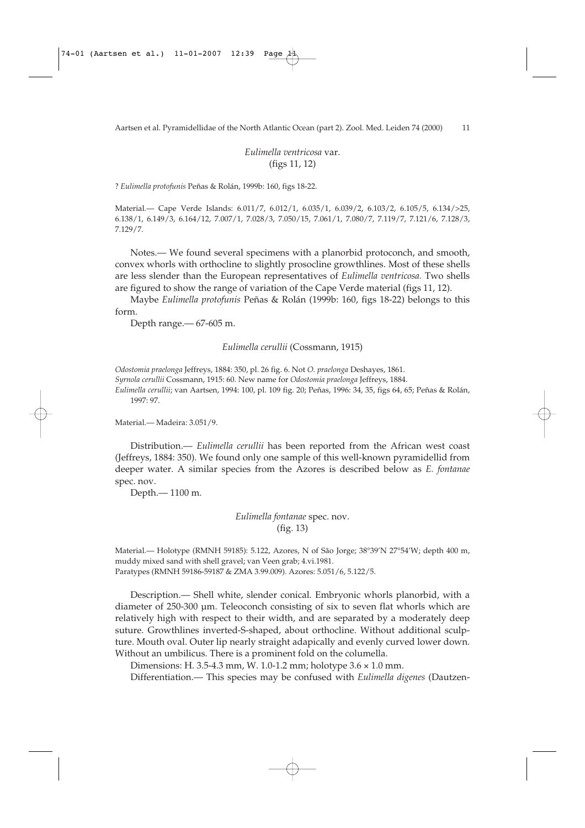*Eulimella ventricosa* var. (figs 11, 12)

? *Eulimella protofunis* Peñas & Rolán, 1999b: 160, figs 18-22.

Material.— Cape Verde Islands: 6.011/7, 6.012/1, 6.035/1, 6.039/2, 6.103/2, 6.105/5, 6.134/>25, 6.138/1, 6.149/3, 6.164/12, 7.007/1, 7.028/3, 7.050/15, 7.061/1, 7.080/7, 7.119/7, 7.121/6, 7.128/3, 7.129/7.

Notes.— We found several specimens with a planorbid protoconch, and smooth, convex whorls with orthocline to slightly prosocline growthlines. Most of these shells are less slender than the European representatives of *Eulimella ventricosa.* Two shells are figured to show the range of variation of the Cape Verde material (figs 11, 12).

Maybe *Eulimella protofunis* Peñas & Rolán (1999b: 160, figs 18-22) belongs to this form.

Depth range.— 67-605 m.

*Eulimella cerullii* (Cossmann, 1915)

*Odostomia praelonga* Jeffreys, 1884: 350, pl. 26 fig. 6. Not *O. praelonga* Deshayes, 1861.

*Syrnola cerullii* Cossmann, 1915: 60. New name for *Odostomia praelonga* Jeffreys, 1884.

*Eulimella cerullii*; van Aartsen, 1994: 100, pl. 109 fig. 20; Peñas, 1996: 34, 35, figs 64, 65; Peñas & Rolán, 1997: 97.

Material.— Madeira: 3.051/9.

Distribution.— *Eulimella cerullii* has been reported from the African west coast (Jeffreys, 1884: 350). We found only one sample of this well-known pyramidellid from deeper water. A similar species from the Azores is described below as *E. fontanae* spec. nov.

Depth.— 1100 m.

*Eulimella fontanae* spec. nov. (fig. 13)

Material.— Holotype (RMNH 59185): 5.122, Azores, N of São Jorge; 38°39'N 27°54'W; depth 400 m, muddy mixed sand with shell gravel; van Veen grab; 4.vi.1981. Paratypes (RMNH 59186-59187 & ZMA 3.99.009). Azores: 5.051/6, 5.122/5.

Description.— Shell white, slender conical. Embryonic whorls planorbid, with a diameter of 250-300 µm. Teleoconch consisting of six to seven flat whorls which are relatively high with respect to their width, and are separated by a moderately deep suture. Growthlines inverted-S-shaped, about orthocline. Without additional sculpture. Mouth oval. Outer lip nearly straight adapically and evenly curved lower down. Without an umbilicus. There is a prominent fold on the columella.

Dimensions: H. 3.5-4.3 mm, W. 1.0-1.2 mm; holotype 3.6 × 1.0 mm.

Differentiation.— This species may be confused with *Eulimella digenes* (Dautzen-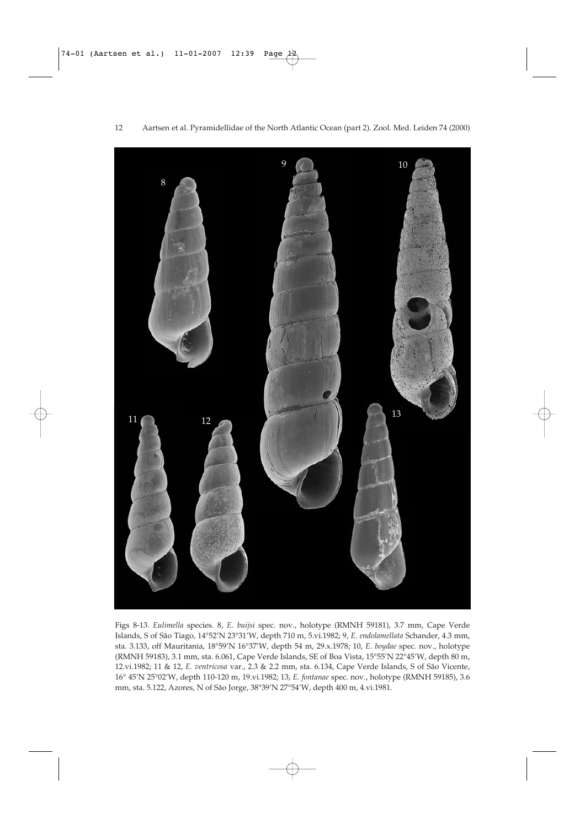

Figs 8-13. *Eulimella* species. 8, *E*. *buijsi* spec. nov., holotype (RMNH 59181), 3.7 mm, Cape Verde Islands, S of São Tiago, 14°52'N 23°31'W, depth 710 m, 5.vi.1982; 9, *E. endolamellata* Schander, 4.3 mm, sta. 3.133, off Mauritania, 18°59'N 16°37'W, depth 54 m, 29.x.1978; 10, *E. boydae* spec. nov., holotype (RMNH 59183), 3.1 mm, sta. 6.061, Cape Verde Islands, SE of Boa Vista, 15°55'N 22°45'W, depth 80 m, 12.vi.1982; 11 & 12, *E. ventricosa* var., 2.3 & 2.2 mm, sta. 6.134, Cape Verde Islands, S of São Vicente, 16° 45'N 25°02'W, depth 110-120 m, 19.vi.1982; 13, *E. fontanae* spec. nov., holotype (RMNH 59185), 3.6 mm, sta. 5.122, Azores, N of São Jorge, 38°39'N 27°54'W, depth 400 m, 4.vi.1981.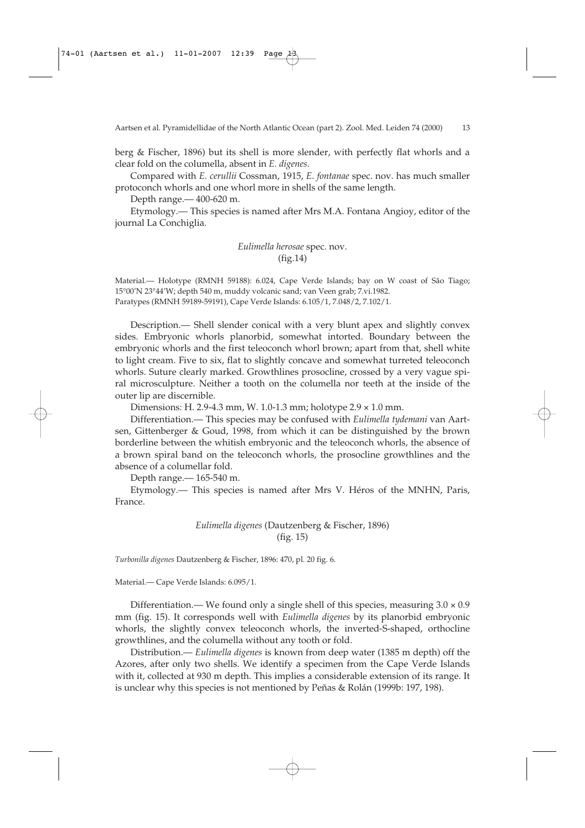berg & Fischer, 1896) but its shell is more slender, with perfectly flat whorls and a clear fold on the columella, absent in *E. digenes.*

Compared with *E. cerullii* Cossman, 1915, *E. fontanae* spec. nov. has much smaller protoconch whorls and one whorl more in shells of the same length.

Depth range.— 400-620 m.

Etymology.— This species is named after Mrs M.A. Fontana Angioy, editor of the journal La Conchiglia.

> *Eulimella herosae* spec. nov. (fig.14)

Material.— Holotype (RMNH 59188): 6.024, Cape Verde Islands; bay on W coast of São Tiago; 15°00'N 23°44'W; depth 540 m, muddy volcanic sand; van Veen grab; 7.vi.1982. Paratypes (RMNH 59189-59191), Cape Verde Islands: 6.105/1, 7.048/2, 7.102/1.

Description.— Shell slender conical with a very blunt apex and slightly convex sides. Embryonic whorls planorbid, somewhat intorted. Boundary between the embryonic whorls and the first teleoconch whorl brown; apart from that, shell white to light cream. Five to six, flat to slightly concave and somewhat turreted teleoconch whorls. Suture clearly marked. Growthlines prosocline, crossed by a very vague spiral microsculpture. Neither a tooth on the columella nor teeth at the inside of the outer lip are discernible.

Dimensions: H. 2.9-4.3 mm, W. 1.0-1.3 mm; holotype 2.9 × 1.0 mm.

Differentiation.— This species may be confused with *Eulimella tydemani* van Aartsen, Gittenberger & Goud, 1998, from which it can be distinguished by the brown borderline between the whitish embryonic and the teleoconch whorls, the absence of a brown spiral band on the teleoconch whorls, the prosocline growthlines and the absence of a columellar fold.

Depth range.— 165-540 m.

Etymology.— This species is named after Mrs V. Héros of the MNHN, Paris, France.

> *Eulimella digenes* (Dautzenberg & Fischer, 1896) (fig. 15)

*Turbonilla digenes* Dautzenberg & Fischer, 1896: 470, pl. 20 fig. 6.

Material.— Cape Verde Islands: 6.095/1.

Differentiation.— We found only a single shell of this species, measuring  $3.0 \times 0.9$ mm (fig. 15). It corresponds well with *Eulimella digenes* by its planorbid embryonic whorls, the slightly convex teleoconch whorls, the inverted-S-shaped, orthocline growthlines, and the columella without any tooth or fold.

Distribution.— *Eulimella digenes* is known from deep water (1385 m depth) off the Azores, after only two shells. We identify a specimen from the Cape Verde Islands with it, collected at 930 m depth. This implies a considerable extension of its range. It is unclear why this species is not mentioned by Peñas & Rolán (1999b: 197, 198).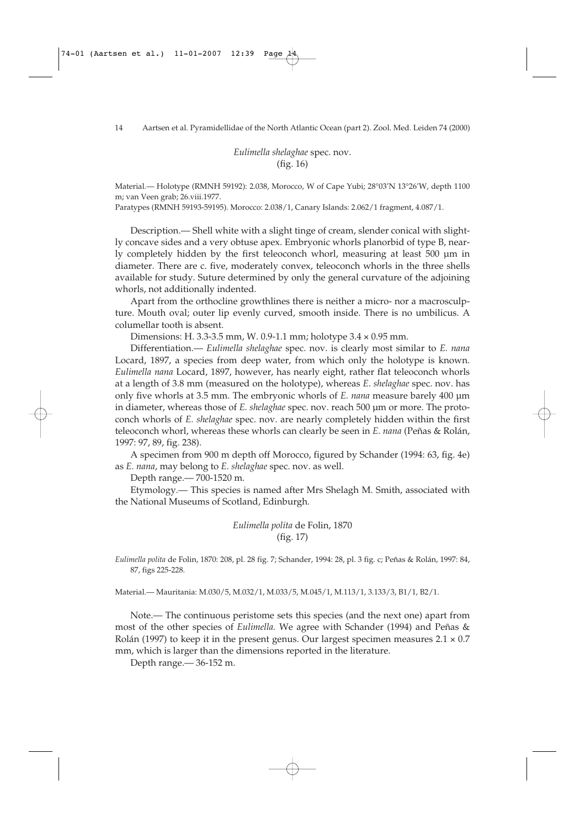*Eulimella shelaghae* spec. nov. (fig. 16)

Material.— Holotype (RMNH 59192): 2.038, Morocco, W of Cape Yubi; 28°03'N 13°26'W, depth 1100 m; van Veen grab; 26.viii.1977.

Paratypes (RMNH 59193-59195). Morocco: 2.038/1, Canary Islands: 2.062/1 fragment, 4.087/1.

Description.— Shell white with a slight tinge of cream, slender conical with slightly concave sides and a very obtuse apex. Embryonic whorls planorbid of type B, nearly completely hidden by the first teleoconch whorl, measuring at least 500 µm in diameter. There are c. five, moderately convex, teleoconch whorls in the three shells available for study. Suture determined by only the general curvature of the adjoining whorls, not additionally indented.

Apart from the orthocline growthlines there is neither a micro- nor a macrosculpture. Mouth oval; outer lip evenly curved, smooth inside. There is no umbilicus. A columellar tooth is absent.

Dimensions: H. 3.3-3.5 mm, W. 0.9-1.1 mm; holotype 3.4 × 0.95 mm.

Differentiation.— *Eulimella shelaghae* spec. nov. is clearly most similar to *E. nana* Locard, 1897, a species from deep water, from which only the holotype is known. *Eulimella nana* Locard, 1897, however, has nearly eight, rather flat teleoconch whorls at a length of 3.8 mm (measured on the holotype), whereas *E*. *shelaghae* spec. nov. has only five whorls at 3.5 mm. The embryonic whorls of *E. nana* measure barely 400 µm in diameter, whereas those of *E. shelaghae* spec. nov. reach 500 µm or more. The protoconch whorls of *E. shelaghae* spec. nov. are nearly completely hidden within the first teleoconch whorl, whereas these whorls can clearly be seen in *E. nana* (Peñas & Rolán, 1997: 97, 89, fig. 238).

A specimen from 900 m depth off Morocco, figured by Schander (1994: 63, fig. 4e) as *E. nana*, may belong to *E. shelaghae* spec. nov. as well.

Depth range.— 700-1520 m.

Etymology.— This species is named after Mrs Shelagh M. Smith, associated with the National Museums of Scotland, Edinburgh.

> *Eulimella polita* de Folin, 1870 (fig. 17)

*Eulimella polita* de Folin, 1870: 208, pl. 28 fig. 7; Schander, 1994: 28, pl. 3 fig. c; Peñas & Rolán, 1997: 84, 87, figs 225-228.

Material.— Mauritania: M.030/5, M.032/1, M.033/5, M.045/1, M.113/1, 3.133/3, B1/1, B2/1.

Note.— The continuous peristome sets this species (and the next one) apart from most of the other species of *Eulimella.* We agree with Schander (1994) and Peñas & Rolán (1997) to keep it in the present genus. Our largest specimen measures  $2.1 \times 0.7$ mm, which is larger than the dimensions reported in the literature.

Depth range.— 36-152 m.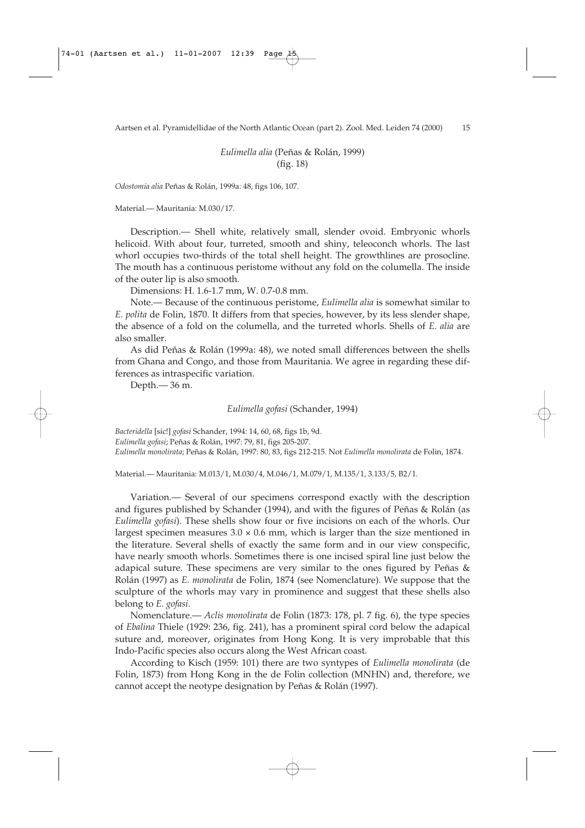*Eulimella alia* (Peñas & Rolán, 1999) (fig. 18)

*Odostomia alia* Peñas & Rolán, 1999a: 48, figs 106, 107.

Material.— Mauritania: M.030/17.

Description.— Shell white, relatively small, slender ovoid. Embryonic whorls helicoid. With about four, turreted, smooth and shiny, teleoconch whorls. The last whorl occupies two-thirds of the total shell height. The growthlines are prosocline. The mouth has a continuous peristome without any fold on the columella. The inside of the outer lip is also smooth.

Dimensions: H. 1.6-1.7 mm, W. 0.7-0.8 mm.

Note.— Because of the continuous peristome, *Eulimella alia* is somewhat similar to *E. polita* de Folin, 1870. It differs from that species, however, by its less slender shape, the absence of a fold on the columella, and the turreted whorls. Shells of *E. alia* are also smaller.

As did Peñas & Rolán (1999a: 48), we noted small differences between the shells from Ghana and Congo, and those from Mauritania. We agree in regarding these differences as intraspecific variation.

Depth.— 36 m.

*Eulimella gofasi* (Schander, 1994)

*Bacteridella* [sic!] *gofasi* Schander, 1994: 14, 60, 68, figs 1b, 9d. *Eulimella gofasi*; Peñas & Rolán, 1997: 79, 81, figs 205-207. *Eulimella monolirata*; Peñas & Rolán, 1997: 80, 83, figs 212-215. Not *Eulimella monolirata* de Folin, 1874.

Material.— Mauritania: M.013/1, M.030/4, M.046/1, M.079/1, M.135/1, 3.133/5, B2/1.

Variation.— Several of our specimens correspond exactly with the description and figures published by Schander (1994), and with the figures of Peñas & Rolán (as *Eulimella gofasi*). These shells show four or five incisions on each of the whorls. Our largest specimen measures  $3.0 \times 0.6$  mm, which is larger than the size mentioned in the literature. Several shells of exactly the same form and in our view conspecific, have nearly smooth whorls. Sometimes there is one incised spiral line just below the adapical suture. These specimens are very similar to the ones figured by Peñas & Rolán (1997) as *E. monolirata* de Folin, 1874 (see Nomenclature). We suppose that the sculpture of the whorls may vary in prominence and suggest that these shells also belong to *E. gofasi*.

Nomenclature.— *Aclis monolirata* de Folin (1873: 178, pl. 7 fig. 6), the type species of *Ebalina* Thiele (1929: 236, fig. 241), has a prominent spiral cord below the adapical suture and, moreover, originates from Hong Kong. It is very improbable that this Indo-Pacific species also occurs along the West African coast.

According to Kisch (1959: 101) there are two syntypes of *Eulimella monolirata* (de Folin, 1873) from Hong Kong in the de Folin collection (MNHN) and, therefore, we cannot accept the neotype designation by Peñas & Rolán (1997).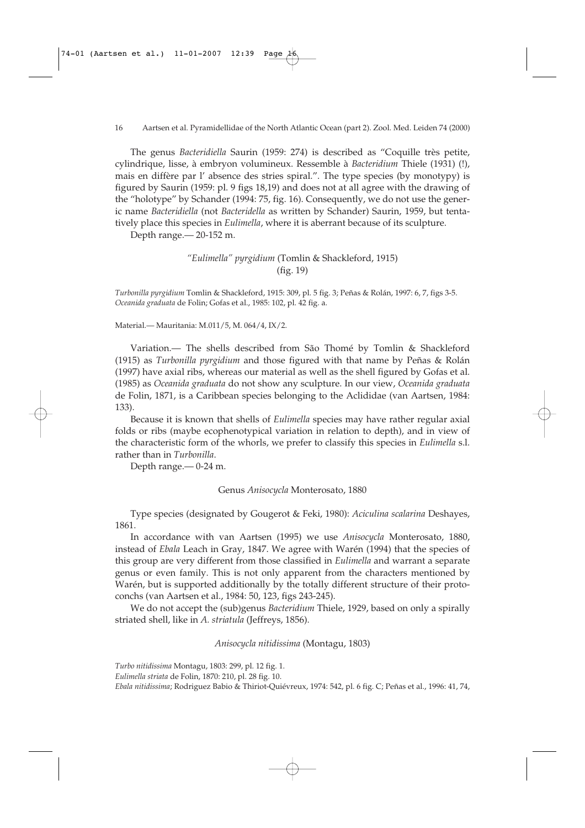The genus *Bacteridiella* Saurin (1959: 274) is described as "Coquille très petite, cylindrique, lisse, à embryon volumineux. Ressemble à *Bacteridium* Thiele (1931) (!), mais en diffère par l' absence des stries spiral.". The type species (by monotypy) is figured by Saurin (1959: pl. 9 figs 18,19) and does not at all agree with the drawing of the "holotype" by Schander (1994: 75, fig. 16). Consequently, we do not use the generic name *Bacteridiella* (not *Bacteridella* as written by Schander) Saurin, 1959, but tentatively place this species in *Eulimella*, where it is aberrant because of its sculpture.

Depth range.— 20-152 m.

# *"Eulimella" pyrgidium* (Tomlin & Shackleford, 1915) (fig. 19)

*Turbonilla pyrgidium* Tomlin & Shackleford, 1915: 309, pl. 5 fig. 3; Peñas & Rolán, 1997: 6, 7, figs 3-5. *Oceanida graduata* de Folin; Gofas et al., 1985: 102, pl. 42 fig. a.

Material.— Mauritania: M.011/5, M. 064/4, IX/2.

Variation.— The shells described from São Thomé by Tomlin & Shackleford (1915) as *Turbonilla pyrgidium* and those figured with that name by Peñas & Rolán (1997) have axial ribs, whereas our material as well as the shell figured by Gofas et al. (1985) as *Oceanida graduata* do not show any sculpture. In our view, *Oceanida graduata* de Folin, 1871, is a Caribbean species belonging to the Aclididae (van Aartsen, 1984: 133).

Because it is known that shells of *Eulimella* species may have rather regular axial folds or ribs (maybe ecophenotypical variation in relation to depth), and in view of the characteristic form of the whorls, we prefer to classify this species in *Eulimella* s.l. rather than in *Turbonilla*.

Depth range.— 0-24 m.

### Genus *Anisocycla* Monterosato, 1880

Type species (designated by Gougerot & Feki, 1980): *Aciculina scalarina* Deshayes, 1861.

In accordance with van Aartsen (1995) we use *Anisocycla* Monterosato, 1880, instead of *Ebala* Leach in Gray, 1847. We agree with Warén (1994) that the species of this group are very different from those classified in *Eulimella* and warrant a separate genus or even family. This is not only apparent from the characters mentioned by Warén, but is supported additionally by the totally different structure of their protoconchs (van Aartsen et al., 1984: 50, 123, figs 243-245).

We do not accept the (sub)genus *Bacteridium* Thiele, 1929, based on only a spirally striated shell, like in *A. striatula* (Jeffreys, 1856).

*Anisocycla nitidissima* (Montagu, 1803)

*Turbo nitidissima* Montagu, 1803: 299, pl. 12 fig. 1.

*Eulimella striata* de Folin, 1870: 210, pl. 28 fig. 10.

*Ebala nitidissima*; Rodriguez Babio & Thiriot-Quiévreux, 1974: 542, pl. 6 fig. C; Peñas et al., 1996: 41, 74,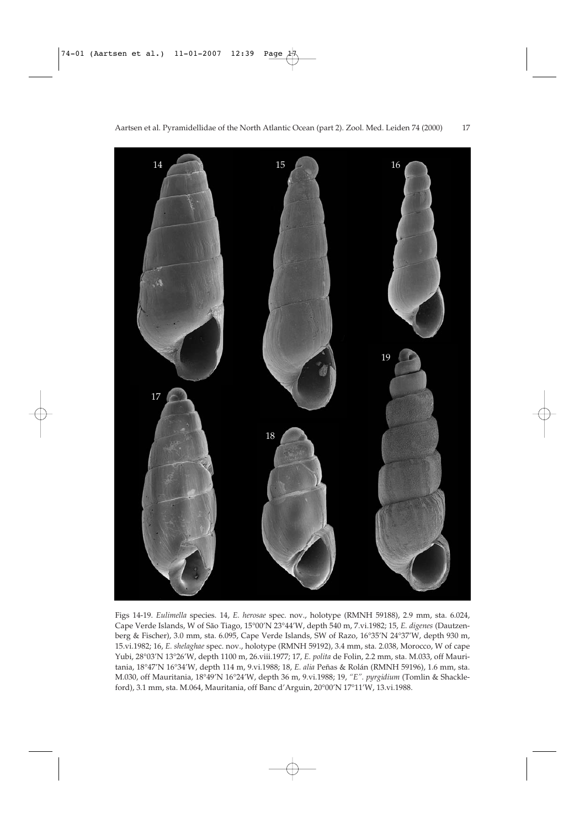

Figs 14-19. *Eulimella* species. 14, *E. herosae* spec. nov., holotype (RMNH 59188), 2.9 mm, sta. 6.024, Cape Verde Islands, W of São Tiago, 15°00'N 23°44'W, depth 540 m, 7.vi.1982; 15, *E. digenes* (Dautzenberg & Fischer), 3.0 mm, sta. 6.095, Cape Verde Islands, SW of Razo, 16°35'N 24°37'W, depth 930 m, 15.vi.1982; 16, *E. shelaghae* spec. nov., holotype (RMNH 59192), 3.4 mm, sta. 2.038, Morocco, W of cape Yubi, 28°03'N 13°26'W, depth 1100 m, 26.viii.1977; 17, *E. polita* de Folin, 2.2 mm, sta. M.033, off Mauritania, 18°47'N 16°34'W, depth 114 m, 9.vi.1988; 18, *E. alia* Peñas & Rolán (RMNH 59196), 1.6 mm, sta. M.030, off Mauritania, 18°49'N 16°24'W, depth 36 m, 9.vi.1988; 19, *"E". pyrgidium* (Tomlin & Shackleford), 3.1 mm, sta. M.064, Mauritania, off Banc d'Arguin, 20°00'N 17°11'W, 13.vi.1988.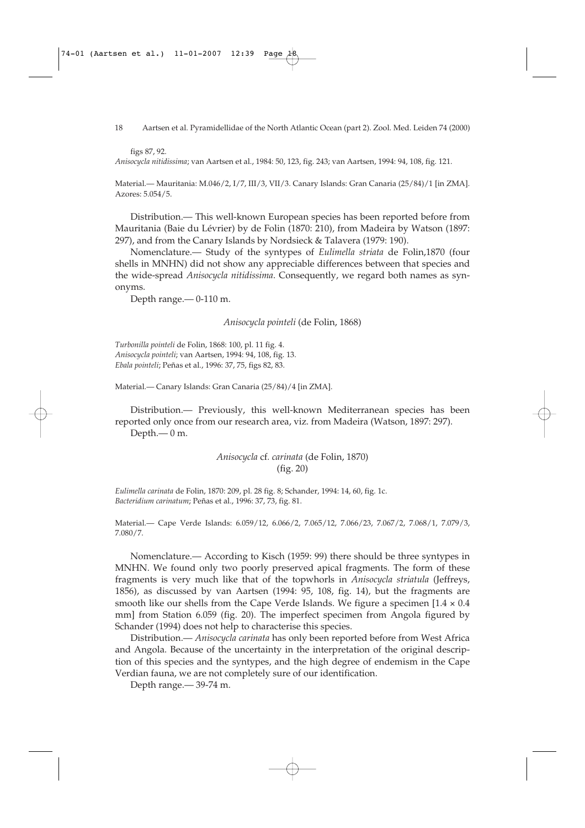18 Aartsen et al. Pyramidellidae of the North Atlantic Ocean (part 2). Zool. Med. Leiden 74 (2000)

figs 87, 92.

*Anisocycla nitidissima*; van Aartsen et al., 1984: 50, 123, fig. 243; van Aartsen, 1994: 94, 108, fig. 121.

Material.— Mauritania: M.046/2, I/7, III/3, VII/3. Canary Islands: Gran Canaria (25/84)/1 [in ZMA]. Azores: 5.054/5.

Distribution.— This well-known European species has been reported before from Mauritania (Baie du Lévrier) by de Folin (1870: 210), from Madeira by Watson (1897: 297), and from the Canary Islands by Nordsieck & Talavera (1979: 190).

Nomenclature.— Study of the syntypes of *Eulimella striata* de Folin,1870 (four shells in MNHN) did not show any appreciable differences between that species and the wide-spread *Anisocycla nitidissima*. Consequently, we regard both names as synonyms.

Depth range.— 0-110 m.

*Anisocycla pointeli* (de Folin, 1868)

*Turbonilla pointeli* de Folin, 1868: 100, pl. 11 fig. 4. *Anisocycla pointeli*; van Aartsen, 1994: 94, 108, fig. 13. *Ebala pointeli*; Peñas et al., 1996: 37, 75, figs 82, 83.

Material.— Canary Islands: Gran Canaria (25/84)/4 [in ZMA].

Distribution.— Previously, this well-known Mediterranean species has been reported only once from our research area, viz. from Madeira (Watson, 1897: 297). Depth.— 0 m.

# *Anisocycla* cf*. carinata* (de Folin, 1870) (fig. 20)

*Eulimella carinata* de Folin, 1870: 209, pl. 28 fig. 8; Schander, 1994: 14, 60, fig. 1c. *Bacteridium carinatum*; Peñas et al., 1996: 37, 73, fig. 81.

Material.— Cape Verde Islands: 6.059/12, 6.066/2, 7.065/12, 7.066/23, 7.067/2, 7.068/1, 7.079/3, 7.080/7.

Nomenclature.— According to Kisch (1959: 99) there should be three syntypes in MNHN. We found only two poorly preserved apical fragments. The form of these fragments is very much like that of the topwhorls in *Anisocycla striatula* (Jeffreys, 1856), as discussed by van Aartsen (1994: 95, 108, fig. 14), but the fragments are smooth like our shells from the Cape Verde Islands. We figure a specimen  $[1.4 \times 0.4]$ mm] from Station 6.059 (fig. 20). The imperfect specimen from Angola figured by Schander (1994) does not help to characterise this species.

Distribution.— *Anisocycla carinata* has only been reported before from West Africa and Angola. Because of the uncertainty in the interpretation of the original description of this species and the syntypes, and the high degree of endemism in the Cape Verdian fauna, we are not completely sure of our identification.

Depth range.— 39-74 m.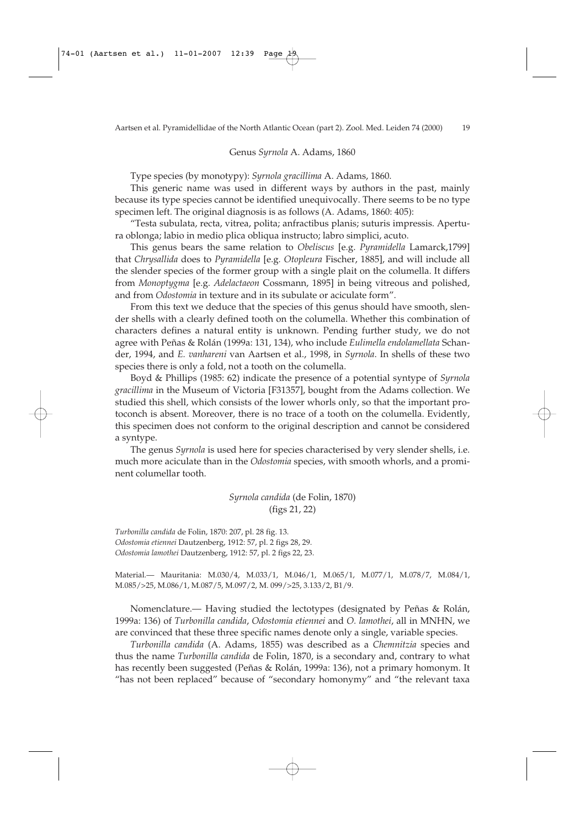#### Genus *Syrnola* A. Adams, 1860

Type species (by monotypy): *Syrnola gracillima* A. Adams, 1860.

This generic name was used in different ways by authors in the past, mainly because its type species cannot be identified unequivocally. There seems to be no type specimen left. The original diagnosis is as follows (A. Adams, 1860: 405):

"Testa subulata, recta, vitrea, polita; anfractibus planis; suturis impressis. Apertura oblonga; labio in medio plica obliqua instructo; labro simplici, acuto.

This genus bears the same relation to *Obeliscus* [e.g. *Pyramidella* Lamarck,1799] that *Chrysallida* does to *Pyramidella* [e.g*. Otopleura* Fischer, 1885], and will include all the slender species of the former group with a single plait on the columella. It differs from *Monoptygma* [e.g. *Adelactaeon* Cossmann, 1895] in being vitreous and polished, and from *Odostomia* in texture and in its subulate or aciculate form".

From this text we deduce that the species of this genus should have smooth, slender shells with a clearly defined tooth on the columella. Whether this combination of characters defines a natural entity is unknown. Pending further study, we do not agree with Peñas & Rolán (1999a: 131, 134), who include *Eulimella endolamellata* Schander, 1994, and *E. vanhareni* van Aartsen et al., 1998, in *Syrnola*. In shells of these two species there is only a fold, not a tooth on the columella.

Boyd & Phillips (1985: 62) indicate the presence of a potential syntype of *Syrnola gracillima* in the Museum of Victoria [F31357], bought from the Adams collection. We studied this shell, which consists of the lower whorls only, so that the important protoconch is absent. Moreover, there is no trace of a tooth on the columella. Evidently, this specimen does not conform to the original description and cannot be considered a syntype.

The genus *Syrnola* is used here for species characterised by very slender shells, i.e. much more aciculate than in the *Odostomia* species, with smooth whorls, and a prominent columellar tooth.

> *Syrnola candida* (de Folin, 1870) (figs 21, 22)

*Turbonilla candida* de Folin, 1870: 207, pl. 28 fig. 13. *Odostomia etiennei* Dautzenberg, 1912: 57, pl. 2 figs 28, 29. *Odostomia lamothei* Dautzenberg, 1912: 57, pl. 2 figs 22, 23.

Material.— Mauritania: M.030/4, M.033/1, M.046/1, M.065/1, M.077/1, M.078/7, M.084/1, M.085/>25, M.086/1, M.087/5, M.097/2, M. 099/>25, 3.133/2, B1/9.

Nomenclature.— Having studied the lectotypes (designated by Peñas & Rolán, 1999a: 136) of *Turbonilla candida*, *Odostomia etiennei* and *O. lamothei*, all in MNHN, we are convinced that these three specific names denote only a single, variable species.

*Turbonilla candida* (A. Adams, 1855) was described as a *Chemnitzia* species and thus the name *Turbonilla candida* de Folin, 1870, is a secondary and, contrary to what has recently been suggested (Peñas & Rolán, 1999a: 136), not a primary homonym. It "has not been replaced" because of "secondary homonymy" and "the relevant taxa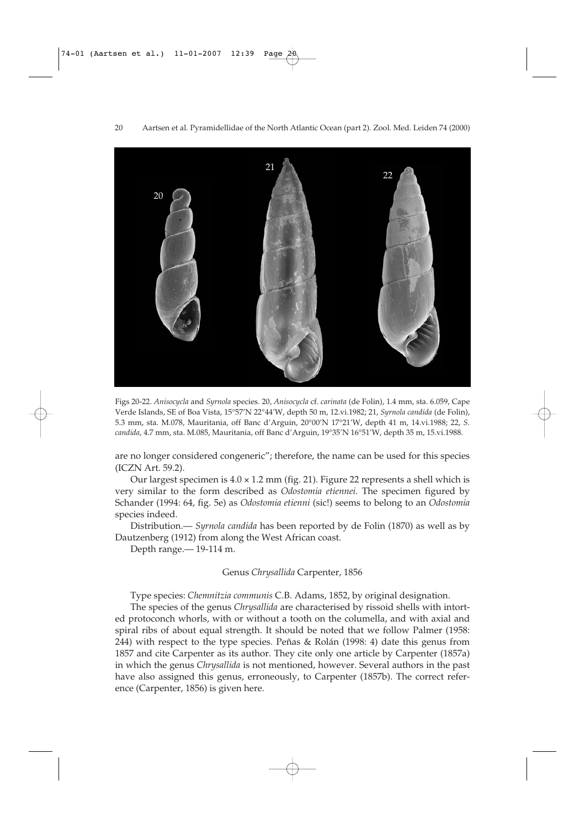

Figs 20-22. *Anisocycla* and *Syrnola* species. 20, *Anisocycla* cf. *carinata* (de Folin), 1.4 mm, sta. 6.059, Cape Verde Islands, SE of Boa Vista, 15°57'N 22°44'W, depth 50 m, 12.vi.1982; 21, *Syrnola candida* (de Folin), 5.3 mm, sta. M.078, Mauritania, off Banc d'Arguin, 20°00'N 17°21'W, depth 41 m, 14.vi.1988; 22, *S. candida*, 4.7 mm, sta. M.085, Mauritania, off Banc d'Arguin, 19°35'N 16°51'W, depth 35 m, 15.vi.1988.

are no longer considered congeneric"; therefore, the name can be used for this species (ICZN Art. 59.2).

Our largest specimen is  $4.0 \times 1.2$  mm (fig. 21). Figure 22 represents a shell which is very similar to the form described as *Odostomia etiennei*. The specimen figured by Schander (1994: 64, fig. 5e) as *Odostomia etienni* (sic!) seems to belong to an *Odostomia* species indeed.

Distribution.— *Syrnola candida* has been reported by de Folin (1870) as well as by Dautzenberg (1912) from along the West African coast.

Depth range.— 19-114 m.

### Genus *Chrysallida* Carpenter, 1856

Type species: *Chemnitzia communis* C.B. Adams, 1852, by original designation.

The species of the genus *Chrysallida* are characterised by rissoid shells with intorted protoconch whorls, with or without a tooth on the columella, and with axial and spiral ribs of about equal strength. It should be noted that we follow Palmer (1958: 244) with respect to the type species. Peñas & Rolán (1998: 4) date this genus from 1857 and cite Carpenter as its author. They cite only one article by Carpenter (1857a) in which the genus *Chrysallida* is not mentioned, however. Several authors in the past have also assigned this genus, erroneously, to Carpenter (1857b). The correct reference (Carpenter, 1856) is given here.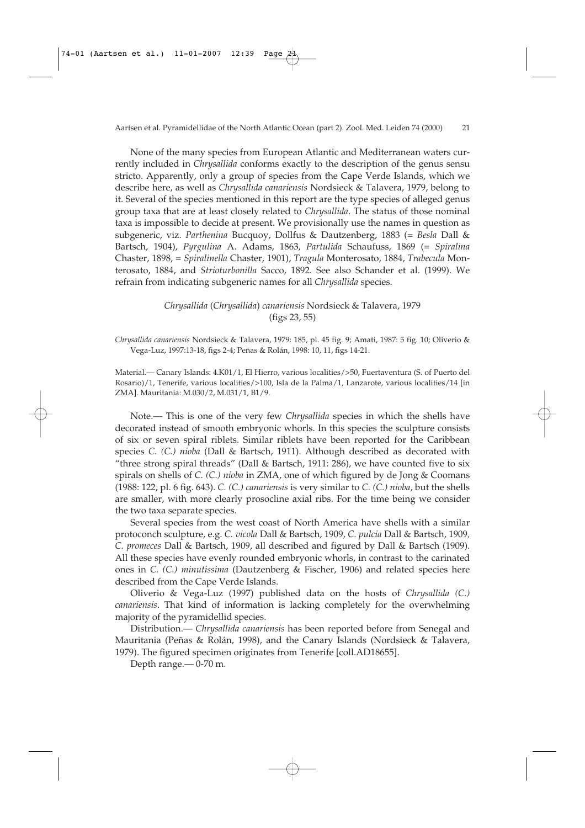None of the many species from European Atlantic and Mediterranean waters currently included in *Chrysallida* conforms exactly to the description of the genus sensu stricto. Apparently, only a group of species from the Cape Verde Islands, which we describe here, as well as *Chrysallida canariensis* Nordsieck & Talavera, 1979, belong to it. Several of the species mentioned in this report are the type species of alleged genus group taxa that are at least closely related to *Chrysallida*. The status of those nominal taxa is impossible to decide at present. We provisionally use the names in question as subgeneric, viz. *Parthenina* Bucquoy, Dollfus & Dautzenberg, 1883 (= *Besla* Dall & Bartsch, 1904), *Pyrgulina* A. Adams, 1863, *Partulida* Schaufuss, 1869 (= *Spiralina* Chaster, 1898, = *Spiralinella* Chaster, 1901), *Tragula* Monterosato, 1884, *Trabecula* Monterosato, 1884, and *Strioturbonilla* Sacco, 1892. See also Schander et al. (1999). We refrain from indicating subgeneric names for all *Chrysallida* species.

### *Chrysallida* (*Chrysallida*) *canariensis* Nordsieck & Talavera, 1979 (figs 23, 55)

*Chrysallida canariensis* Nordsieck & Talavera, 1979: 185, pl. 45 fig. 9; Amati, 1987: 5 fig. 10; Oliverio & Vega-Luz, 1997:13-18, figs 2-4; Peñas & Rolán, 1998: 10, 11, figs 14-21.

Material.— Canary Islands: 4.K01/1, El Hierro, various localities/>50, Fuertaventura (S. of Puerto del Rosario)/1, Tenerife, various localities/>100, Isla de la Palma/1, Lanzarote, various localities/14 [in ZMA]. Mauritania: M.030/2, M.031/1, B1/9.

Note.— This is one of the very few *Chrysallida* species in which the shells have decorated instead of smooth embryonic whorls. In this species the sculpture consists of six or seven spiral riblets. Similar riblets have been reported for the Caribbean species *C. (C.) nioba* (Dall & Bartsch, 1911). Although described as decorated with "three strong spiral threads" (Dall & Bartsch, 1911: 286), we have counted five to six spirals on shells of *C. (C.) nioba* in ZMA, one of which figured by de Jong & Coomans (1988: 122, pl. 6 fig. 643). *C. (C.) canariensis* is very similar to *C. (C.) nioba*, but the shells are smaller, with more clearly prosocline axial ribs. For the time being we consider the two taxa separate species.

Several species from the west coast of North America have shells with a similar protoconch sculpture, e.g. *C. vicola* Dall & Bartsch, 1909, *C. pulcia* Dall & Bartsch, 1909*, C. promeces* Dall & Bartsch, 1909, all described and figured by Dall & Bartsch (1909). All these species have evenly rounded embryonic whorls, in contrast to the carinated ones in *C. (C.) minutissima* (Dautzenberg & Fischer, 1906) and related species here described from the Cape Verde Islands.

Oliverio & Vega-Luz (1997) published data on the hosts of *Chrysallida (C.) canariensis*. That kind of information is lacking completely for the overwhelming majority of the pyramidellid species.

Distribution.— *Chrysallida canariensis* has been reported before from Senegal and Mauritania (Peñas & Rolán, 1998), and the Canary Islands (Nordsieck & Talavera, 1979). The figured specimen originates from Tenerife [coll.AD18655].

Depth range.— 0-70 m.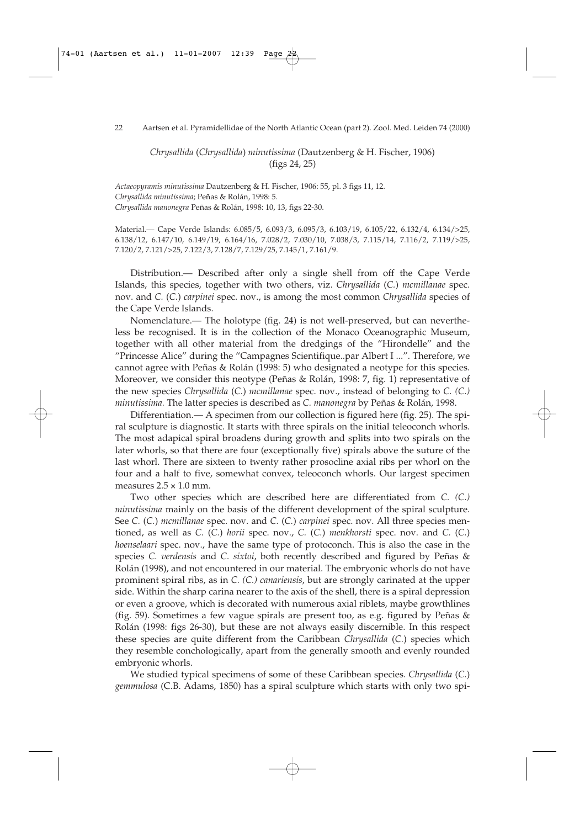*Chrysallida* (*Chrysallida*) *minutissima* (Dautzenberg & H. Fischer, 1906) (figs 24, 25)

*Actaeopyramis minutissima* Dautzenberg & H. Fischer, 1906: 55, pl. 3 figs 11, 12. *Chrysallida minutissima*; Peñas & Rolán, 1998: 5. *Chrysallida manonegra* Peñas & Rolán, 1998: 10, 13, figs 22-30.

Material.— Cape Verde Islands: 6.085/5, 6.093/3, 6.095/3, 6.103/19, 6.105/22, 6.132/4, 6.134/>25, 6.138/12, 6.147/10, 6.149/19, 6.164/16, 7.028/2, 7.030/10, 7.038/3, 7.115/14, 7.116/2, 7.119/>25, 7.120/2, 7.121/>25, 7.122/3, 7.128/7, 7.129/25, 7.145/1, 7.161/9.

Distribution.— Described after only a single shell from off the Cape Verde Islands, this species, together with two others, viz. *Chrysallida* (*C.*) *mcmillanae* spec. nov. and *C.* (*C.*) *carpinei* spec. nov., is among the most common *Chrysallida* species of the Cape Verde Islands.

Nomenclature.— The holotype (fig. 24) is not well-preserved, but can nevertheless be recognised. It is in the collection of the Monaco Oceanographic Museum, together with all other material from the dredgings of the "Hirondelle" and the "Princesse Alice" during the "Campagnes Scientifique..par Albert I ...". Therefore, we cannot agree with Peñas & Rolán (1998: 5) who designated a neotype for this species. Moreover, we consider this neotype (Peñas & Rolán, 1998: 7, fig. 1) representative of the new species *Chrysallida* (*C.*) *mcmillanae* spec. nov., instead of belonging to *C. (C.) minutissima.* The latter species is described as *C. manonegra* by Peñas & Rolán, 1998.

Differentiation.— A specimen from our collection is figured here (fig. 25). The spiral sculpture is diagnostic. It starts with three spirals on the initial teleoconch whorls. The most adapical spiral broadens during growth and splits into two spirals on the later whorls, so that there are four (exceptionally five) spirals above the suture of the last whorl. There are sixteen to twenty rather prosocline axial ribs per whorl on the four and a half to five, somewhat convex, teleoconch whorls. Our largest specimen measures  $2.5 \times 1.0$  mm.

Two other species which are described here are differentiated from *C. (C.) minutissima* mainly on the basis of the different development of the spiral sculpture. See *C.* (*C.*) *mcmillanae* spec. nov. and *C.* (*C.*) *carpinei* spec. nov. All three species mentioned, as well as *C.* (*C.*) *horii* spec. nov., *C.* (*C.*) *menkhorsti* spec. nov. and *C.* (*C.*) *hoenselaari* spec. nov., have the same type of protoconch. This is also the case in the species *C. verdensis* and *C. sixtoi*, both recently described and figured by Peñas & Rolán (1998), and not encountered in our material. The embryonic whorls do not have prominent spiral ribs, as in *C. (C.) canariensis*, but are strongly carinated at the upper side. Within the sharp carina nearer to the axis of the shell, there is a spiral depression or even a groove, which is decorated with numerous axial riblets, maybe growthlines (fig. 59). Sometimes a few vague spirals are present too, as e.g. figured by Peñas & Rolán (1998: figs 26-30), but these are not always easily discernible. In this respect these species are quite different from the Caribbean *Chrysallida* (*C.*) species which they resemble conchologically, apart from the generally smooth and evenly rounded embryonic whorls.

We studied typical specimens of some of these Caribbean species. *Chrysallida* (*C.*) *gemmulosa* (C.B. Adams, 1850) has a spiral sculpture which starts with only two spi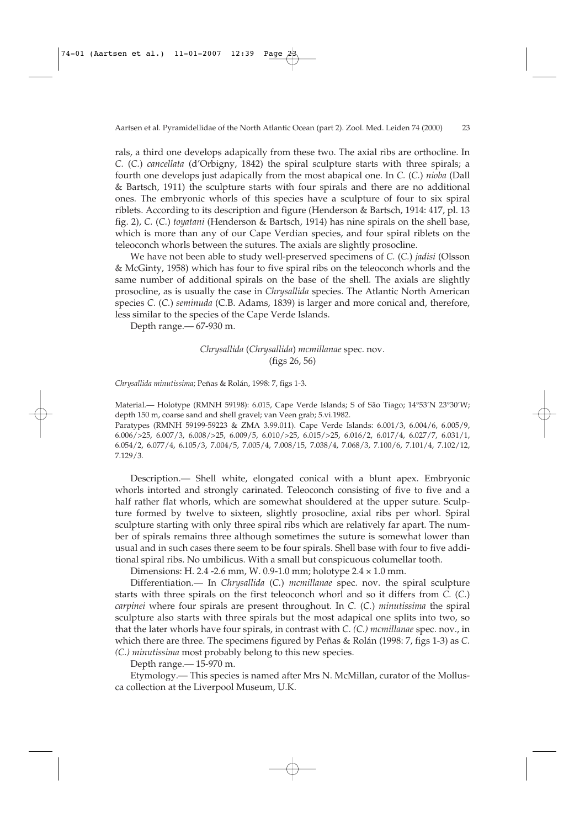rals, a third one develops adapically from these two. The axial ribs are orthocline. In *C.* (*C.*) *cancellata* (d'Orbigny, 1842) the spiral sculpture starts with three spirals; a fourth one develops just adapically from the most abapical one. In *C.* (*C.*) *nioba* (Dall & Bartsch, 1911) the sculpture starts with four spirals and there are no additional ones. The embryonic whorls of this species have a sculpture of four to six spiral riblets. According to its description and figure (Henderson & Bartsch, 1914: 417, pl. 13 fig. 2), *C.* (*C.*) *toyatani* (Henderson & Bartsch, 1914) has nine spirals on the shell base, which is more than any of our Cape Verdian species, and four spiral riblets on the teleoconch whorls between the sutures. The axials are slightly prosocline.

We have not been able to study well-preserved specimens of *C.* (*C.*) *jadisi* (Olsson & McGinty, 1958) which has four to five spiral ribs on the teleoconch whorls and the same number of additional spirals on the base of the shell. The axials are slightly prosocline, as is usually the case in *Chrysallida* species. The Atlantic North American species *C.* (*C.*) *seminuda* (C.B. Adams, 1839) is larger and more conical and, therefore, less similar to the species of the Cape Verde Islands.

Depth range.— 67-930 m.

# *Chrysallida* (*Chrysallida*) *mcmillanae* spec. nov. (figs 26, 56)

*Chrysallida minutissima*; Peñas & Rolán, 1998: 7, figs 1-3.

Material.— Holotype (RMNH 59198): 6.015, Cape Verde Islands; S of São Tiago; 14°53'N 23°30'W; depth 150 m, coarse sand and shell gravel; van Veen grab; 5.vi.1982.

Paratypes (RMNH 59199-59223 & ZMA 3.99.011). Cape Verde Islands: 6.001/3, 6.004/6, 6.005/9, 6.006/>25, 6.007/3, 6.008/>25, 6.009/5, 6.010/>25, 6.015/>25, 6.016/2, 6.017/4, 6.027/7, 6.031/1, 6.054/2, 6.077/4, 6.105/3, 7.004/5, 7.005/4, 7.008/15, 7.038/4, 7.068/3, 7.100/6, 7.101/4, 7.102/12, 7.129/3.

Description.— Shell white, elongated conical with a blunt apex. Embryonic whorls intorted and strongly carinated. Teleoconch consisting of five to five and a half rather flat whorls, which are somewhat shouldered at the upper suture. Sculpture formed by twelve to sixteen, slightly prosocline, axial ribs per whorl. Spiral sculpture starting with only three spiral ribs which are relatively far apart. The number of spirals remains three although sometimes the suture is somewhat lower than usual and in such cases there seem to be four spirals. Shell base with four to five additional spiral ribs. No umbilicus. With a small but conspicuous columellar tooth.

Dimensions: H. 2.4 -2.6 mm, W. 0.9-1.0 mm; holotype 2.4 × 1.0 mm.

Differentiation.— In *Chrysallida* (*C.*) *mcmillanae* spec. nov. the spiral sculpture starts with three spirals on the first teleoconch whorl and so it differs from *C.* (*C.*) *carpinei* where four spirals are present throughout. In *C.* (*C.*) *minutissima* the spiral sculpture also starts with three spirals but the most adapical one splits into two, so that the later whorls have four spirals, in contrast with *C*. *(C.) mcmillanae* spec. nov., in which there are three. The specimens figured by Peñas & Rolán (1998: 7, figs 1-3) as *C. (C.) minutissima* most probably belong to this new species.

Depth range.— 15-970 m.

Etymology.— This species is named after Mrs N. McMillan, curator of the Mollusca collection at the Liverpool Museum, U.K.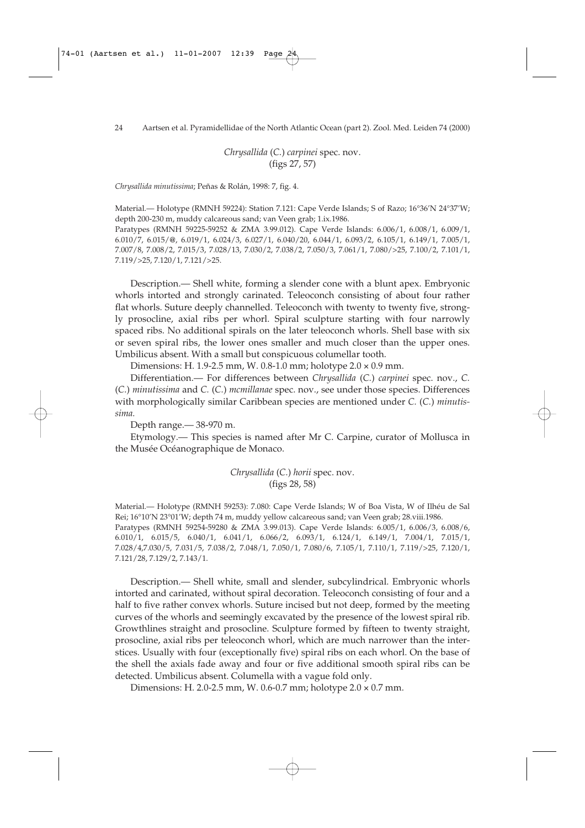24 Aartsen et al. Pyramidellidae of the North Atlantic Ocean (part 2). Zool. Med. Leiden 74 (2000)

*Chrysallida* (*C.*) *carpinei* spec. nov. (figs 27, 57)

*Chrysallida minutissima*; Peñas & Rolán, 1998: 7, fig. 4.

Material.— Holotype (RMNH 59224): Station 7.121: Cape Verde Islands; S of Razo; 16°36'N 24°37'W; depth 200-230 m, muddy calcareous sand; van Veen grab; 1.ix.1986.

Paratypes (RMNH 59225-59252 & ZMA 3.99.012). Cape Verde Islands: 6.006/1, 6.008/1, 6.009/1, 6.010/7, 6.015/**@**, 6.019/1, 6.024/3, 6.027/1, 6.040/20, 6.044/1, 6.093/2, 6.105/1, 6.149/1, 7.005/1, 7.007/8, 7.008/2, 7.015/3, 7.028/13, 7.030/2, 7.038/2, 7.050/3, 7.061/1, 7.080/>25, 7.100/2, 7.101/1, 7.119/>25, 7.120/1, 7.121/>25.

Description.— Shell white, forming a slender cone with a blunt apex. Embryonic whorls intorted and strongly carinated. Teleoconch consisting of about four rather flat whorls. Suture deeply channelled. Teleoconch with twenty to twenty five, strongly prosocline, axial ribs per whorl. Spiral sculpture starting with four narrowly spaced ribs. No additional spirals on the later teleoconch whorls. Shell base with six or seven spiral ribs, the lower ones smaller and much closer than the upper ones. Umbilicus absent. With a small but conspicuous columellar tooth.

Dimensions: H. 1.9-2.5 mm, W. 0.8-1.0 mm; holotype 2.0 × 0.9 mm.

Differentiation.— For differences between *Chrysallida* (*C.*) *carpinei* spec. nov., *C.* (*C.*) *minutissima* and *C.* (*C.*) *mcmillanae* spec. nov., see under those species. Differences with morphologically similar Caribbean species are mentioned under *C.* (*C.*) *minutissima.*

Depth range.— 38-970 m.

Etymology.— This species is named after Mr C. Carpine, curator of Mollusca in the Musée Océanographique de Monaco.

> *Chrysallida* (*C.*) *horii* spec. nov. (figs 28, 58)

Material.— Holotype (RMNH 59253): 7.080: Cape Verde Islands; W of Boa Vista, W of Ilhéu de Sal Rei; 16°10'N 23°01'W; depth 74 m, muddy yellow calcareous sand; van Veen grab; 28.viii.1986. Paratypes (RMNH 59254-59280 & ZMA 3.99.013). Cape Verde Islands: 6.005/1, 6.006/3, 6.008/6, 6.010/1, 6.015/5, 6.040/1, 6.041/1, 6.066/2, 6.093/1, 6.124/1, 6.149/1, 7.004/1, 7.015/1, 7.028/4,7.030/5, 7.031/5, 7.038/2, 7.048/1, 7.050/1, 7.080/6, 7.105/1, 7.110/1, 7.119/>25, 7.120/1, 7.121/28, 7.129/2, 7.143/1.

Description.— Shell white, small and slender, subcylindrical. Embryonic whorls intorted and carinated, without spiral decoration. Teleoconch consisting of four and a half to five rather convex whorls. Suture incised but not deep, formed by the meeting curves of the whorls and seemingly excavated by the presence of the lowest spiral rib. Growthlines straight and prosocline. Sculpture formed by fifteen to twenty straight, prosocline, axial ribs per teleoconch whorl, which are much narrower than the interstices. Usually with four (exceptionally five) spiral ribs on each whorl. On the base of the shell the axials fade away and four or five additional smooth spiral ribs can be detected. Umbilicus absent. Columella with a vague fold only.

Dimensions: H. 2.0-2.5 mm, W. 0.6-0.7 mm; holotype 2.0 × 0.7 mm.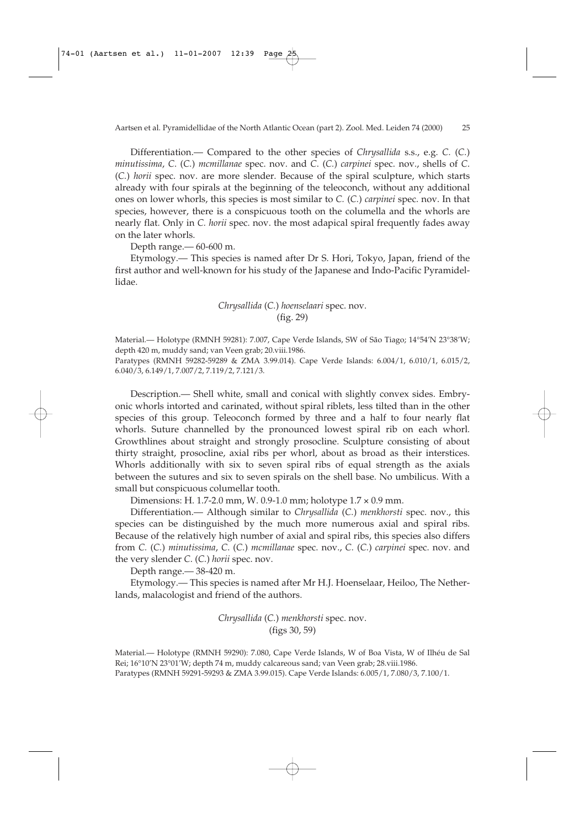Differentiation.— Compared to the other species of *Chrysallida* s.s., e.g. *C.* (*C.*) *minutissima*, *C*. (*C.*) *mcmillanae* spec. nov. and *C*. (*C.*) *carpinei* spec. nov., shells of *C*. (*C.*) *horii* spec. nov. are more slender. Because of the spiral sculpture, which starts already with four spirals at the beginning of the teleoconch, without any additional ones on lower whorls, this species is most similar to *C.* (*C.*) *carpinei* spec. nov. In that species, however, there is a conspicuous tooth on the columella and the whorls are nearly flat. Only in *C. horii* spec. nov. the most adapical spiral frequently fades away on the later whorls.

Depth range.— 60-600 m.

Etymology.— This species is named after Dr S. Hori, Tokyo, Japan, friend of the first author and well-known for his study of the Japanese and Indo-Pacific Pyramidellidae.

> *Chrysallida* (*C.*) *hoenselaari* spec. nov. (fig. 29)

Material.— Holotype (RMNH 59281): 7.007, Cape Verde Islands, SW of São Tiago; 14°54'N 23°38'W; depth 420 m, muddy sand; van Veen grab; 20.viii.1986.

Paratypes (RMNH 59282-59289 & ZMA 3.99.014). Cape Verde Islands: 6.004/1, 6.010/1, 6.015/2, 6.040/3, 6.149/1, 7.007/2, 7.119/2, 7.121/3.

Description.— Shell white, small and conical with slightly convex sides. Embryonic whorls intorted and carinated, without spiral riblets, less tilted than in the other species of this group. Teleoconch formed by three and a half to four nearly flat whorls. Suture channelled by the pronounced lowest spiral rib on each whorl. Growthlines about straight and strongly prosocline. Sculpture consisting of about thirty straight, prosocline, axial ribs per whorl, about as broad as their interstices. Whorls additionally with six to seven spiral ribs of equal strength as the axials between the sutures and six to seven spirals on the shell base. No umbilicus. With a small but conspicuous columellar tooth.

Dimensions: H. 1.7-2.0 mm, W. 0.9-1.0 mm; holotype 1.7 × 0.9 mm.

Differentiation.— Although similar to *Chrysallida* (*C.*) *menkhorsti* spec. nov., this species can be distinguished by the much more numerous axial and spiral ribs. Because of the relatively high number of axial and spiral ribs, this species also differs from *C.* (*C.*) *minutissima*, *C*. (*C.*) *mcmillanae* spec. nov., *C.* (*C.*) *carpinei* spec. nov. and the very slender *C*. (*C.*) *horii* spec. nov.

Depth range.— 38-420 m.

Etymology.— This species is named after Mr H.J. Hoenselaar, Heiloo, The Netherlands, malacologist and friend of the authors.

> *Chrysallida* (*C.*) *menkhorsti* spec. nov. (figs 30, 59)

Material.— Holotype (RMNH 59290): 7.080, Cape Verde Islands, W of Boa Vista, W of Ilhéu de Sal Rei; 16°10'N 23°01'W; depth 74 m, muddy calcareous sand; van Veen grab; 28.viii.1986. Paratypes (RMNH 59291-59293 & ZMA 3.99.015). Cape Verde Islands: 6.005/1, 7.080/3, 7.100/1.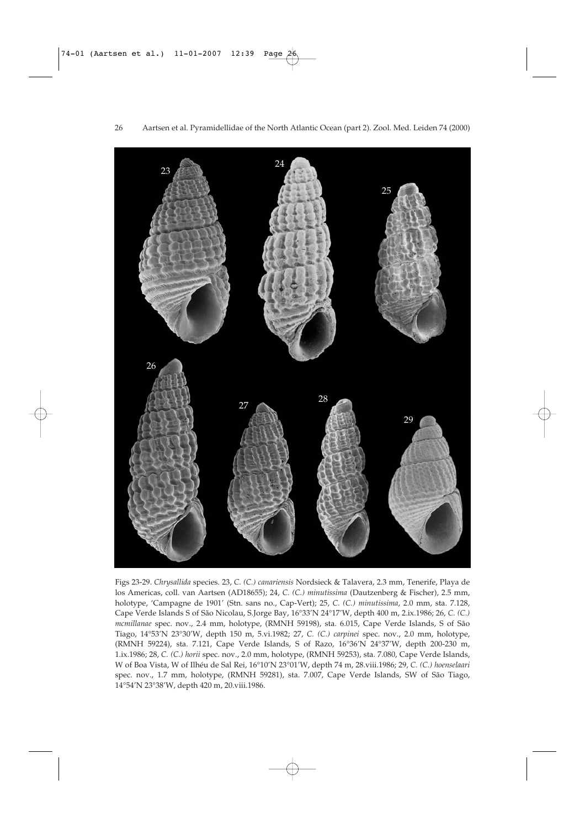

Figs 23-29. *Chrysallida* species. 23, *C. (C.) canariensis* Nordsieck & Talavera, 2.3 mm, Tenerife, Playa de los Americas, coll. van Aartsen (AD18655); 24, *C. (C.) minutissima* (Dautzenberg & Fischer), 2.5 mm, holotype, 'Campagne de 1901' (Stn. sans no., Cap-Vert); 25, *C. (C.) minutissima*, 2.0 mm, sta. 7.128, Cape Verde Islands S of São Nicolau, S.Jorge Bay, 16°33'N 24°17'W, depth 400 m, 2.ix.1986; 26, *C. (C.) mcmillanae* spec. nov., 2.4 mm, holotype, (RMNH 59198), sta. 6.015, Cape Verde Islands, S of São Tiago, 14°53'N 23°30'W, depth 150 m, 5.vi.1982; 27, *C. (C.) carpinei* spec. nov., 2.0 mm, holotype, (RMNH 59224), sta. 7.121, Cape Verde Islands, S of Razo, 16°36'N 24°37'W, depth 200-230 m, 1.ix.1986; 28, *C. (C.) horii* spec. nov., 2.0 mm, holotype, (RMNH 59253), sta. 7.080, Cape Verde Islands, W of Boa Vista, W of Ilhéu de Sal Rei, 16°10'N 23°01'W, depth 74 m, 28.viii.1986; 29, *C. (C.) hoenselaari* spec. nov., 1.7 mm, holotype, (RMNH 59281), sta. 7.007, Cape Verde Islands, SW of São Tiago, 14°54'N 23°38'W, depth 420 m, 20.viii.1986.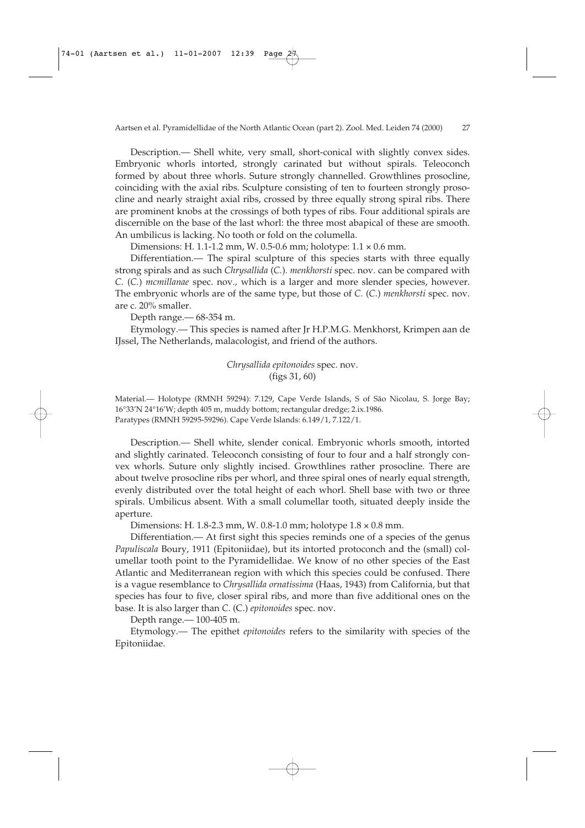Description.— Shell white, very small, short-conical with slightly convex sides. Embryonic whorls intorted, strongly carinated but without spirals. Teleoconch formed by about three whorls. Suture strongly channelled. Growthlines prosocline, coinciding with the axial ribs. Sculpture consisting of ten to fourteen strongly prosocline and nearly straight axial ribs, crossed by three equally strong spiral ribs. There are prominent knobs at the crossings of both types of ribs. Four additional spirals are discernible on the base of the last whorl: the three most abapical of these are smooth. An umbilicus is lacking. No tooth or fold on the columella.

Dimensions: H. 1.1-1.2 mm, W. 0.5-0.6 mm; holotype: 1.1 × 0.6 mm.

Differentiation.— The spiral sculpture of this species starts with three equally strong spirals and as such *Chrysallida* (*C.*)*. menkhorsti* spec. nov. can be compared with *C.* (*C.*) *mcmillanae* spec. nov*.,* which is a larger and more slender species, however. The embryonic whorls are of the same type, but those of *C.* (*C.*) *menkhorsti* spec. nov. are c. 20% smaller.

Depth range.— 68-354 m.

Etymology.— This species is named after Jr H.P.M.G. Menkhorst, Krimpen aan de IJssel, The Netherlands, malacologist, and friend of the authors.

> *Chrysallida epitonoides* spec. nov. (figs 31, 60)

Material.— Holotype (RMNH 59294): 7.129, Cape Verde Islands, S of São Nicolau, S. Jorge Bay; 16°33'N 24°16'W; depth 405 m, muddy bottom; rectangular dredge; 2.ix.1986. Paratypes (RMNH 59295-59296). Cape Verde Islands: 6.149/1, 7.122/1.

Description.— Shell white, slender conical. Embryonic whorls smooth, intorted and slightly carinated. Teleoconch consisting of four to four and a half strongly convex whorls. Suture only slightly incised. Growthlines rather prosocline. There are about twelve prosocline ribs per whorl, and three spiral ones of nearly equal strength, evenly distributed over the total height of each whorl. Shell base with two or three spirals. Umbilicus absent. With a small columellar tooth, situated deeply inside the aperture.

Dimensions: H. 1.8-2.3 mm, W. 0.8-1.0 mm; holotype 1.8 × 0.8 mm.

Differentiation.— At first sight this species reminds one of a species of the genus *Papuliscala* Boury, 1911 (Epitoniidae), but its intorted protoconch and the (small) columellar tooth point to the Pyramidellidae. We know of no other species of the East Atlantic and Mediterranean region with which this species could be confused. There is a vague resemblance to *Chrysallida ornatissima* (Haas, 1943) from California, but that species has four to five, closer spiral ribs, and more than five additional ones on the base. It is also larger than *C*. (C.) *epitonoides* spec. nov.

Depth range.— 100-405 m.

Etymology.— The epithet *epitonoides* refers to the similarity with species of the Epitoniidae.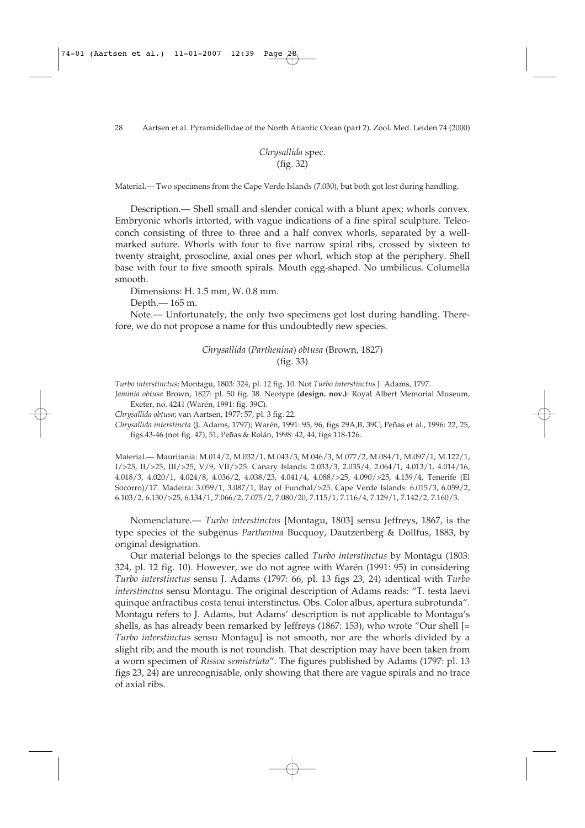*Chrysallida* spec. (fig. 32)

Material.— Two specimens from the Cape Verde Islands (7.030), but both got lost during handling.

Description.— Shell small and slender conical with a blunt apex; whorls convex. Embryonic whorls intorted, with vague indications of a fine spiral sculpture. Teleoconch consisting of three to three and a half convex whorls, separated by a wellmarked suture. Whorls with four to five narrow spiral ribs, crossed by sixteen to twenty straight, prosocline, axial ones per whorl, which stop at the periphery. Shell base with four to five smooth spirals. Mouth egg-shaped. No umbilicus. Columella smooth.

Dimensions: H. 1.5 mm, W. 0.8 mm.

Depth.— 165 m.

Note.— Unfortunately, the only two specimens got lost during handling. Therefore, we do not propose a name for this undoubtedly new species.

### *Chrysallida* (*Parthenina*) *obtusa* (Brown, 1827) (fig. 33)

*Turbo interstinctus*; Montagu, 1803: 324, pl. 12 fig. 10. Not *Turbo interstinctus* J. Adams, 1797.

*Jaminia obtusa* Brown, 1827: pl. 50 fig. 38. Neotype (**design. nov.)**: Royal Albert Memorial Museum, Exeter, no. 4241 (Warén, 1991: fig. 39C).

*Chrysallida obtusa*; van Aartsen, 1977: 57, pl. 3 fig. 22.

*Chrysallida interstincta* (J. Adams, 1797); Warén, 1991: 95, 96, figs 29A,B, 39C; Peñas et al., 1996: 22, 25, figs 43-46 (not fig. 47), 51; Peñas & Rolán, 1998: 42, 44, figs 118-126.

Material.— Mauritania: M.014/2, M.032/1, M.043/3, M.046/3, M.077/2, M.084/1, M.097/1, M.122/1, I/>25, II/>25, III/>25, V/9, VII/>25. Canary Islands: 2.033/3, 2.035/4, 2.064/1, 4.013/1, 4.014/16, 4.018/3, 4.020/1, 4.024/8, 4.036/2, 4.038/23, 4.041/4, 4.088/>25, 4.090/>25, 4.139/4, Tenerife (El Socorro)/17. Madeira: 3.059/1, 3.087/1, Bay of Funchal/>25. Cape Verde Islands: 6.015/3, 6.059/2, 6.103/2, 6.130/>25, 6.134/1, 7.066/2, 7.075/2, 7.080/20, 7.115/1, 7.116/4, 7.129/1, 7.142/2, 7.160/3.

Nomenclature.— *Turbo interstinctus* [Montagu, 1803] sensu Jeffreys, 1867, is the type species of the subgenus *Parthenina* Bucquoy, Dautzenberg & Dollfus, 1883, by original designation.

Our material belongs to the species called *Turbo interstinctus* by Montagu (1803: 324, pl. 12 fig. 10). However, we do not agree with Warén (1991: 95) in considering *Turbo interstinctus* sensu J. Adams (1797: 66, pl. 13 figs 23, 24) identical with *Turbo interstinctus* sensu Montagu. The original description of Adams reads: "T. testa laevi quinque anfractibus costa tenui interstinctus. Obs. Color albus, apertura subrotunda". Montagu refers to J. Adams, but Adams' description is not applicable to Montagu's shells, as has already been remarked by Jeffreys (1867: 153), who wrote "Our shell [= *Turbo interstinctus* sensu Montagu] is not smooth, nor are the whorls divided by a slight rib; and the mouth is not roundish. That description may have been taken from a worn specimen of *Rissoa semistriata*". The figures published by Adams (1797: pl. 13 figs 23, 24) are unrecognisable, only showing that there are vague spirals and no trace of axial ribs.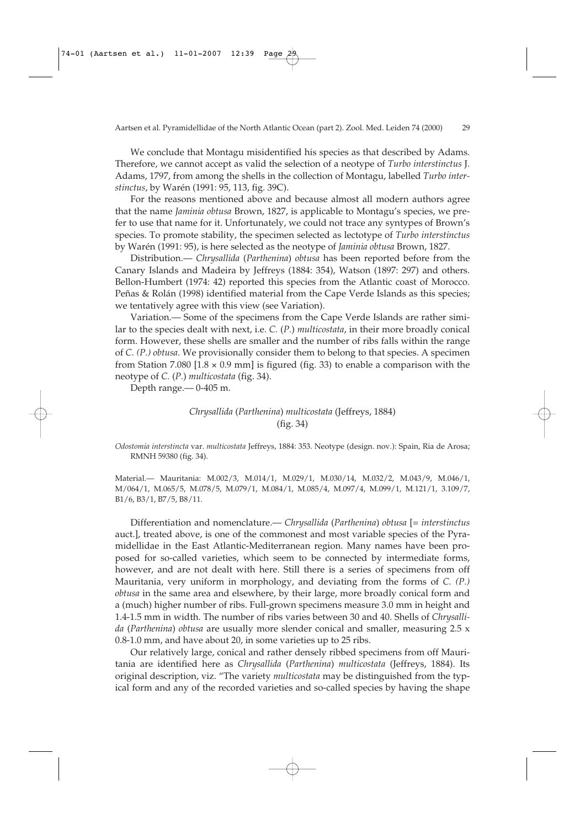We conclude that Montagu misidentified his species as that described by Adams. Therefore, we cannot accept as valid the selection of a neotype of *Turbo interstinctus* J. Adams, 1797, from among the shells in the collection of Montagu, labelled *Turbo interstinctus*, by Warén (1991: 95, 113, fig. 39C).

For the reasons mentioned above and because almost all modern authors agree that the name *Jaminia obtusa* Brown, 1827, is applicable to Montagu's species, we prefer to use that name for it. Unfortunately, we could not trace any syntypes of Brown's species. To promote stability, the specimen selected as lectotype of *Turbo interstinctus* by Warén (1991: 95), is here selected as the neotype of *Jaminia obtusa* Brown, 1827.

Distribution.— *Chrysallida* (*Parthenina*) *obtusa* has been reported before from the Canary Islands and Madeira by Jeffreys (1884: 354), Watson (1897: 297) and others. Bellon-Humbert (1974: 42) reported this species from the Atlantic coast of Morocco. Peñas & Rolán (1998) identified material from the Cape Verde Islands as this species; we tentatively agree with this view (see Variation).

Variation.— Some of the specimens from the Cape Verde Islands are rather similar to the species dealt with next, i.e. *C.* (*P.*) *multicostata*, in their more broadly conical form. However, these shells are smaller and the number of ribs falls within the range of *C. (P.) obtusa*. We provisionally consider them to belong to that species. A specimen from Station 7.080 [1.8  $\times$  0.9 mm] is figured (fig. 33) to enable a comparison with the neotype of *C.* (*P.*) *multicostata* (fig. 34).

Depth range.— 0-405 m.

# *Chrysallida* (*Parthenina*) *multicostata* (Jeffreys, 1884) (fig. 34)

*Odostomia interstincta* var. *multicostata* Jeffreys, 1884: 353. Neotype (design. nov.): Spain, Ria de Arosa; RMNH 59380 (fig. 34).

Material.— Mauritania: M.002/3, M.014/1, M.029/1, M.030/14, M.032/2, M.043/9, M.046/1, M/064/1, M.065/5, M.078/5, M.079/1, M.084/1, M.085/4, M.097/4, M.099/1, M.121/1, 3.109/7, B1/6, B3/1, B7/5, B8/11.

Differentiation and nomenclature.— *Chrysallida* (*Parthenina*) *obtusa* [= *interstinctus* auct.], treated above, is one of the commonest and most variable species of the Pyramidellidae in the East Atlantic-Mediterranean region. Many names have been proposed for so-called varieties, which seem to be connected by intermediate forms, however, and are not dealt with here. Still there is a series of specimens from off Mauritania, very uniform in morphology, and deviating from the forms of *C. (P.) obtusa* in the same area and elsewhere, by their large, more broadly conical form and a (much) higher number of ribs. Full-grown specimens measure 3.0 mm in height and 1.4-1.5 mm in width. The number of ribs varies between 30 and 40. Shells of *Chrysallida* (*Parthenina*) *obtusa* are usually more slender conical and smaller, measuring 2.5 x 0.8-1.0 mm, and have about 20, in some varieties up to 25 ribs.

Our relatively large, conical and rather densely ribbed specimens from off Mauritania are identified here as *Chrysallida* (*Parthenina*) *multicostata* (Jeffreys, 1884). Its original description, viz. "The variety *multicostata* may be distinguished from the typical form and any of the recorded varieties and so-called species by having the shape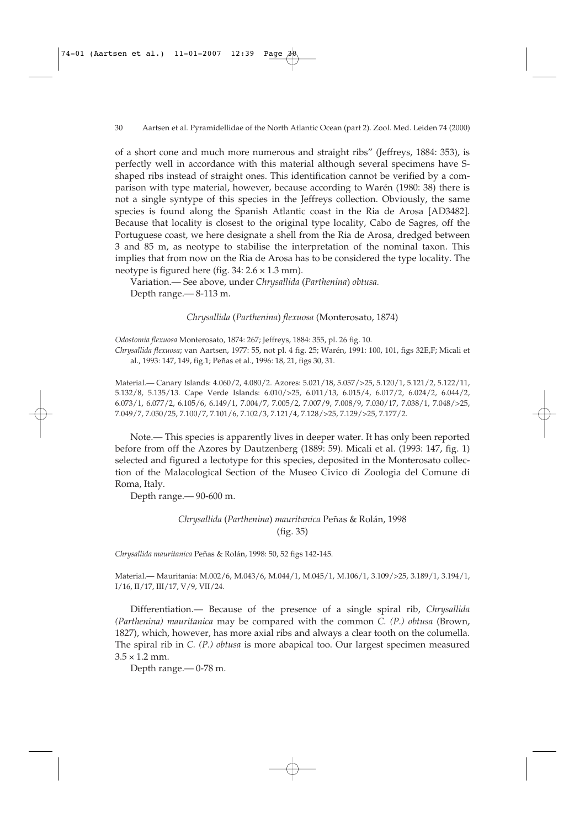of a short cone and much more numerous and straight ribs" (Jeffreys, 1884: 353), is perfectly well in accordance with this material although several specimens have Sshaped ribs instead of straight ones. This identification cannot be verified by a comparison with type material, however, because according to Warén (1980: 38) there is not a single syntype of this species in the Jeffreys collection. Obviously, the same species is found along the Spanish Atlantic coast in the Ria de Arosa [AD3482]. Because that locality is closest to the original type locality, Cabo de Sagres, off the Portuguese coast, we here designate a shell from the Ria de Arosa, dredged between 3 and 85 m, as neotype to stabilise the interpretation of the nominal taxon. This implies that from now on the Ria de Arosa has to be considered the type locality. The neotype is figured here (fig. 34: 2.6 × 1.3 mm).

Variation.— See above, under *Chrysallida* (*Parthenina*) *obtusa.* Depth range.— 8-113 m.

*Chrysallida* (*Parthenina*) *flexuosa* (Monterosato, 1874)

*Odostomia flexuosa* Monterosato, 1874: 267; Jeffreys, 1884: 355, pl. 26 fig. 10.

*Chrysallida flexuosa*; van Aartsen, 1977: 55, not pl. 4 fig. 25; Warén, 1991: 100, 101, figs 32E,F; Micali et al., 1993: 147, 149, fig.1; Peñas et al., 1996: 18, 21, figs 30, 31.

Material.— Canary Islands: 4.060/2, 4.080/2. Azores: 5.021/18, 5.057/>25, 5.120/1, 5.121/2, 5.122/11, 5.132/8, 5.135/13. Cape Verde Islands: 6.010/>25, 6.011/13, 6.015/4, 6.017/2, 6.024/2, 6.044/2, 6.073/1, 6.077/2, 6.105/6, 6.149/1, 7.004/7, 7.005/2, 7.007/9, 7.008/9, 7.030/17, 7.038/1, 7.048/>25, 7.049/7, 7.050/25, 7.100/7, 7.101/6, 7.102/3, 7.121/4, 7.128/>25, 7.129/>25, 7.177/2.

Note.— This species is apparently lives in deeper water. It has only been reported before from off the Azores by Dautzenberg (1889: 59). Micali et al. (1993: 147, fig. 1) selected and figured a lectotype for this species, deposited in the Monterosato collection of the Malacological Section of the Museo Civico di Zoologia del Comune di Roma, Italy.

Depth range.— 90-600 m.

### *Chrysallida* (*Parthenina*) *mauritanica* Peñas & Rolán, 1998 (fig. 35)

*Chrysallida mauritanica* Peñas & Rolán, 1998: 50, 52 figs 142-145.

Material.— Mauritania: M.002/6, M.043/6, M.044/1, M.045/1, M.106/1, 3.109/>25, 3.189/1, 3.194/1, I/16, II/17, III/17, V/9, VII/24.

Differentiation.— Because of the presence of a single spiral rib, *Chrysallida (Parthenina) mauritanica* may be compared with the common *C. (P.) obtusa* (Brown, 1827), which, however, has more axial ribs and always a clear tooth on the columella. The spiral rib in *C. (P.) obtusa* is more abapical too. Our largest specimen measured  $3.5 \times 1.2$  mm.

Depth range.— 0-78 m.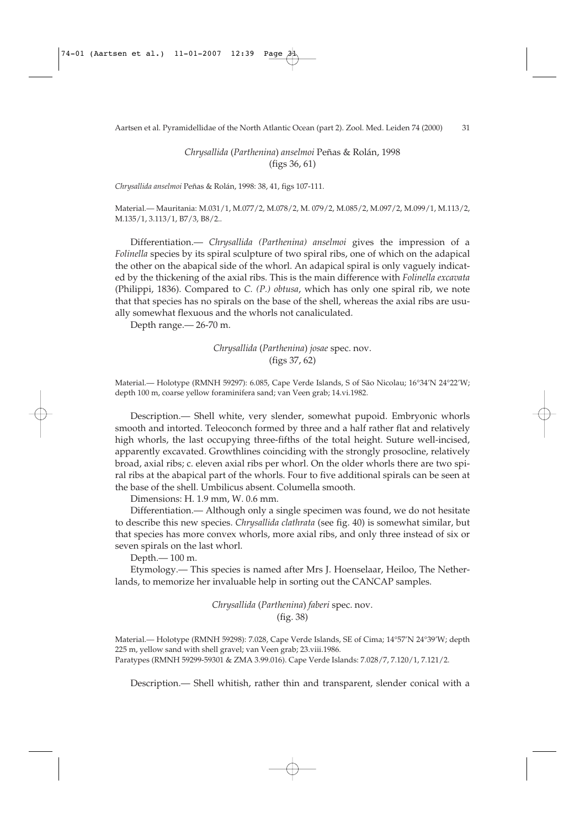*Chrysallida* (*Parthenina*) *anselmoi* Peñas & Rolán, 1998 (figs 36, 61)

*Chrysallida anselmoi* Peñas & Rolán, 1998: 38, 41, figs 107-111.

Material.— Mauritania: M.031/1, M.077/2, M.078/2, M. 079/2, M.085/2, M.097/2, M.099/1, M.113/2, M.135/1, 3.113/1, B7/3, B8/2..

Differentiation.— *Chrysallida (Parthenina) anselmoi* gives the impression of a *Folinella* species by its spiral sculpture of two spiral ribs, one of which on the adapical the other on the abapical side of the whorl. An adapical spiral is only vaguely indicated by the thickening of the axial ribs. This is the main difference with *Folinella excavata* (Philippi, 1836). Compared to *C. (P.) obtusa*, which has only one spiral rib, we note that that species has no spirals on the base of the shell, whereas the axial ribs are usually somewhat flexuous and the whorls not canaliculated.

Depth range.— 26-70 m.

*Chrysallida* (*Parthenina*) *josae* spec. nov. (figs 37, 62)

Material.— Holotype (RMNH 59297): 6.085, Cape Verde Islands, S of São Nicolau; 16°34'N 24°22'W; depth 100 m, coarse yellow foraminifera sand; van Veen grab; 14.vi.1982.

Description.— Shell white, very slender, somewhat pupoid. Embryonic whorls smooth and intorted. Teleoconch formed by three and a half rather flat and relatively high whorls, the last occupying three-fifths of the total height. Suture well-incised, apparently excavated. Growthlines coinciding with the strongly prosocline, relatively broad, axial ribs; c. eleven axial ribs per whorl. On the older whorls there are two spiral ribs at the abapical part of the whorls. Four to five additional spirals can be seen at the base of the shell. Umbilicus absent. Columella smooth.

Dimensions: H. 1.9 mm, W. 0.6 mm.

Differentiation.— Although only a single specimen was found, we do not hesitate to describe this new species. *Chrysallida clathrata* (see fig. 40) is somewhat similar, but that species has more convex whorls, more axial ribs, and only three instead of six or seven spirals on the last whorl.

Depth.— 100 m.

Etymology.— This species is named after Mrs J. Hoenselaar, Heiloo, The Netherlands, to memorize her invaluable help in sorting out the CANCAP samples.

> *Chrysallida* (*Parthenina*) *faberi* spec. nov. (fig. 38)

Material.— Holotype (RMNH 59298): 7.028, Cape Verde Islands, SE of Cima; 14°57'N 24°39'W; depth 225 m, yellow sand with shell gravel; van Veen grab; 23.viii.1986. Paratypes (RMNH 59299-59301 & ZMA 3.99.016). Cape Verde Islands: 7.028/7, 7.120/1, 7.121/2.

Description.— Shell whitish, rather thin and transparent, slender conical with a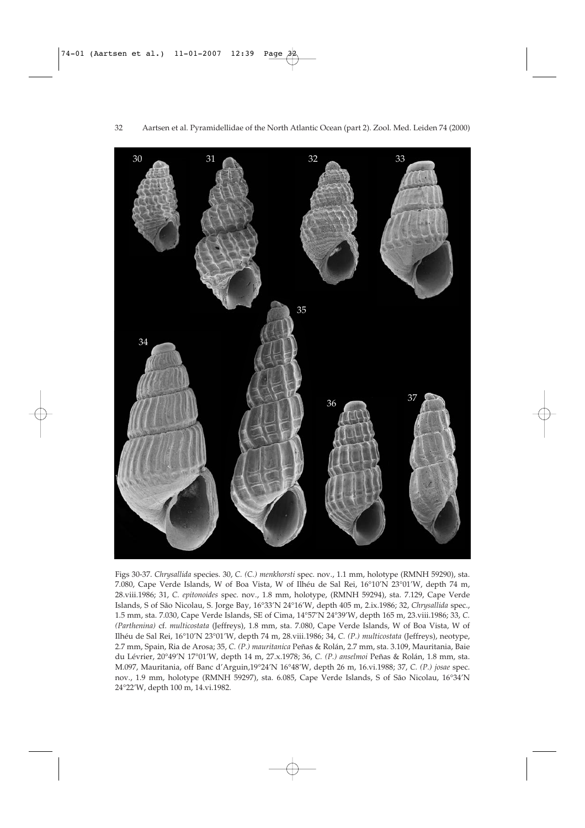

Figs 30-37. *Chrysallida* species. 30, *C. (C.) menkhorsti* spec. nov., 1.1 mm, holotype (RMNH 59290), sta. 7.080, Cape Verde Islands, W of Boa Vista, W of Ilhéu de Sal Rei, 16°10'N 23°01'W, depth 74 m, 28.viii.1986; 31, *C. epitonoides* spec. nov., 1.8 mm, holotype, (RMNH 59294), sta. 7.129, Cape Verde Islands, S of São Nicolau, S. Jorge Bay, 16°33'N 24°16'W, depth 405 m, 2.ix.1986; 32, *Chrysallida* spec., 1.5 mm, sta. 7.030, Cape Verde Islands, SE of Cima, 14°57'N 24°39'W, depth 165 m, 23.viii.1986; 33, *C. (Parthenina)* cf. *multicostata* (Jeffreys), 1.8 mm, sta. 7.080, Cape Verde Islands, W of Boa Vista, W of Ilhéu de Sal Rei, 16°10'N 23°01'W, depth 74 m, 28.viii.1986; 34, *C. (P.) multicostata* (Jeffreys), neotype, 2.7 mm, Spain, Ria de Arosa; 35, *C. (P.) mauritanica* Peñas & Rolán, 2.7 mm, sta. 3.109, Mauritania, Baie du Lévrier, 20°49'N 17°01'W, depth 14 m, 27.x.1978; 36, *C. (P.) anselmoi* Peñas & Rolán, 1.8 mm, sta. M.097, Mauritania, off Banc d'Arguin,19°24'N 16°48'W, depth 26 m, 16.vi.1988; 37, *C. (P.) josae* spec. nov., 1.9 mm, holotype (RMNH 59297), sta. 6.085, Cape Verde Islands, S of São Nicolau, 16°34'N 24°22'W, depth 100 m, 14.vi.1982.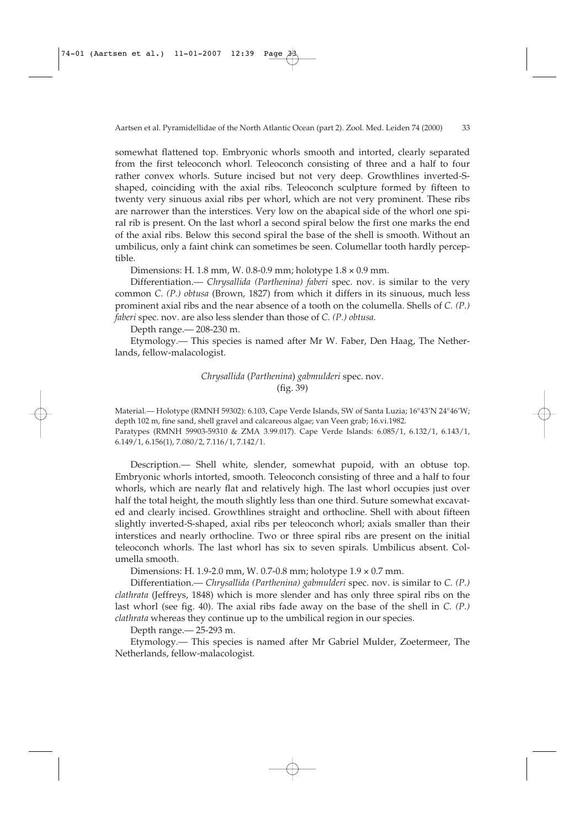somewhat flattened top. Embryonic whorls smooth and intorted, clearly separated from the first teleoconch whorl. Teleoconch consisting of three and a half to four rather convex whorls. Suture incised but not very deep. Growthlines inverted-Sshaped, coinciding with the axial ribs. Teleoconch sculpture formed by fifteen to twenty very sinuous axial ribs per whorl, which are not very prominent. These ribs are narrower than the interstices. Very low on the abapical side of the whorl one spiral rib is present. On the last whorl a second spiral below the first one marks the end of the axial ribs. Below this second spiral the base of the shell is smooth. Without an umbilicus, only a faint chink can sometimes be seen. Columellar tooth hardly perceptible.

Dimensions: H. 1.8 mm, W. 0.8-0.9 mm; holotype 1.8 × 0.9 mm.

Differentiation.— *Chrysallida (Parthenina) faberi* spec. nov. is similar to the very common *C. (P.) obtusa* (Brown, 1827) from which it differs in its sinuous, much less prominent axial ribs and the near absence of a tooth on the columella. Shells of *C. (P.) faberi* spec. nov. are also less slender than those of *C. (P.) obtusa.*

Depth range.— 208-230 m.

Etymology.— This species is named after Mr W. Faber, Den Haag, The Netherlands, fellow-malacologist.

> *Chrysallida* (*Parthenina*) *gabmulderi* spec. nov. (fig. 39)

Material.— Holotype (RMNH 59302): 6.103, Cape Verde Islands, SW of Santa Luzia; 16°43'N 24°46'W; depth 102 m, fine sand, shell gravel and calcareous algae; van Veen grab; 16.vi.1982. Paratypes (RMNH 59903-59310 & ZMA 3.99.017). Cape Verde Islands: 6.085/1, 6.132/1, 6.143/1, 6.149/1, 6.156(1), 7.080/2, 7.116/1, 7.142/1.

Description.— Shell white, slender, somewhat pupoid, with an obtuse top. Embryonic whorls intorted, smooth. Teleoconch consisting of three and a half to four whorls, which are nearly flat and relatively high. The last whorl occupies just over half the total height, the mouth slightly less than one third. Suture somewhat excavated and clearly incised. Growthlines straight and orthocline. Shell with about fifteen slightly inverted-S-shaped, axial ribs per teleoconch whorl; axials smaller than their interstices and nearly orthocline. Two or three spiral ribs are present on the initial teleoconch whorls. The last whorl has six to seven spirals. Umbilicus absent. Columella smooth.

Dimensions: H. 1.9-2.0 mm, W. 0.7-0.8 mm; holotype 1.9 × 0.7 mm.

Differentiation.— *Chrysallida (Parthenina) gabmulderi* spec. nov. is similar to *C. (P.) clathrata* (Jeffreys, 1848) which is more slender and has only three spiral ribs on the last whorl (see fig. 40). The axial ribs fade away on the base of the shell in *C. (P.) clathrata* whereas they continue up to the umbilical region in our species.

Depth range.— 25-293 m.

Etymology.— This species is named after Mr Gabriel Mulder, Zoetermeer, The Netherlands, fellow-malacologist.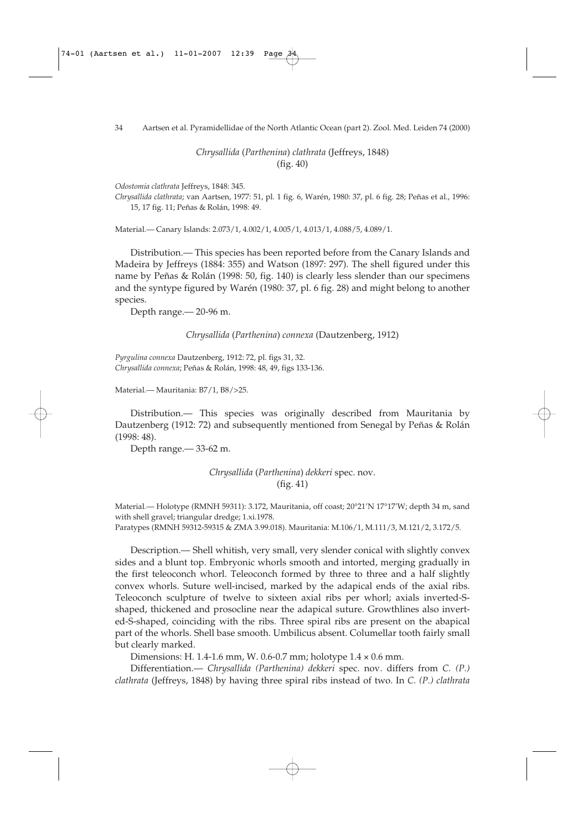#### 34 Aartsen et al. Pyramidellidae of the North Atlantic Ocean (part 2). Zool. Med. Leiden 74 (2000)

*Chrysallida* (*Parthenina*) *clathrata* (Jeffreys, 1848) (fig. 40)

*Odostomia clathrata* Jeffreys, 1848: 345.

*Chrysallida clathrata*; van Aartsen, 1977: 51, pl. 1 fig. 6, Warén, 1980: 37, pl. 6 fig. 28; Peñas et al., 1996: 15, 17 fig. 11; Peñas & Rolán, 1998: 49.

Material.— Canary Islands: 2.073/1, 4.002/1, 4.005/1, 4.013/1, 4.088/5, 4.089/1.

Distribution.— This species has been reported before from the Canary Islands and Madeira by Jeffreys (1884: 355) and Watson (1897: 297). The shell figured under this name by Peñas & Rolán (1998: 50, fig. 140) is clearly less slender than our specimens and the syntype figured by Warén (1980: 37, pl. 6 fig. 28) and might belong to another species.

Depth range.— 20-96 m.

*Chrysallida* (*Parthenina*) *connexa* (Dautzenberg, 1912)

*Pyrgulina connexa* Dautzenberg, 1912: 72, pl. figs 31, 32. *Chrysallida connexa*; Peñas & Rolán, 1998: 48, 49, figs 133-136.

Material.— Mauritania: B7/1, B8/>25.

Distribution.— This species was originally described from Mauritania by Dautzenberg (1912: 72) and subsequently mentioned from Senegal by Peñas & Rolán (1998: 48).

Depth range.— 33-62 m.

*Chrysallida* (*Parthenina*) *dekkeri* spec. nov. (fig. 41)

Material.— Holotype (RMNH 59311): 3.172, Mauritania, off coast; 20°21'N 17°17'W; depth 34 m, sand with shell gravel; triangular dredge; 1.xi.1978.

Paratypes (RMNH 59312-59315 & ZMA 3.99.018). Mauritania: M.106/1, M.111/3, M.121/2, 3.172/5.

Description.— Shell whitish, very small, very slender conical with slightly convex sides and a blunt top. Embryonic whorls smooth and intorted, merging gradually in the first teleoconch whorl. Teleoconch formed by three to three and a half slightly convex whorls. Suture well-incised, marked by the adapical ends of the axial ribs. Teleoconch sculpture of twelve to sixteen axial ribs per whorl; axials inverted-Sshaped, thickened and prosocline near the adapical suture. Growthlines also inverted-S-shaped, coinciding with the ribs. Three spiral ribs are present on the abapical part of the whorls. Shell base smooth. Umbilicus absent. Columellar tooth fairly small but clearly marked.

Dimensions: H. 1.4-1.6 mm, W. 0.6-0.7 mm; holotype 1.4 × 0.6 mm.

Differentiation.— *Chrysallida (Parthenina) dekkeri* spec. nov. differs from *C. (P.) clathrata* (Jeffreys, 1848) by having three spiral ribs instead of two. In *C. (P.) clathrata*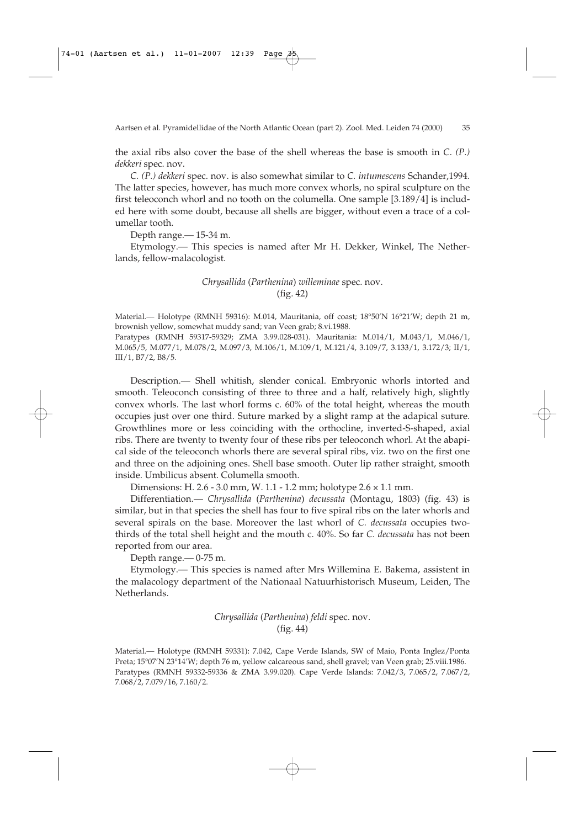the axial ribs also cover the base of the shell whereas the base is smooth in *C*. *(P.) dekkeri* spec. nov.

*C. (P.) dekkeri* spec. nov. is also somewhat similar to *C. intumescens* Schander,1994. The latter species, however, has much more convex whorls, no spiral sculpture on the first teleoconch whorl and no tooth on the columella. One sample [3.189/4] is included here with some doubt, because all shells are bigger, without even a trace of a columellar tooth.

Depth range.— 15-34 m.

Etymology.— This species is named after Mr H. Dekker, Winkel, The Netherlands, fellow-malacologist.

### *Chrysallida* (*Parthenina*) *willeminae* spec. nov. (fig. 42)

Material.— Holotype (RMNH 59316): M.014, Mauritania, off coast; 18°50'N 16°21'W; depth 21 m, brownish yellow, somewhat muddy sand; van Veen grab; 8.vi.1988.

Paratypes (RMNH 59317-59329; ZMA 3.99.028-031). Mauritania: M.014/1, M.043/1, M.046/1, M.065/5, M.077/1, M.078/2, M.097/3, M.106/1, M.109/1, M.121/4, 3.109/7, 3.133/1, 3.172/3; II/1, III/1, B7/2, B8/5.

Description.— Shell whitish, slender conical. Embryonic whorls intorted and smooth. Teleoconch consisting of three to three and a half, relatively high, slightly convex whorls. The last whorl forms c. 60% of the total height, whereas the mouth occupies just over one third. Suture marked by a slight ramp at the adapical suture. Growthlines more or less coinciding with the orthocline, inverted-S-shaped, axial ribs. There are twenty to twenty four of these ribs per teleoconch whorl. At the abapical side of the teleoconch whorls there are several spiral ribs, viz. two on the first one and three on the adjoining ones. Shell base smooth. Outer lip rather straight, smooth inside. Umbilicus absent. Columella smooth.

Dimensions: H. 2.6 - 3.0 mm, W. 1.1 - 1.2 mm; holotype 2.6 × 1.1 mm.

Differentiation.— *Chrysallida* (*Parthenina*) *decussata* (Montagu, 1803) (fig. 43) is similar, but in that species the shell has four to five spiral ribs on the later whorls and several spirals on the base. Moreover the last whorl of *C. decussata* occupies twothirds of the total shell height and the mouth c. 40%. So far *C. decussata* has not been reported from our area.

Depth range.— 0-75 m.

Etymology.— This species is named after Mrs Willemina E. Bakema, assistent in the malacology department of the Nationaal Natuurhistorisch Museum, Leiden, The Netherlands.

> *Chrysallida* (*Parthenina*) *feldi* spec. nov. (fig. 44)

Material.— Holotype (RMNH 59331): 7.042, Cape Verde Islands, SW of Maio, Ponta Inglez/Ponta Preta; 15°07'N 23°14'W; depth 76 m, yellow calcareous sand, shell gravel; van Veen grab; 25.viii.1986. Paratypes (RMNH 59332-59336 & ZMA 3.99.020). Cape Verde Islands: 7.042/3, 7.065/2, 7.067/2, 7.068/2, 7.079/16, 7.160/2.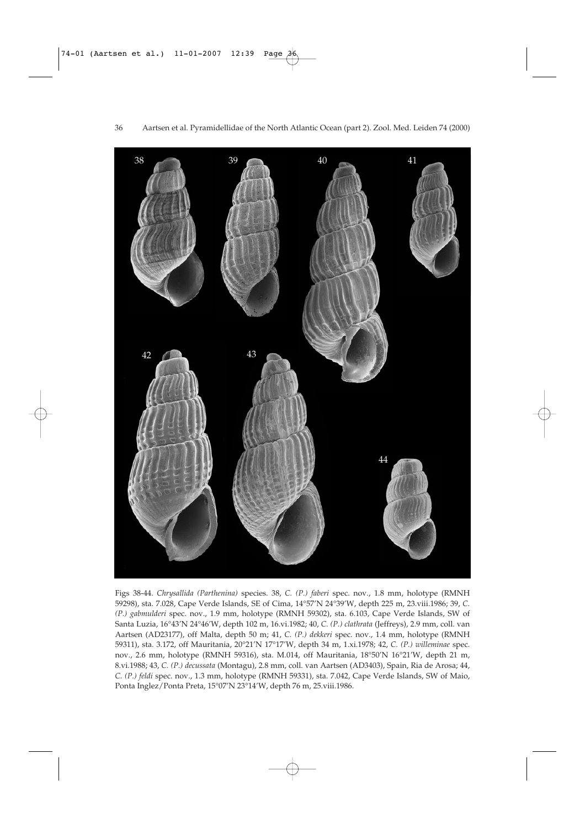

Figs 38-44. *Chrysallida (Parthenina)* species. 38, *C. (P.) faberi* spec. nov., 1.8 mm, holotype (RMNH 59298), sta. 7.028, Cape Verde Islands, SE of Cima, 14°57'N 24°39'W, depth 225 m, 23.viii.1986; 39, *C. (P.) gabmulderi* spec. nov., 1.9 mm, holotype (RMNH 59302), sta. 6.103, Cape Verde Islands, SW of Santa Luzia, 16°43'N 24°46'W, depth 102 m, 16.vi.1982; 40, *C. (P.) clathrata* (Jeffreys), 2.9 mm, coll. van Aartsen (AD23177), off Malta, depth 50 m; 41, *C. (P.) dekkeri* spec. nov., 1.4 mm, holotype (RMNH 59311), sta. 3.172, off Mauritania, 20°21'N 17°17'W, depth 34 m, 1.xi.1978; 42, *C. (P.) willeminae* spec. nov., 2.6 mm, holotype (RMNH 59316), sta. M.014, off Mauritania, 18°50'N 16°21'W, depth 21 m, 8.vi.1988; 43, *C. (P.) decussata* (Montagu), 2.8 mm, coll. van Aartsen (AD3403), Spain, Ria de Arosa; 44, *C. (P.) feldi* spec. nov., 1.3 mm, holotype (RMNH 59331), sta. 7.042, Cape Verde Islands, SW of Maio, Ponta Inglez/Ponta Preta, 15°07'N 23°14'W, depth 76 m, 25.viii.1986.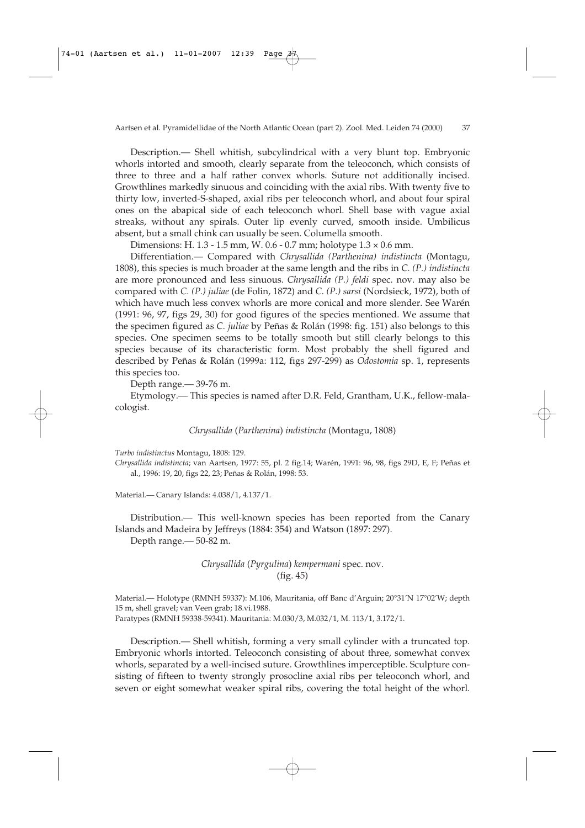Description.— Shell whitish, subcylindrical with a very blunt top. Embryonic whorls intorted and smooth, clearly separate from the teleoconch, which consists of three to three and a half rather convex whorls. Suture not additionally incised. Growthlines markedly sinuous and coinciding with the axial ribs. With twenty five to thirty low, inverted-S-shaped, axial ribs per teleoconch whorl, and about four spiral ones on the abapical side of each teleoconch whorl. Shell base with vague axial streaks, without any spirals. Outer lip evenly curved, smooth inside. Umbilicus absent, but a small chink can usually be seen. Columella smooth.

Dimensions: H. 1.3 - 1.5 mm, W. 0.6 - 0.7 mm; holotype 1.3 × 0.6 mm.

Differentiation.— Compared with *Chrysallida (Parthenina) indistincta* (Montagu, 1808), this species is much broader at the same length and the ribs in *C. (P.) indistincta* are more pronounced and less sinuous. *Chrysallida (P.) feldi* spec. nov. may also be compared with *C. (P.) juliae* (de Folin, 1872) and *C. (P.) sarsi* (Nordsieck, 1972), both of which have much less convex whorls are more conical and more slender. See Warén (1991: 96, 97, figs 29, 30) for good figures of the species mentioned. We assume that the specimen figured as *C. juliae* by Peñas & Rolán (1998: fig. 151) also belongs to this species. One specimen seems to be totally smooth but still clearly belongs to this species because of its characteristic form. Most probably the shell figured and described by Peñas & Rolán (1999a: 112, figs 297-299) as *Odostomia* sp. 1, represents this species too.

Depth range.— 39-76 m.

Etymology.— This species is named after D.R. Feld, Grantham, U.K., fellow-malacologist.

*Chrysallida* (*Parthenina*) *indistincta* (Montagu, 1808)

*Turbo indistinctus* Montagu, 1808: 129.

*Chrysallida indistincta*; van Aartsen, 1977: 55, pl. 2 fig.14; Warén, 1991: 96, 98, figs 29D, E, F; Peñas et al., 1996: 19, 20, figs 22, 23; Peñas & Rolán, 1998: 53.

Material.— Canary Islands: 4.038/1, 4.137/1.

Distribution.— This well-known species has been reported from the Canary Islands and Madeira by Jeffreys (1884: 354) and Watson (1897: 297).

Depth range.— 50-82 m.

# *Chrysallida* (*Pyrgulina*) *kempermani* spec. nov. (fig. 45)

Material.— Holotype (RMNH 59337): M.106, Mauritania, off Banc d'Arguin; 20°31'N 17°02'W; depth 15 m, shell gravel; van Veen grab; 18.vi.1988. Paratypes (RMNH 59338-59341). Mauritania: M.030/3, M.032/1, M. 113/1, 3.172/1.

Description.— Shell whitish, forming a very small cylinder with a truncated top. Embryonic whorls intorted. Teleoconch consisting of about three, somewhat convex whorls, separated by a well-incised suture. Growthlines imperceptible. Sculpture consisting of fifteen to twenty strongly prosocline axial ribs per teleoconch whorl, and seven or eight somewhat weaker spiral ribs, covering the total height of the whorl.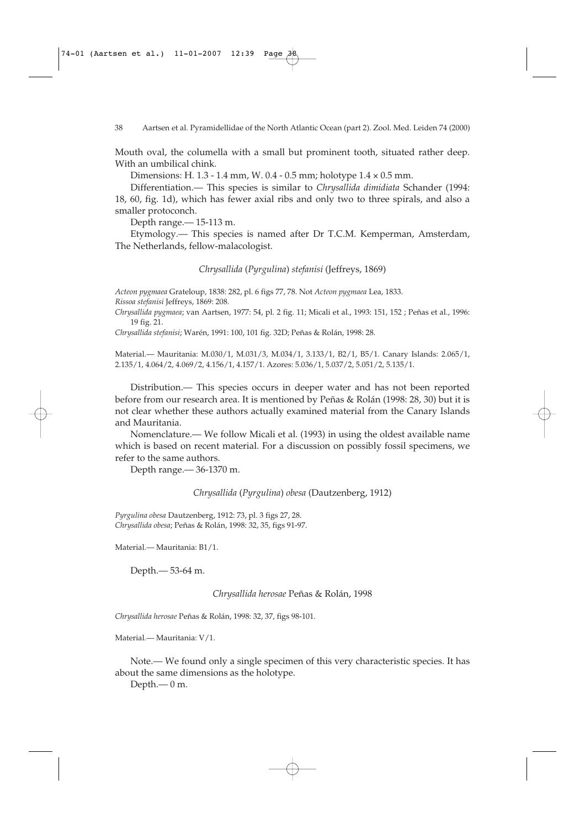Mouth oval, the columella with a small but prominent tooth, situated rather deep. With an umbilical chink.

Dimensions: H. 1.3 - 1.4 mm, W. 0.4 - 0.5 mm; holotype 1.4 × 0.5 mm.

Differentiation.— This species is similar to *Chrysallida dimidiata* Schander (1994: 18, 60, fig. 1d), which has fewer axial ribs and only two to three spirals, and also a smaller protoconch.

Depth range.— 15-113 m.

Etymology.— This species is named after Dr T.C.M. Kemperman, Amsterdam, The Netherlands, fellow-malacologist.

*Chrysallida* (*Pyrgulina*) *stefanisi* (Jeffreys, 1869)

*Acteon pygmaea* Grateloup, 1838: 282, pl. 6 figs 77, 78. Not *Acteon pygmaea* Lea, 1833. *Rissoa stefanisi* Jeffreys, 1869: 208.

*Chrysallida pygmaea*; van Aartsen, 1977: 54, pl. 2 fig. 11; Micali et al., 1993: 151, 152 ; Peñas et al., 1996: 19 fig. 21.

*Chrysallida stefanisi*; Warén, 1991: 100, 101 fig. 32D; Peñas & Rolán, 1998: 28.

Material.— Mauritania: M.030/1, M.031/3, M.034/1, 3.133/1, B2/1, B5/1. Canary Islands: 2.065/1, 2.135/1, 4.064/2, 4.069/2, 4.156/1, 4.157/1. Azores: 5.036/1, 5.037/2, 5.051/2, 5.135/1.

Distribution.— This species occurs in deeper water and has not been reported before from our research area. It is mentioned by Peñas & Rolán (1998: 28, 30) but it is not clear whether these authors actually examined material from the Canary Islands and Mauritania.

Nomenclature.— We follow Micali et al. (1993) in using the oldest available name which is based on recent material. For a discussion on possibly fossil specimens, we refer to the same authors.

Depth range.— 36-1370 m.

*Chrysallida* (*Pyrgulina*) *obesa* (Dautzenberg, 1912)

*Pyrgulina obesa* Dautzenberg, 1912: 73, pl. 3 figs 27, 28. *Chrysallida obesa*; Peñas & Rolán, 1998: 32, 35, figs 91-97.

Material.— Mauritania: B1/1.

Depth.— 53-64 m.

*Chrysallida herosae* Peñas & Rolán, 1998

*Chrysallida herosae* Peñas & Rolán, 1998: 32, 37, figs 98-101.

Material.— Mauritania: V/1.

Note.— We found only a single specimen of this very characteristic species. It has about the same dimensions as the holotype.

Depth.— 0 m.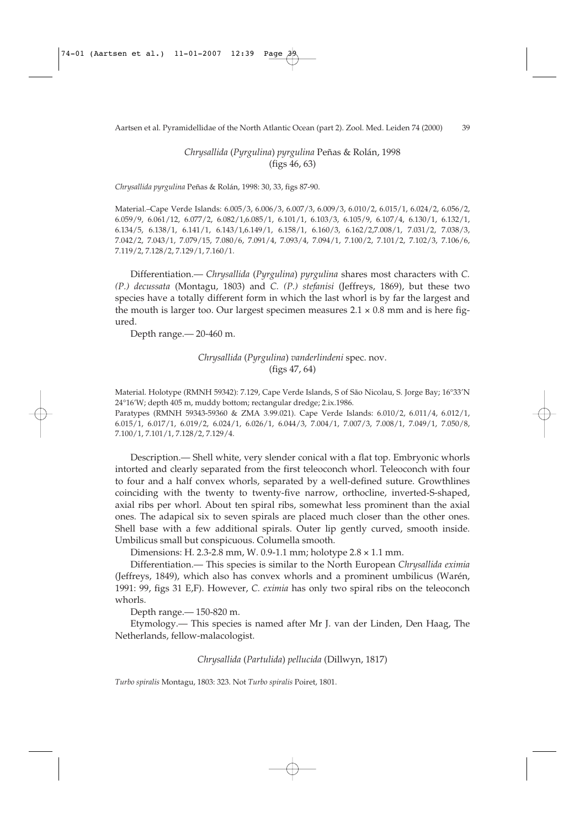*Chrysallida* (*Pyrgulina*) *pyrgulina* Peñas & Rolán, 1998 (figs 46, 63)

*Chrysallida pyrgulina* Peñas & Rolán, 1998: 30, 33, figs 87-90.

Material.–Cape Verde Islands: 6.005/3, 6.006/3, 6.007/3, 6.009/3, 6.010/2, 6.015/1, 6.024/2, 6.056/2, 6.059/9, 6.061/12, 6.077/2, 6.082/1,6.085/1, 6.101/1, 6.103/3, 6.105/9, 6.107/4, 6.130/1, 6.132/1, 6.134/5, 6.138/1, 6.141/1, 6.143/1,6.149/1, 6.158/1, 6.160/3, 6.162/2,7.008/1, 7.031/2, 7.038/3, 7.042/2, 7.043/1, 7.079/15, 7.080/6, 7.091/4, 7.093/4, 7.094/1, 7.100/2, 7.101/2, 7.102/3, 7.106/6, 7.119/2, 7.128/2, 7.129/1, 7.160/1.

Differentiation.— *Chrysallida* (*Pyrgulina*) *pyrgulina* shares most characters with *C. (P.) decussata* (Montagu, 1803) and *C. (P.) stefanisi* (Jeffreys, 1869), but these two species have a totally different form in which the last whorl is by far the largest and the mouth is larger too. Our largest specimen measures  $2.1 \times 0.8$  mm and is here figured.

Depth range.— 20-460 m.

# *Chrysallida* (*Pyrgulina*) *vanderlindeni* spec. nov. (figs 47, 64)

Material. Holotype (RMNH 59342): 7.129, Cape Verde Islands, S of São Nicolau, S. Jorge Bay; 16°33'N 24°16'W; depth 405 m, muddy bottom; rectangular dredge; 2.ix.1986. Paratypes (RMNH 59343-59360 & ZMA 3.99.021). Cape Verde Islands: 6.010/2, 6.011/4, 6.012/1,

6.015/1, 6.017/1, 6.019/2, 6.024/1, 6.026/1, 6.044/3, 7.004/1, 7.007/3, 7.008/1, 7.049/1, 7.050/8, 7.100/1, 7.101/1, 7.128/2, 7.129/4.

Description.— Shell white, very slender conical with a flat top. Embryonic whorls intorted and clearly separated from the first teleoconch whorl. Teleoconch with four to four and a half convex whorls, separated by a well-defined suture. Growthlines coinciding with the twenty to twenty-five narrow, orthocline, inverted-S-shaped, axial ribs per whorl. About ten spiral ribs, somewhat less prominent than the axial ones. The adapical six to seven spirals are placed much closer than the other ones. Shell base with a few additional spirals. Outer lip gently curved, smooth inside. Umbilicus small but conspicuous. Columella smooth.

Dimensions: H. 2.3-2.8 mm, W. 0.9-1.1 mm; holotype 2.8 × 1.1 mm.

Differentiation.— This species is similar to the North European *Chrysallida eximia* (Jeffreys, 1849), which also has convex whorls and a prominent umbilicus (Warén, 1991: 99, figs 31 E,F). However, *C. eximia* has only two spiral ribs on the teleoconch whorls.

Depth range.— 150-820 m.

Etymology.— This species is named after Mr J. van der Linden, Den Haag, The Netherlands, fellow-malacologist.

### *Chrysallida* (*Partulida*) *pellucida* (Dillwyn, 1817)

*Turbo spiralis* Montagu, 1803: 323. Not *Turbo spiralis* Poiret, 1801.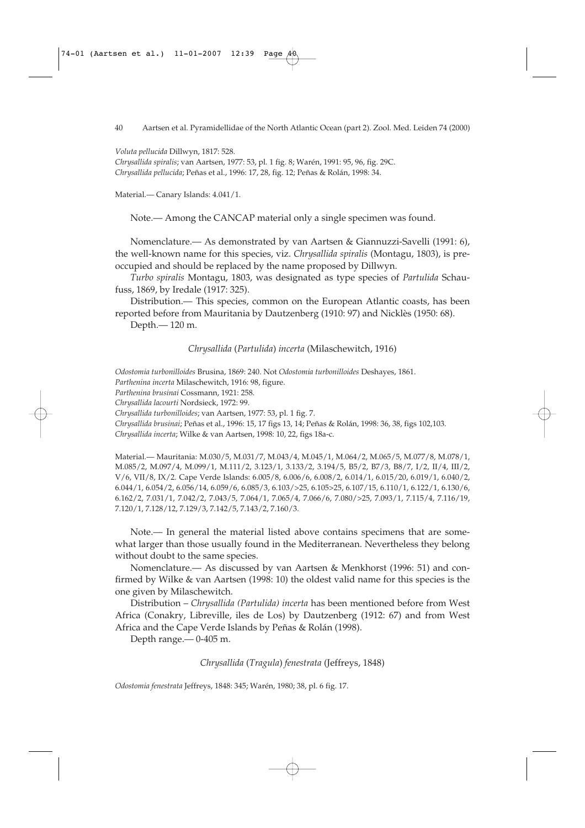*Voluta pellucida* Dillwyn, 1817: 528.

*Chrysallida spiralis*; van Aartsen, 1977: 53, pl. 1 fig. 8; Warén, 1991: 95, 96, fig. 29C. *Chrysallida pellucida*; Peñas et al., 1996: 17, 28, fig. 12; Peñas & Rolán, 1998: 34.

Material.— Canary Islands: 4.041/1.

Note.— Among the CANCAP material only a single specimen was found.

Nomenclature.— As demonstrated by van Aartsen & Giannuzzi-Savelli (1991: 6), the well-known name for this species, viz. *Chrysallida spiralis* (Montagu, 1803), is preoccupied and should be replaced by the name proposed by Dillwyn.

*Turbo spiralis* Montagu, 1803, was designated as type species of *Partulida* Schaufuss, 1869, by Iredale (1917: 325).

Distribution.— This species, common on the European Atlantic coasts, has been reported before from Mauritania by Dautzenberg (1910: 97) and Nicklès (1950: 68).

Depth.— 120 m.

*Chrysallida* (*Partulida*) *incerta* (Milaschewitch, 1916)

*Odostomia turbonilloides* Brusina, 1869: 240. Not *Odostomia turbonilloides* Deshayes, 1861.

*Parthenina incerta* Milaschewitch, 1916: 98, figure.

*Parthenina brusinai* Cossmann, 1921: 258.

*Chrysallida lacourti* Nordsieck, 1972: 99.

*Chrysallida turbonilloides*; van Aartsen, 1977: 53, pl. 1 fig. 7.

*Chrysallida brusinai*; Peñas et al., 1996: 15, 17 figs 13, 14; Peñas & Rolán, 1998: 36, 38, figs 102,103.

*Chrysallida incerta*; Wilke & van Aartsen, 1998: 10, 22, figs 18a-c.

Material.— Mauritania: M.030/5, M.031/7, M.043/4, M.045/1, M.064/2, M.065/5, M.077/8, M.078/1, M.085/2, M.097/4, M.099/1, M.111/2, 3.123/1, 3.133/2, 3.194/5, B5/2, B7/3, B8/7, I/2, II/4, III/2, V/6, VII/8, IX/2. Cape Verde Islands: 6.005/8, 6.006/6, 6.008/2, 6.014/1, 6.015/20, 6.019/1, 6.040/2, 6.044/1, 6.054/2, 6.056/14, 6.059/6, 6.085/3, 6.103/>25, 6.105>25, 6.107/15, 6.110/1, 6.122/1, 6.130/6, 6.162/2, 7.031/1, 7.042/2, 7.043/5, 7.064/1, 7.065/4, 7.066/6, 7.080/>25, 7.093/1, 7.115/4, 7.116/19, 7.120/1, 7.128/12, 7.129/3, 7.142/5, 7.143/2, 7.160/3.

Note.— In general the material listed above contains specimens that are somewhat larger than those usually found in the Mediterranean. Nevertheless they belong without doubt to the same species.

Nomenclature.— As discussed by van Aartsen & Menkhorst (1996: 51) and confirmed by Wilke & van Aartsen (1998: 10) the oldest valid name for this species is the one given by Milaschewitch.

Distribution – *Chrysallida (Partulida) incerta* has been mentioned before from West Africa (Conakry, Libreville, iles de Los) by Dautzenberg (1912: 67) and from West Africa and the Cape Verde Islands by Peñas & Rolán (1998).

Depth range.— 0-405 m.

*Chrysallida* (*Tragula*) *fenestrata* (Jeffreys, 1848)

*Odostomia fenestrata* Jeffreys, 1848: 345; Warén, 1980; 38, pl. 6 fig. 17.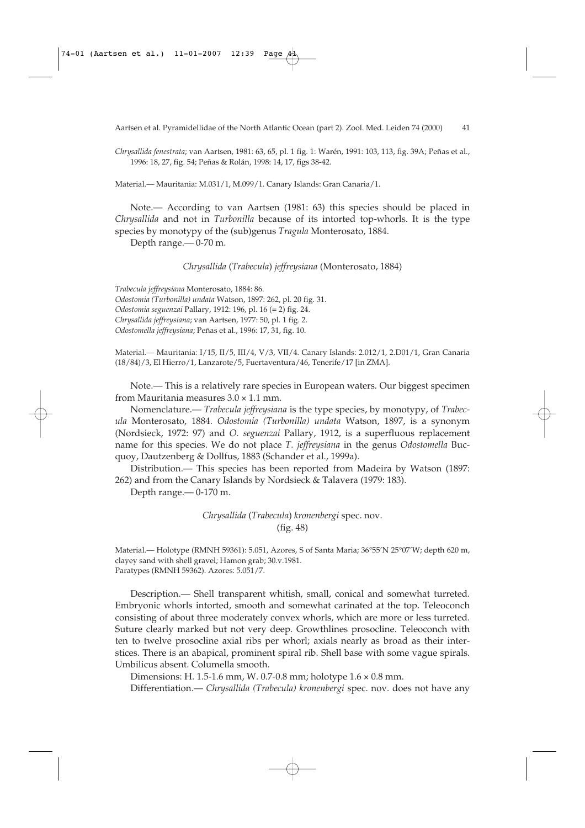*Chrysallida fenestrata*; van Aartsen, 1981: 63, 65, pl. 1 fig. 1: Warén, 1991: 103, 113, fig. 39A; Peñas et al., 1996: 18, 27, fig. 54; Peñas & Rolán, 1998: 14, 17, figs 38-42.

Material.— Mauritania: M.031/1, M.099/1. Canary Islands: Gran Canaria/1.

Note.— According to van Aartsen (1981: 63) this species should be placed in *Chrysallida* and not in *Turbonilla* because of its intorted top-whorls. It is the type species by monotypy of the (sub)genus *Tragula* Monterosato, 1884.

Depth range.— 0-70 m.

*Chrysallida* (*Trabecula*) *jeffreysiana* (Monterosato, 1884)

*Trabecula jeffreysiana* Monterosato, 1884: 86. *Odostomia (Turbonilla) undata* Watson, 1897: 262, pl. 20 fig. 31. *Odostomia seguenzai* Pallary, 1912: 196, pl. 16 (= 2) fig. 24. *Chrysallida jeffreysiana*; van Aartsen, 1977: 50, pl. 1 fig. 2. *Odostomella jeffreysiana*; Peñas et al., 1996: 17, 31, fig. 10.

Material.— Mauritania: I/15, II/5, III/4, V/3, VII/4. Canary Islands: 2.012/1, 2.D01/1, Gran Canaria (18/84)/3, El Hierro/1, Lanzarote/5, Fuertaventura/46, Tenerife/17 [in ZMA].

Note.— This is a relatively rare species in European waters. Our biggest specimen from Mauritania measures  $3.0 \times 1.1$  mm.

Nomenclature.— *Trabecula jeffreysiana* is the type species, by monotypy, of *Trabecula* Monterosato, 1884. *Odostomia (Turbonilla) undata* Watson, 1897, is a synonym (Nordsieck, 1972: 97) and *O. seguenzai* Pallary, 1912, is a superfluous replacement name for this species. We do not place *T. jeffreysiana* in the genus *Odostomella* Bucquoy, Dautzenberg & Dollfus, 1883 (Schander et al., 1999a).

Distribution.— This species has been reported from Madeira by Watson (1897: 262) and from the Canary Islands by Nordsieck & Talavera (1979: 183).

Depth range.— 0-170 m.

*Chrysallida* (*Trabecula*) *kronenbergi* spec. nov. (fig. 48)

Material.— Holotype (RMNH 59361): 5.051, Azores, S of Santa Maria; 36°55'N 25°07'W; depth 620 m, clayey sand with shell gravel; Hamon grab; 30.v.1981. Paratypes (RMNH 59362). Azores: 5.051/7.

Description.— Shell transparent whitish, small, conical and somewhat turreted. Embryonic whorls intorted, smooth and somewhat carinated at the top. Teleoconch consisting of about three moderately convex whorls, which are more or less turreted. Suture clearly marked but not very deep. Growthlines prosocline. Teleoconch with ten to twelve prosocline axial ribs per whorl; axials nearly as broad as their interstices. There is an abapical, prominent spiral rib. Shell base with some vague spirals. Umbilicus absent. Columella smooth.

Dimensions: H. 1.5-1.6 mm, W. 0.7-0.8 mm; holotype 1.6 × 0.8 mm.

Differentiation.— *Chrysallida (Trabecula) kronenbergi* spec. nov. does not have any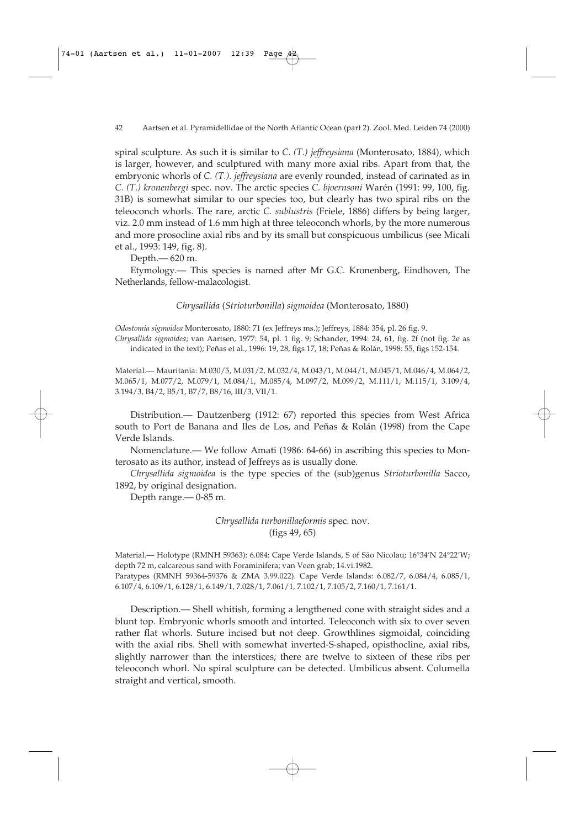spiral sculpture. As such it is similar to *C. (T.) jeffreysiana* (Monterosato, 1884), which is larger, however, and sculptured with many more axial ribs. Apart from that, the embryonic whorls of *C. (T.). jeffreysiana* are evenly rounded, instead of carinated as in *C. (T.) kronenbergi* spec. nov. The arctic species *C. bjoernsoni* Warén (1991: 99, 100, fig. 31B) is somewhat similar to our species too, but clearly has two spiral ribs on the teleoconch whorls. The rare, arctic *C. sublustris* (Friele, 1886) differs by being larger, viz. 2.0 mm instead of 1.6 mm high at three teleoconch whorls, by the more numerous and more prosocline axial ribs and by its small but conspicuous umbilicus (see Micali et al., 1993: 149, fig. 8).

Depth.— 620 m.

Etymology.— This species is named after Mr G.C. Kronenberg, Eindhoven, The Netherlands, fellow-malacologist.

*Chrysallida* (*Strioturbonilla*) *sigmoidea* (Monterosato, 1880)

*Odostomia sigmoidea* Monterosato, 1880: 71 (ex Jeffreys ms.); Jeffreys, 1884: 354, pl. 26 fig. 9.

*Chrysallida sigmoidea*; van Aartsen, 1977: 54, pl. 1 fig. 9; Schander, 1994: 24, 61, fig. 2f (not fig. 2e as indicated in the text); Peñas et al., 1996: 19, 28, figs 17, 18; Peñas & Rolán, 1998: 55, figs 152-154.

Material.— Mauritania: M.030/5, M.031/2, M.032/4, M.043/1, M.044/1, M.045/1, M.046/4, M.064/2, M.065/1, M.077/2, M.079/1, M.084/1, M.085/4, M.097/2, M.099/2, M.111/1, M.115/1, 3.109/4, 3.194/3, B4/2, B5/1, B7/7, B8/16, III/3, VII/1.

Distribution.— Dautzenberg (1912: 67) reported this species from West Africa south to Port de Banana and Iles de Los, and Peñas & Rolán (1998) from the Cape Verde Islands.

Nomenclature.— We follow Amati (1986: 64-66) in ascribing this species to Monterosato as its author, instead of Jeffreys as is usually done.

*Chrysallida sigmoidea* is the type species of the (sub)genus *Strioturbonilla* Sacco, 1892, by original designation.

Depth range.— 0-85 m.

*Chrysallida turbonillaeformis* spec. nov. (figs 49, 65)

Material.— Holotype (RMNH 59363): 6.084: Cape Verde Islands, S of São Nicolau; 16°34'N 24°22'W; depth 72 m, calcareous sand with Foraminifera; van Veen grab; 14.vi.1982. Paratypes (RMNH 59364-59376 & ZMA 3.99.022). Cape Verde Islands: 6.082/7, 6.084/4, 6.085/1, 6.107/4, 6.109/1, 6.128/1, 6.149/1, 7.028/1, 7.061/1, 7.102/1, 7.105/2, 7.160/1, 7.161/1.

Description.— Shell whitish, forming a lengthened cone with straight sides and a blunt top. Embryonic whorls smooth and intorted. Teleoconch with six to over seven rather flat whorls. Suture incised but not deep. Growthlines sigmoidal, coinciding with the axial ribs. Shell with somewhat inverted-S-shaped, opisthocline, axial ribs, slightly narrower than the interstices; there are twelve to sixteen of these ribs per teleoconch whorl. No spiral sculpture can be detected. Umbilicus absent. Columella straight and vertical, smooth.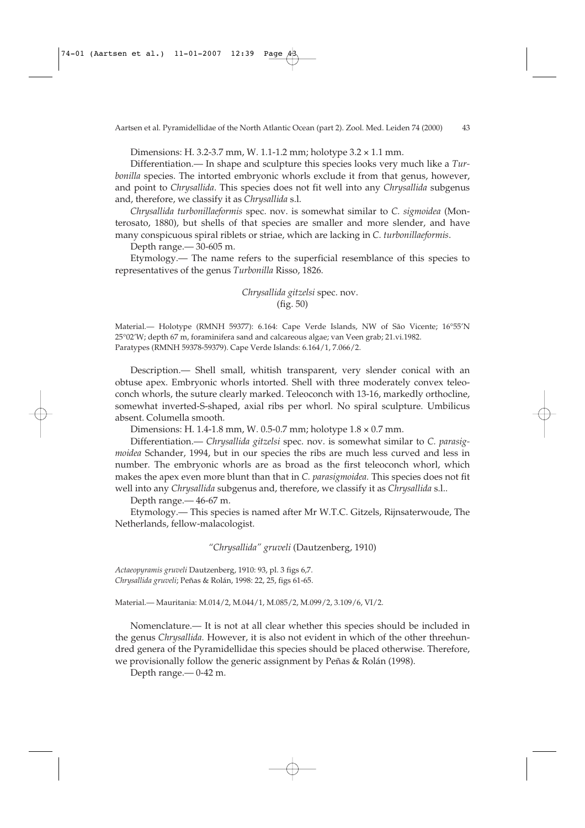Dimensions: H. 3.2-3.7 mm, W. 1.1-1.2 mm; holotype 3.2 × 1.1 mm.

Differentiation.— In shape and sculpture this species looks very much like a *Turbonilla* species. The intorted embryonic whorls exclude it from that genus, however, and point to *Chrysallida*. This species does not fit well into any *Chrysallida* subgenus and, therefore, we classify it as *Chrysallida* s.l.

*Chrysallida turbonillaeformis* spec. nov. is somewhat similar to *C. sigmoidea* (Monterosato, 1880), but shells of that species are smaller and more slender, and have many conspicuous spiral riblets or striae, which are lacking in *C. turbonillaeformis*.

Depth range.— 30-605 m.

Etymology.— The name refers to the superficial resemblance of this species to representatives of the genus *Turbonilla* Risso, 1826.

> *Chrysallida gitzelsi* spec. nov. (fig. 50)

Material.— Holotype (RMNH 59377): 6.164: Cape Verde Islands, NW of São Vicente; 16°55'N 25°02'W; depth 67 m, foraminifera sand and calcareous algae; van Veen grab; 21.vi.1982. Paratypes (RMNH 59378-59379). Cape Verde Islands: 6.164/1, 7.066/2.

Description.— Shell small, whitish transparent, very slender conical with an obtuse apex. Embryonic whorls intorted. Shell with three moderately convex teleoconch whorls, the suture clearly marked. Teleoconch with 13-16, markedly orthocline, somewhat inverted-S-shaped, axial ribs per whorl. No spiral sculpture. Umbilicus absent. Columella smooth.

Dimensions: H. 1.4-1.8 mm, W. 0.5-0.7 mm; holotype 1.8 × 0.7 mm.

Differentiation.— *Chrysallida gitzelsi* spec. nov. is somewhat similar to *C. parasigmoidea* Schander, 1994, but in our species the ribs are much less curved and less in number. The embryonic whorls are as broad as the first teleoconch whorl, which makes the apex even more blunt than that in *C. parasigmoidea.* This species does not fit well into any *Chrysallida* subgenus and, therefore, we classify it as *Chrysallida* s.l..

Depth range.— 46-67 m.

Etymology.— This species is named after Mr W.T.C. Gitzels, Rijnsaterwoude, The Netherlands, fellow-malacologist.

*"Chrysallida" gruveli* (Dautzenberg, 1910)

*Actaeopyramis gruveli* Dautzenberg, 1910: 93, pl. 3 figs 6,7. *Chrysallida gruveli*; Peñas & Rolán, 1998: 22, 25, figs 61-65.

Material.— Mauritania: M.014/2, M.044/1, M.085/2, M.099/2, 3.109/6, VI/2.

Nomenclature.— It is not at all clear whether this species should be included in the genus *Chrysallida.* However, it is also not evident in which of the other threehundred genera of the Pyramidellidae this species should be placed otherwise. Therefore, we provisionally follow the generic assignment by Peñas & Rolán (1998).

Depth range.— 0-42 m.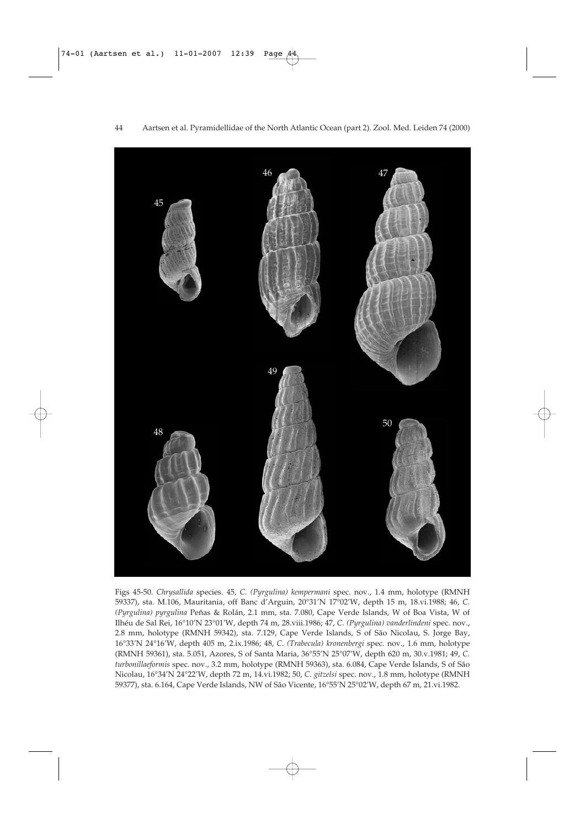

Figs 45-50. *Chrysallida* species. 45, *C. (Pyrgulina) kempermani* spec. nov., 1.4 mm, holotype (RMNH 59337), sta. M.106, Mauritania, off Banc d'Arguin, 20°31'N 17°02'W, depth 15 m, 18.vi.1988; 46, *C. (Pyrgulina) pyrgulina* Peñas & Rolán, 2.1 mm, sta. 7.080, Cape Verde Islands, W of Boa Vista, W of Ilhéu de Sal Rei, 16°10'N 23°01'W, depth 74 m, 28.viii.1986; 47, *C. (Pyrgulina) vanderlindeni* spec. nov., 2.8 mm, holotype (RMNH 59342), sta. 7.129, Cape Verde Islands, S of São Nicolau, S. Jorge Bay, 16°33'N 24°16'W, depth 405 m, 2.ix.1986; 48, *C. (Trabecula) kronenbergi* spec. nov., 1.6 mm, holotype (RMNH 59361), sta. 5.051, Azores, S of Santa Maria, 36°55'N 25°07'W, depth 620 m, 30.v.1981; 49, *C. turbonillaeformis* spec. nov., 3.2 mm, holotype (RMNH 59363), sta. 6.084, Cape Verde Islands, S of São Nicolau, 16°34'N 24°22'W, depth 72 m, 14.vi.1982; 50, *C. gitzelsi* spec. nov., 1.8 mm, holotype (RMNH 59377), sta. 6.164, Cape Verde Islands, NW of São Vicente, 16°55'N 25°02'W, depth 67 m, 21.vi.1982.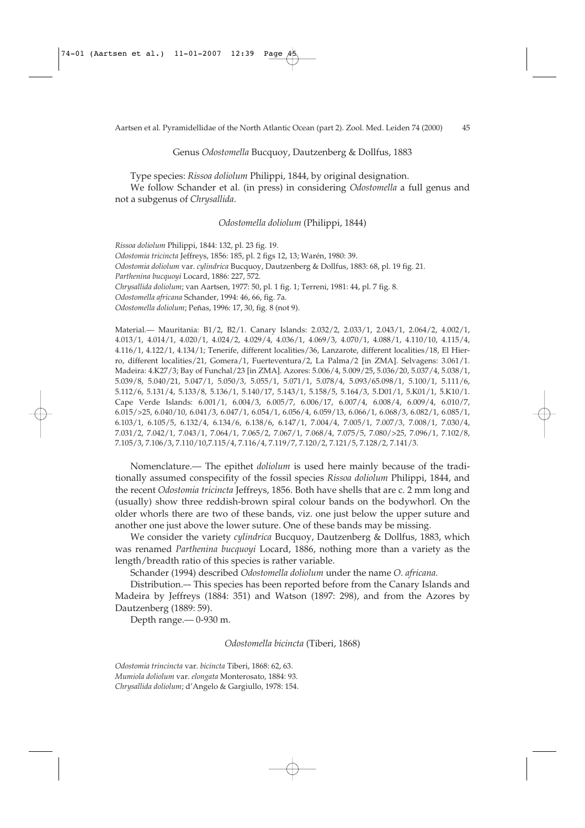#### Genus *Odostomella* Bucquoy, Dautzenberg & Dollfus, 1883

Type species: *Rissoa doliolum* Philippi, 1844, by original designation.

We follow Schander et al. (in press) in considering *Odostomella* a full genus and not a subgenus of *Chrysallida*.

### *Odostomella doliolum* (Philippi, 1844)

*Rissoa doliolum* Philippi, 1844: 132, pl. 23 fig. 19. *Odostomia tricincta* Jeffreys, 1856: 185, pl. 2 figs 12, 13; Warén, 1980: 39. *Odostomia doliolum* var. *cylindrica* Bucquoy, Dautzenberg & Dollfus, 1883: 68, pl. 19 fig. 21. *Parthenina bucquoyi* Locard, 1886: 227, 572. *Chrysallida doliolum*; van Aartsen, 1977: 50, pl. 1 fig. 1; Terreni, 1981: 44, pl. 7 fig. 8. *Odostomella africana* Schander, 1994: 46, 66, fig. 7a. *Odostomella doliolum*; Peñas, 1996: 17, 30, fig. 8 (not 9).

Material.— Mauritania: B1/2, B2/1. Canary Islands: 2.032/2, 2.033/1, 2.043/1, 2.064/2, 4.002/1, 4.013/1, 4.014/1, 4.020/1, 4.024/2, 4.029/4, 4.036/1, 4.069/3, 4.070/1, 4.088/1, 4.110/10, 4.115/4, 4.116/1, 4.122/1, 4.134/1; Tenerife, different localities/36, Lanzarote, different localities/18, El Hierro, different localities/21, Gomera/1, Fuerteventura/2, La Palma/2 [in ZMA]. Selvagens: 3.061/1. Madeira: 4.K27/3; Bay of Funchal/23 [in ZMA]. Azores: 5.006/4, 5.009/25, 5.036/20, 5.037/4, 5.038/1, 5.039/8, 5.040/21, 5.047/1, 5.050/3, 5.055/1, 5.071/1, 5.078/4, 5.093/65.098/1, 5.100/1, 5.111/6, 5.112/6, 5.131/4, 5.133/8, 5.136/1, 5.140/17, 5.143/1, 5.158/5, 5.164/3, 5.D01/1, 5.K01/1, 5.K10/1. Cape Verde Islands: 6.001/1, 6.004/3, 6.005/7, 6.006/17, 6.007/4, 6.008/4, 6.009/4, 6.010/7, 6.015/>25, 6.040/10, 6.041/3, 6.047/1, 6.054/1, 6.056/4, 6.059/13, 6.066/1, 6.068/3, 6.082/1, 6.085/1, 6.103/1, 6.105/5, 6.132/4, 6.134/6, 6.138/6, 6.147/1, 7.004/4, 7.005/1, 7.007/3, 7.008/1, 7.030/4, 7.031/2, 7.042/1, 7.043/1, 7.064/1, 7.065/2, 7.067/1, 7.068/4, 7.075/5, 7.080/>25, 7.096/1, 7.102/8, 7.105/3, 7.106/3, 7.110/10,7.115/4, 7.116/4, 7.119/7, 7.120/2, 7.121/5, 7.128/2, 7.141/3.

Nomenclature.— The epithet *doliolum* is used here mainly because of the traditionally assumed conspecifity of the fossil species *Rissoa doliolum* Philippi, 1844, and the recent *Odostomia tricincta* Jeffreys, 1856. Both have shells that are c. 2 mm long and (usually) show three reddish-brown spiral colour bands on the bodywhorl. On the older whorls there are two of these bands, viz. one just below the upper suture and another one just above the lower suture. One of these bands may be missing.

We consider the variety *cylindrica* Bucquoy, Dautzenberg & Dollfus, 1883, which was renamed *Parthenina bucquoyi* Locard, 1886, nothing more than a variety as the length/breadth ratio of this species is rather variable.

Schander (1994) described *Odostomella doliolum* under the name *O. africana.*

Distribution.–- This species has been reported before from the Canary Islands and Madeira by Jeffreys (1884: 351) and Watson (1897: 298), and from the Azores by Dautzenberg (1889: 59).

Depth range.— 0-930 m.

*Odostomella bicincta* (Tiberi, 1868)

*Odostomia trincincta* var. *bicincta* Tiberi, 1868: 62, 63.

*Mumiola doliolum* var. *elongata* Monterosato, 1884: 93.

*Chrysallida doliolum*; d'Angelo & Gargiullo, 1978: 154.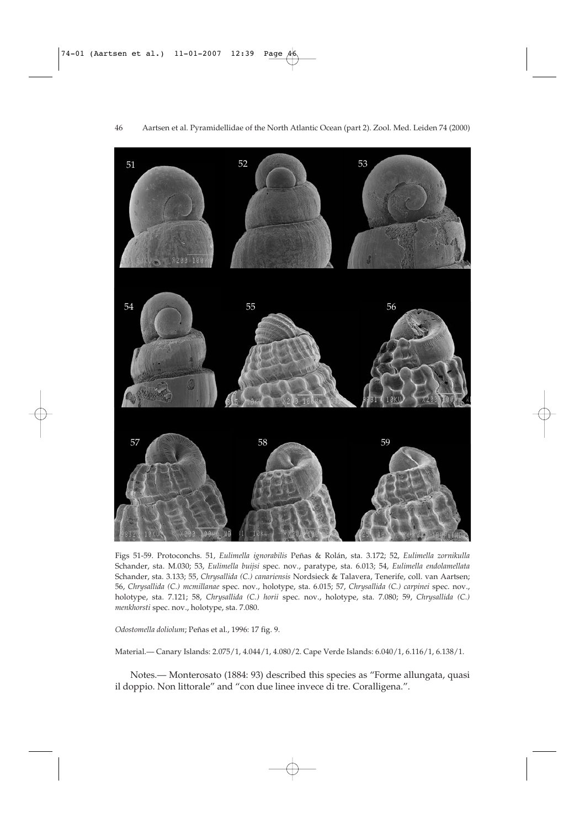

Figs 51-59. Protoconchs. 51, *Eulimella ignorabilis* Peñas & Rolán, sta. 3.172; 52, *Eulimella zornikulla* Schander, sta. M.030; 53, *Eulimella buijsi* spec. nov., paratype, sta. 6.013; 54, *Eulimella endolamellata* Schander, sta. 3.133; 55, *Chrysallida (C.) canariensis* Nordsieck & Talavera, Tenerife, coll. van Aartsen; 56, *Chrysallida (C.) mcmillanae* spec. nov., holotype, sta. 6.015; 57, *Chrysallida (C.) carpinei* spec. nov., holotype, sta. 7.121; 58, *Chrysallida (C.) horii* spec. nov., holotype, sta. 7.080; 59, *Chrysallida (C.) menkhorsti* spec. nov., holotype, sta. 7.080.

*Odostomella doliolum*; Peñas et al., 1996: 17 fig. 9.

Material.— Canary Islands: 2.075/1, 4.044/1, 4.080/2. Cape Verde Islands: 6.040/1, 6.116/1, 6.138/1.

Notes.— Monterosato (1884: 93) described this species as "Forme allungata, quasi il doppio. Non littorale" and "con due linee invece di tre. Coralligena.".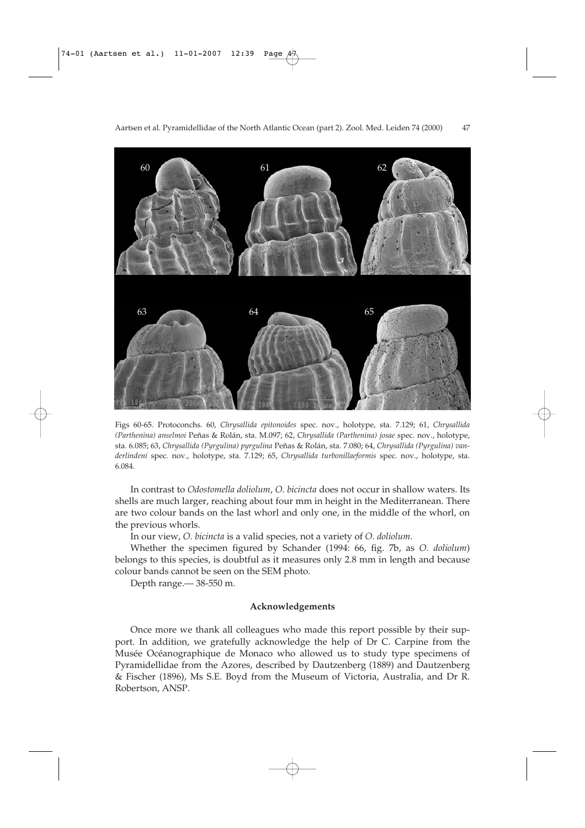

Figs 60-65. Protoconchs. 60, *Chrysallida epitonoides* spec. nov., holotype, sta. 7.129; 61, *Chrysallida (Parthenina) anselmoi* Peñas & Rolán, sta. M.097; 62, *Chrysallida (Parthenina) josae* spec. nov., holotype, sta. 6.085; 63, *Chrysallida (Pyrgulina) pyrgulina* Peñas & Rolán, sta. 7.080; 64, *Chrysallida (Pyrgulina) vanderlindeni* spec. nov., holotype, sta. 7.129; 65, *Chrysallida turbonillaeformis* spec. nov., holotype, sta. 6.084.

In contrast to *Odostomella doliolum*, *O. bicincta* does not occur in shallow waters. Its shells are much larger, reaching about four mm in height in the Mediterranean. There are two colour bands on the last whorl and only one, in the middle of the whorl, on the previous whorls.

In our view, *O. bicincta* is a valid species, not a variety of *O. doliolum*.

Whether the specimen figured by Schander (1994: 66, fig. 7b, as *O. doliolum*) belongs to this species, is doubtful as it measures only 2.8 mm in length and because colour bands cannot be seen on the SEM photo.

Depth range.— 38-550 m.

### **Acknowledgements**

Once more we thank all colleagues who made this report possible by their support. In addition, we gratefully acknowledge the help of Dr C. Carpine from the Musée Océanographique de Monaco who allowed us to study type specimens of Pyramidellidae from the Azores, described by Dautzenberg (1889) and Dautzenberg & Fischer (1896), Ms S.E. Boyd from the Museum of Victoria, Australia, and Dr R. Robertson, ANSP.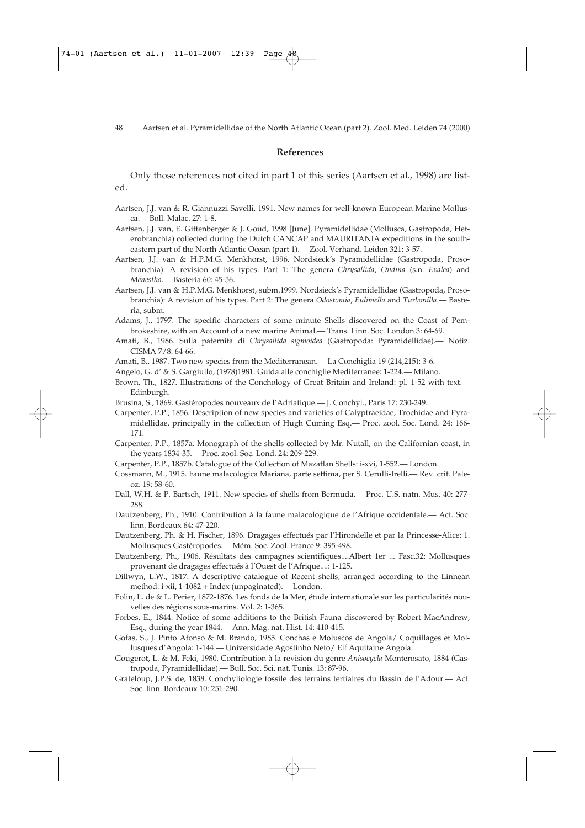#### **References**

Only those references not cited in part 1 of this series (Aartsen et al., 1998) are listed.

- Aartsen, J.J. van & R. Giannuzzi Savelli, 1991. New names for well-known European Marine Mollusca.— Boll. Malac. 27: 1-8.
- Aartsen, J.J. van, E. Gittenberger & J. Goud, 1998 [June]. Pyramidellidae (Mollusca, Gastropoda, Heterobranchia) collected during the Dutch CANCAP and MAURITANIA expeditions in the southeastern part of the North Atlantic Ocean (part 1).— Zool. Verhand. Leiden 321: 3-57.
- Aartsen, J.J. van & H.P.M.G. Menkhorst, 1996. Nordsieck's Pyramidellidae (Gastropoda, Prosobranchia): A revision of his types. Part 1: The genera *Chrysallida*, *Ondina* (s.n*. Evalea*) and *Menestho*.— Basteria 60: 45-56.
- Aartsen, J.J. van & H.P.M.G. Menkhorst, subm.1999. Nordsieck's Pyramidellidae (Gastropoda, Prosobranchia): A revision of his types. Part 2: The genera *Odostomia*, *Eulimella* and *Turbonilla*.— Basteria, subm.
- Adams, J., 1797. The specific characters of some minute Shells discovered on the Coast of Pembrokeshire, with an Account of a new marine Animal.— Trans. Linn. Soc. London 3: 64-69.
- Amati, B., 1986. Sulla paternita di *Chrysallida sigmoidea* (Gastropoda: Pyramidellidae).— Notiz. CISMA 7/8: 64-66.
- Amati, B., 1987. Two new species from the Mediterranean.— La Conchiglia 19 (214,215): 3-6.
- Angelo, G. d' & S. Gargiullo, (1978)1981. Guida alle conchiglie Mediterranee: 1-224.— Milano.
- Brown, Th., 1827. Illustrations of the Conchology of Great Britain and Ireland: pl. 1-52 with text.— Edinburgh.
- Brusina, S., 1869. Gastéropodes nouveaux de l'Adriatique.— J. Conchyl., Paris 17: 230-249.
- Carpenter, P.P., 1856. Description of new species and varieties of Calyptraeidae, Trochidae and Pyramidellidae, principally in the collection of Hugh Cuming Esq.— Proc. zool. Soc. Lond. 24: 166- 171.
- Carpenter, P.P., 1857a. Monograph of the shells collected by Mr. Nutall, on the Californian coast, in the years 1834-35.— Proc. zool. Soc. Lond. 24: 209-229.
- Carpenter, P.P., 1857b. Catalogue of the Collection of Mazatlan Shells: i-xvi, 1-552.— London.
- Cossmann, M., 1915. Faune malacologica Mariana, parte settima, per S. Cerulli-Irelli.— Rev. crit. Paleoz. 19: 58-60.
- Dall, W.H. & P. Bartsch, 1911. New species of shells from Bermuda.— Proc. U.S. natn. Mus. 40: 277- 288.
- Dautzenberg, Ph., 1910. Contribution à la faune malacologique de l'Afrique occidentale.— Act. Soc. linn. Bordeaux 64: 47-220.
- Dautzenberg, Ph. & H. Fischer, 1896. Dragages effectués par l'Hirondelle et par la Princesse-Alice: 1. Mollusques Gastéropodes.— Mém. Soc. Zool. France 9: 395-498.
- Dautzenberg, Ph., 1906. Résultats des campagnes scientifiques....Albert 1er ... Fasc.32: Mollusques provenant de dragages effectués à l'Ouest de l'Afrique....: 1-125.
- Dillwyn, L.W., 1817. A descriptive catalogue of Recent shells, arranged according to the Linnean method: i-xii, 1-1082 + Index (unpaginated).— London.
- Folin, L. de & L. Perier, 1872-1876. Les fonds de la Mer, étude internationale sur les particularités nouvelles des régions sous-marins. Vol. 2: 1-365.
- Forbes, E., 1844. Notice of some additions to the British Fauna discovered by Robert MacAndrew, Esq., during the year 1844.— Ann. Mag. nat. Hist. 14: 410-415.
- Gofas, S., J. Pinto Afonso & M. Brando, 1985. Conchas e Moluscos de Angola/ Coquillages et Mollusques d'Angola: 1-144.— Universidade Agostinho Neto/ Elf Aquitaine Angola.
- Gougerot, L. & M. Feki, 1980. Contribution à la revision du genre *Anisocycla* Monterosato, 1884 (Gastropoda, Pyramidellidae).— Bull. Soc. Sci. nat. Tunis. 13: 87-96.
- Grateloup, J.P.S. de, 1838. Conchyliologie fossile des terrains tertiaires du Bassin de l'Adour.— Act. Soc. linn. Bordeaux 10: 251-290.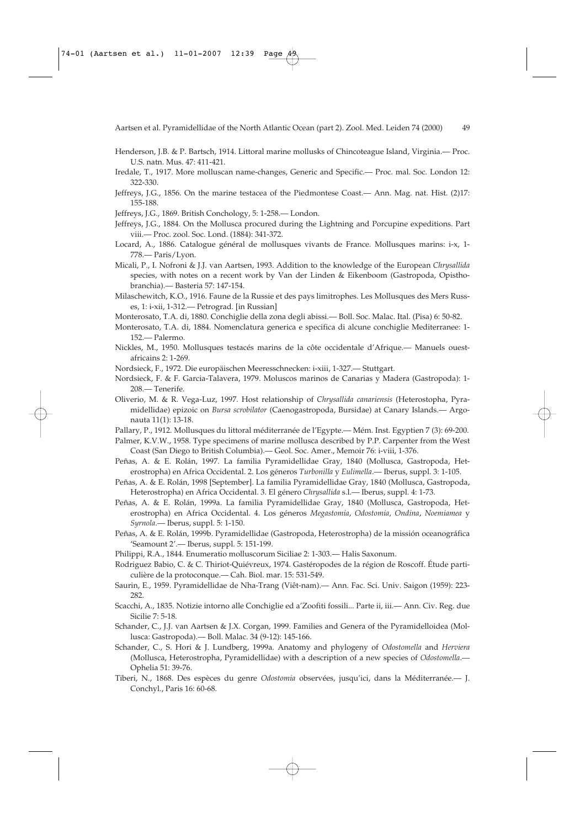- Henderson, J.B. & P. Bartsch, 1914. Littoral marine mollusks of Chincoteague Island, Virginia.— Proc. U.S. natn. Mus. 47: 411-421.
- Iredale, T., 1917. More molluscan name-changes, Generic and Specific.— Proc. mal. Soc. London 12: 322-330.
- Jeffreys, J.G., 1856. On the marine testacea of the Piedmontese Coast.— Ann. Mag. nat. Hist. (2)17: 155-188.
- Jeffreys, J.G., 1869. British Conchology, 5: 1-258.— London.
- Jeffreys, J.G., 1884. On the Mollusca procured during the Lightning and Porcupine expeditions. Part viii.— Proc. zool. Soc. Lond. (1884): 341-372.
- Locard, A., 1886. Catalogue général de mollusques vivants de France. Mollusques marins: i-x, 1- 778.— Paris/Lyon.
- Micali, P., I. Nofroni & J.J. van Aartsen, 1993. Addition to the knowledge of the European *Chrysallida* species, with notes on a recent work by Van der Linden & Eikenboom (Gastropoda, Opisthobranchia).— Basteria 57: 147-154.
- Milaschewitch, K.O., 1916. Faune de la Russie et des pays limitrophes. Les Mollusques des Mers Russes, 1: i-xii, 1-312.— Petrograd. [in Russian]
- Monterosato, T.A. di, 1880. Conchiglie della zona degli abissi.— Boll. Soc. Malac. Ital. (Pisa) 6: 50-82.
- Monterosato, T.A. di, 1884. Nomenclatura generica e specifica di alcune conchiglie Mediterranee: 1- 152.— Palermo.
- Nickles, M., 1950. Mollusques testacés marins de la côte occidentale d'Afrique.— Manuels ouestafricains 2: 1-269.
- Nordsieck, F., 1972. Die europäischen Meeresschnecken: i-xiii, 1-327.— Stuttgart.
- Nordsieck, F. & F. Garcia-Talavera, 1979. Moluscos marinos de Canarias y Madera (Gastropoda): 1- 208.— Tenerife.
- Oliverio, M. & R. Vega-Luz, 1997. Host relationship of *Chrysallida canariensis* (Heterostopha, Pyramidellidae) epizoic on *Bursa scrobilator* (Caenogastropoda, Bursidae) at Canary Islands.— Argonauta 11(1): 13-18.
- Pallary, P., 1912. Mollusques du littoral méditerranée de l'Egypte.— Mém. Inst. Egyptien 7 (3): 69-200.
- Palmer, K.V.W., 1958. Type specimens of marine mollusca described by P.P. Carpenter from the West Coast (San Diego to British Columbia).— Geol. Soc. Amer., Memoir 76: i-viii, 1-376.
- Peñas, A. & E. Rolán, 1997. La familia Pyramidellidae Gray, 1840 (Mollusca, Gastropoda, Heterostropha) en Africa Occidental. 2. Los géneros *Turbonilla* y *Eulimella*.— Iberus, suppl. 3: 1-105.
- Peñas, A. & E. Rolán, 1998 [September]. La familia Pyramidellidae Gray, 1840 (Mollusca, Gastropoda, Heterostropha) en Africa Occidental. 3. El género *Chrysallida* s.l.— Iberus, suppl. 4: 1-73.
- Peñas, A. & E. Rolán, 1999a. La familia Pyramidellidae Gray, 1840 (Mollusca, Gastropoda, Heterostropha) en Africa Occidental. 4. Los géneros *Megastomia*, *Odostomia*, *Ondina*, *Noemiamea* y *Syrnola*.— Iberus, suppl. 5: 1-150.
- Peñas, A. & E. Rolán, 1999b. Pyramidellidae (Gastropoda, Heterostropha) de la missión oceanográfica 'Seamount 2'.— Iberus, suppl. 5: 151-199.
- Philippi, R.A., 1844. Enumeratio molluscorum Siciliae 2: 1-303.— Halis Saxonum.
- Rodriguez Babio, C. & C. Thiriot-Quiévreux, 1974. Gastéropodes de la région de Roscoff. Étude particulière de la protoconque.— Cah. Biol. mar. 15: 531-549.
- Saurin, E., 1959. Pyramidellidae de Nha-Trang (Viêt-nam).— Ann. Fac. Sci. Univ. Saigon (1959): 223- 282.
- Scacchi, A., 1835. Notizie intorno alle Conchiglie ed a'Zoofiti fossili... Parte ii, iii.— Ann. Civ. Reg. due Sicilie 7: 5-18.
- Schander, C., J.J. van Aartsen & J.X. Corgan, 1999. Families and Genera of the Pyramidelloidea (Mollusca: Gastropoda).— Boll. Malac. 34 (9-12): 145-166.
- Schander, C., S. Hori & J. Lundberg, 1999a. Anatomy and phylogeny of *Odostomella* and *Herviera* (Mollusca, Heterostropha, Pyramidellidae) with a description of a new species of *Odostomella*.— Ophelia 51: 39-76.
- Tiberi, N., 1868. Des espèces du genre *Odostomia* observées, jusqu'ici, dans la Méditerranée.— J. Conchyl., Paris 16: 60-68.